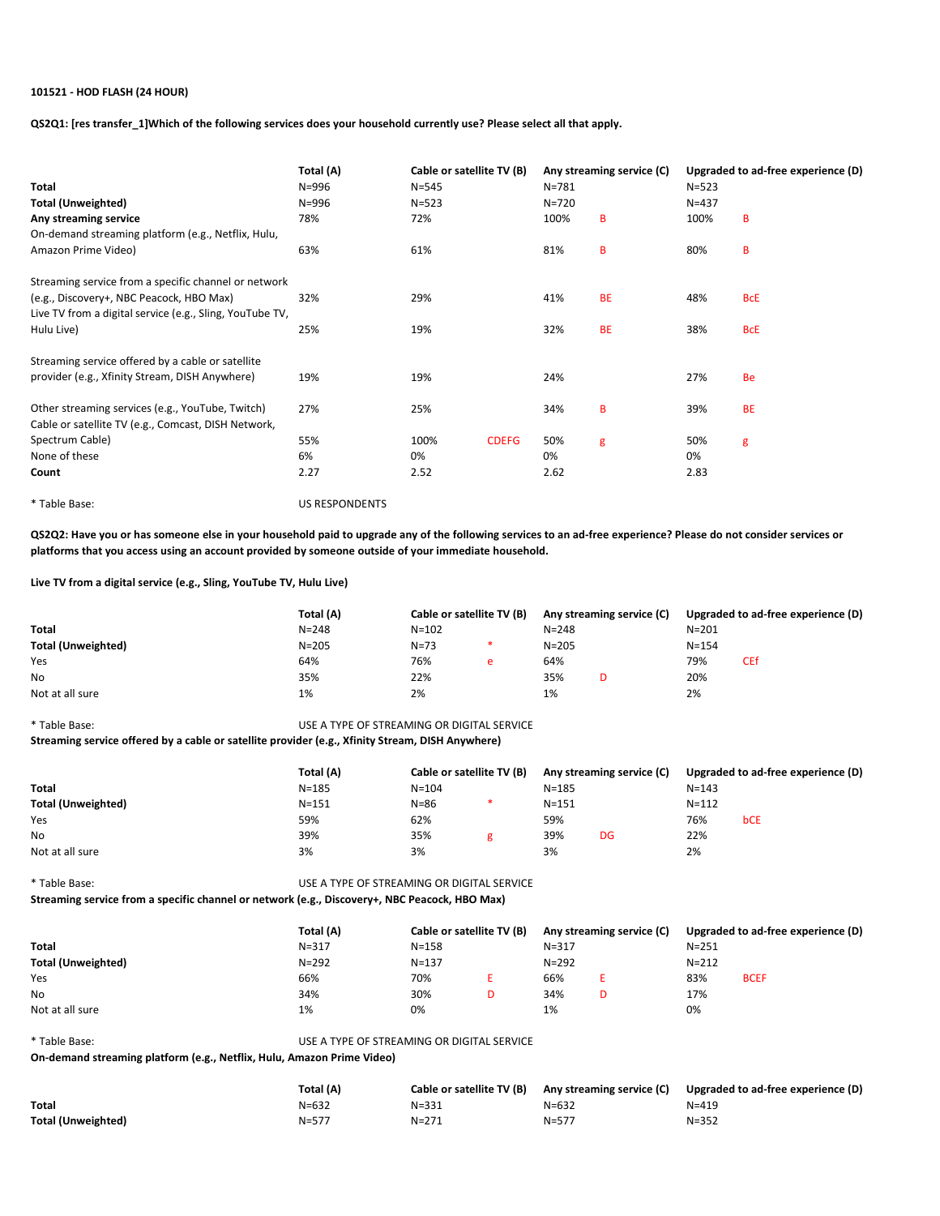# 101521 - HOD FLASH (24 HOUR)

QS2Q1: [res transfer\_1]Which of the following services does your household currently use? Please select all that apply.

| Total                                                    | Total (A)<br>Cable or satellite TV (B)<br>N=996<br>$N = 545$ |           | $N = 781$    | Any streaming service (C) | Upgraded to ad-free experience (D)<br>$N = 523$ |           |            |
|----------------------------------------------------------|--------------------------------------------------------------|-----------|--------------|---------------------------|-------------------------------------------------|-----------|------------|
| <b>Total (Unweighted)</b>                                | $N = 996$                                                    | $N = 523$ |              | $N = 720$                 |                                                 | $N = 437$ |            |
| Any streaming service                                    | 78%                                                          | 72%       |              | 100%                      | B                                               | 100%      | B          |
| On-demand streaming platform (e.g., Netflix, Hulu,       |                                                              |           |              |                           |                                                 |           |            |
| Amazon Prime Video)                                      | 63%                                                          | 61%       |              | 81%                       | в                                               | 80%       | B          |
| Streaming service from a specific channel or network     |                                                              |           |              |                           |                                                 |           |            |
| (e.g., Discovery+, NBC Peacock, HBO Max)                 | 32%                                                          | 29%       |              | 41%                       | <b>BE</b>                                       | 48%       | <b>BcE</b> |
| Live TV from a digital service (e.g., Sling, YouTube TV, |                                                              |           |              |                           |                                                 |           |            |
| Hulu Live)                                               | 25%                                                          | 19%       |              | 32%                       | <b>BE</b>                                       | 38%       | <b>BcE</b> |
| Streaming service offered by a cable or satellite        |                                                              |           |              |                           |                                                 |           |            |
| provider (e.g., Xfinity Stream, DISH Anywhere)           | 19%                                                          | 19%       |              | 24%                       |                                                 | 27%       | <b>Be</b>  |
| Other streaming services (e.g., YouTube, Twitch)         | 27%                                                          | 25%       |              | 34%                       | B                                               | 39%       | <b>BE</b>  |
| Cable or satellite TV (e.g., Comcast, DISH Network,      |                                                              |           |              |                           |                                                 |           |            |
| Spectrum Cable)                                          | 55%                                                          | 100%      | <b>CDEFG</b> | 50%                       | g                                               | 50%       | g          |
| None of these                                            | 6%                                                           | 0%        |              | 0%                        |                                                 | 0%        |            |
| Count                                                    | 2.27                                                         | 2.52      |              | 2.62                      |                                                 | 2.83      |            |

\* Table Base: US RESPONDENTS

QS2Q2: Have you or has someone else in your household paid to upgrade any of the following services to an ad-free experience? Please do not consider services or platforms that you access using an account provided by someone outside of your immediate household.

Live TV from a digital service (e.g., Sling, YouTube TV, Hulu Live)

|                           | Total (A) | Cable or satellite TV (B) |   | Any streaming service (C) |  | Upgraded to ad-free experience (D) |     |
|---------------------------|-----------|---------------------------|---|---------------------------|--|------------------------------------|-----|
| <b>Total</b>              | $N = 248$ | $N = 102$                 |   | $N = 248$                 |  | $N = 201$                          |     |
| <b>Total (Unweighted)</b> | $N = 205$ | $N = 73$                  |   | $N = 205$                 |  | $N = 154$                          |     |
| Yes                       | 64%       | 76%                       | e | 64%                       |  | 79%                                | CEf |
| <b>No</b>                 | 35%       | 22%                       |   | 35%                       |  | 20%                                |     |
| Not at all sure           | 1%        | 2%                        |   | 1%                        |  | 2%                                 |     |

\* Table Base: USE A TYPE OF STREAMING OR DIGITAL SERVICE Streaming service offered by a cable or satellite provider (e.g., Xfinity Stream, DISH Anywhere)

|                           | Total (A) |           | Cable or satellite TV (B) |           | Any streaming service (C) |           | Upgraded to ad-free experience (D) |  |
|---------------------------|-----------|-----------|---------------------------|-----------|---------------------------|-----------|------------------------------------|--|
| <b>Total</b>              | $N = 185$ | $N = 104$ |                           | $N = 185$ |                           | $N = 143$ |                                    |  |
| <b>Total (Unweighted)</b> | $N = 151$ | $N = 86$  |                           | $N = 151$ |                           | $N = 112$ |                                    |  |
| Yes                       | 59%       | 62%       |                           | 59%       |                           | 76%       | <b>bCE</b>                         |  |
| No                        | 39%       | 35%       |                           | 39%       | DG                        | 22%       |                                    |  |
| Not at all sure           | 3%        | 3%        |                           | 3%        |                           | 2%        |                                    |  |

\* Table Base: USE A TYPE OF STREAMING OR DIGITAL SERVICE Streaming service from a specific channel or network (e.g., Discovery+, NBC Peacock, HBO Max)

|                           | Total (A)<br>Cable or satellite TV (B) |           | Any streaming service (C) |           | Upgraded to ad-free experience (D) |           |             |
|---------------------------|----------------------------------------|-----------|---------------------------|-----------|------------------------------------|-----------|-------------|
| <b>Total</b>              | $N = 317$                              | $N = 158$ |                           | $N = 317$ |                                    | $N = 251$ |             |
| <b>Total (Unweighted)</b> | $N = 292$                              | $N = 137$ |                           | $N = 292$ |                                    | $N = 212$ |             |
| Yes                       | 66%                                    | 70%       |                           | 66%       |                                    | 83%       | <b>BCEF</b> |
| <b>No</b>                 | 34%                                    | 30%       | D                         | 34%       |                                    | 17%       |             |
| Not at all sure           | 1%                                     | 0%        |                           | 1%        |                                    | 0%        |             |

\* Table Base: USE A TYPE OF STREAMING OR DIGITAL SERVICE

On-demand streaming platform (e.g., Netflix, Hulu, Amazon Prime Video)

|                           | Total (A) | Cable or satellite TV (B) |           | Any streaming service (C) Upgraded to ad-free experience (D) |
|---------------------------|-----------|---------------------------|-----------|--------------------------------------------------------------|
| <b>Total</b>              | $N = 632$ | $N = 331$                 | $N = 632$ | $N = 419$                                                    |
| <b>Total (Unweighted)</b> | $N = 577$ | $N = 271$                 | $N = 577$ | $N = 352$                                                    |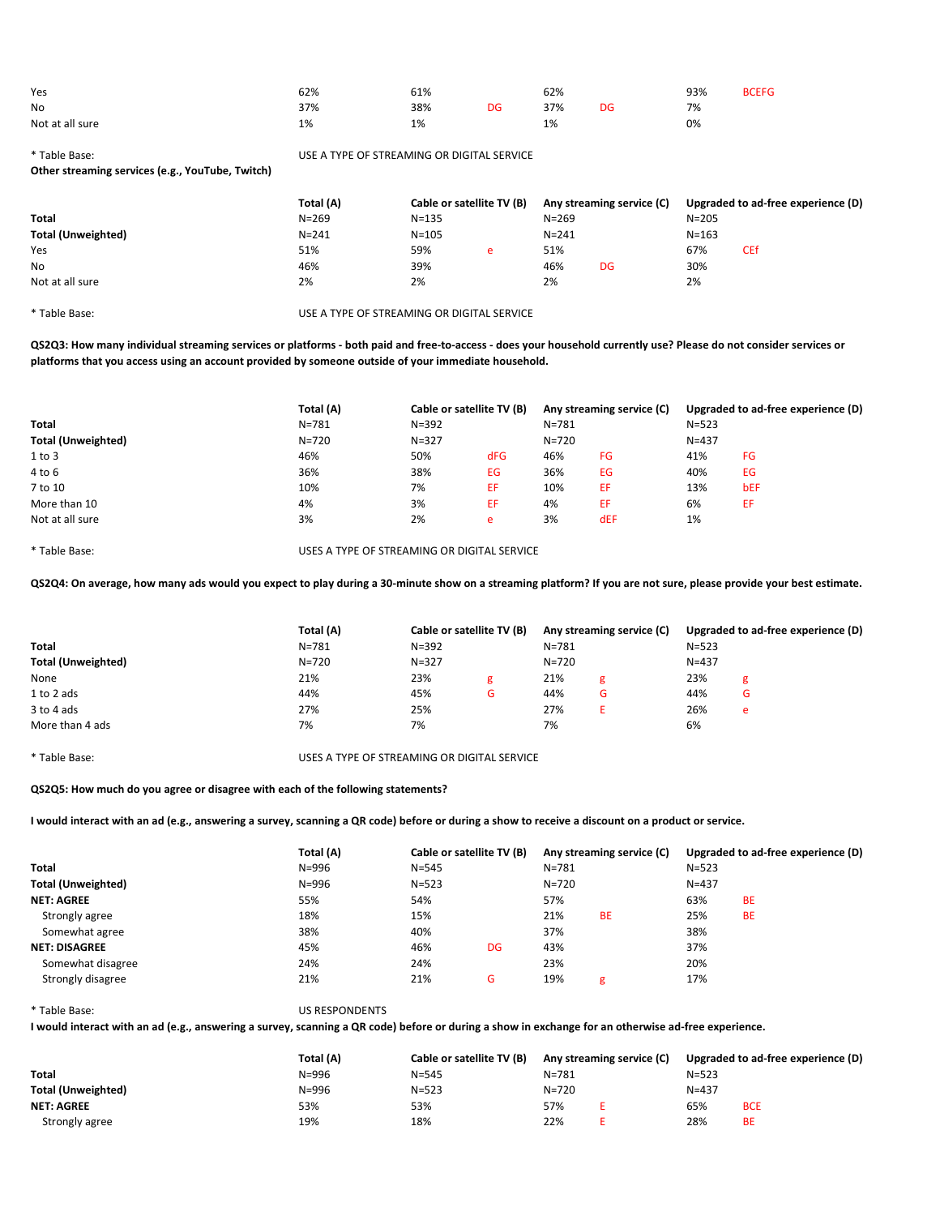| Yes             | 62% | 61% |    | 62% |    | 93% | <b>BCEFG</b> |
|-----------------|-----|-----|----|-----|----|-----|--------------|
| <b>No</b>       | 37% | 38% | DG | 37% | DG | 7%  |              |
| Not at all sure | 1%  | 1%  |    | 1%  |    | 0%  |              |

\* Table Base: USE A TYPE OF STREAMING OR DIGITAL SERVICE

Other streaming services (e.g., YouTube, Twitch)

|                           | Total (A) | Cable or satellite TV (B) |   |           | Any streaming service (C) | Upgraded to ad-free experience (D) |            |  |
|---------------------------|-----------|---------------------------|---|-----------|---------------------------|------------------------------------|------------|--|
| <b>Total</b>              | $N = 269$ | $N = 135$                 |   | $N = 269$ |                           | $N = 205$                          |            |  |
| <b>Total (Unweighted)</b> | $N = 241$ | $N = 105$                 |   | $N = 241$ |                           | $N = 163$                          |            |  |
| Yes                       | 51%       | 59%                       | e | 51%       |                           | 67%                                | <b>CEf</b> |  |
| No.                       | 46%       | 39%                       |   | 46%       | DG                        | 30%                                |            |  |
| Not at all sure           | 2%        | 2%                        |   | 2%        |                           | 2%                                 |            |  |

\* Table Base: USE A TYPE OF STREAMING OR DIGITAL SERVICE

QS2Q3: How many individual streaming services or platforms - both paid and free-to-access - does your household currently use? Please do not consider services or platforms that you access using an account provided by someone outside of your immediate household.

|                           | Total (A) |           | Cable or satellite TV (B) |           | Any streaming service (C) |           | Upgraded to ad-free experience (D) |  |
|---------------------------|-----------|-----------|---------------------------|-----------|---------------------------|-----------|------------------------------------|--|
| Total                     | $N = 781$ | $N = 392$ |                           | $N = 781$ |                           | $N = 523$ |                                    |  |
| <b>Total (Unweighted)</b> | $N = 720$ | $N = 327$ |                           | N=720     |                           | $N = 437$ |                                    |  |
| $1$ to $3$                | 46%       | 50%       | <b>dFG</b>                | 46%       | FG                        | 41%       | FG                                 |  |
| 4 to 6                    | 36%       | 38%       | EG                        | 36%       | EG                        | 40%       | EG                                 |  |
| 7 to 10                   | 10%       | 7%        | EF                        | 10%       | EF                        | 13%       | bEF                                |  |
| More than 10              | 4%        | 3%        | ЕF                        | 4%        | ΕF                        | 6%        | EF                                 |  |
| Not at all sure           | 3%        | 2%        | e                         | 3%        | <b>dEF</b>                | 1%        |                                    |  |

\* Table Base: USES A TYPE OF STREAMING OR DIGITAL SERVICE

QS2Q4: On average, how many ads would you expect to play during a 30-minute show on a streaming platform? If you are not sure, please provide your best estimate.

|                           | Total (A)<br>Cable or satellite TV (B) |           | Any streaming service (C) |           | Upgraded to ad-free experience (D) |           |   |
|---------------------------|----------------------------------------|-----------|---------------------------|-----------|------------------------------------|-----------|---|
| <b>Total</b>              | $N = 781$                              | $N = 392$ |                           | $N = 781$ |                                    | $N = 523$ |   |
| <b>Total (Unweighted)</b> | $N = 720$                              | $N = 327$ |                           | $N = 720$ |                                    | $N = 437$ |   |
| None                      | 21%                                    | 23%       | g                         | 21%       | g                                  | 23%       | g |
| 1 to 2 ads                | 44%                                    | 45%       | G                         | 44%       | G                                  | 44%       | G |
| 3 to 4 ads                | 27%                                    | 25%       |                           | 27%       |                                    | 26%       | e |
| More than 4 ads           | 7%                                     | 7%        |                           | 7%        |                                    | 6%        |   |

\* Table Base: USES A TYPE OF STREAMING OR DIGITAL SERVICE

QS2Q5: How much do you agree or disagree with each of the following statements?

I would interact with an ad (e.g., answering a survey, scanning a QR code) before or during a show to receive a discount on a product or service.

|                           | Total (A) |           | Cable or satellite TV (B) |           | Any streaming service (C) |           | Upgraded to ad-free experience (D) |
|---------------------------|-----------|-----------|---------------------------|-----------|---------------------------|-----------|------------------------------------|
| <b>Total</b>              | $N = 996$ | $N = 545$ |                           | $N = 781$ |                           | $N = 523$ |                                    |
| <b>Total (Unweighted)</b> | $N = 996$ | $N = 523$ |                           | $N = 720$ |                           | $N = 437$ |                                    |
| <b>NET: AGREE</b>         | 55%       | 54%       |                           | 57%       |                           | 63%       | BE                                 |
| Strongly agree            | 18%       | 15%       |                           | 21%       | <b>BE</b>                 | 25%       | <b>BE</b>                          |
| Somewhat agree            | 38%       | 40%       |                           | 37%       |                           | 38%       |                                    |
| <b>NET: DISAGREE</b>      | 45%       | 46%       | DG                        | 43%       |                           | 37%       |                                    |
| Somewhat disagree         | 24%       | 24%       |                           | 23%       |                           | 20%       |                                    |
| Strongly disagree         | 21%       | 21%       | G                         | 19%       | g                         | 17%       |                                    |

\* Table Base: US RESPONDENTS

I would interact with an ad (e.g., answering a survey, scanning a QR code) before or during a show in exchange for an otherwise ad-free experience.

|                    | Total (A) | Cable or satellite TV (B) | Any streaming service (C) |  | Upgraded to ad-free experience (D) |            |  |
|--------------------|-----------|---------------------------|---------------------------|--|------------------------------------|------------|--|
| Total              | N=996     | $N = 545$                 | $N = 781$                 |  | $N = 523$                          |            |  |
| Total (Unweighted) | N=996     | $N = 523$                 | $N = 720$                 |  | $N = 437$                          |            |  |
| <b>NET: AGREE</b>  | 53%       | 53%                       | 57%                       |  | 65%                                | <b>BCE</b> |  |
| Strongly agree     | 19%       | 18%                       | 22%                       |  | 28%                                | <b>BE</b>  |  |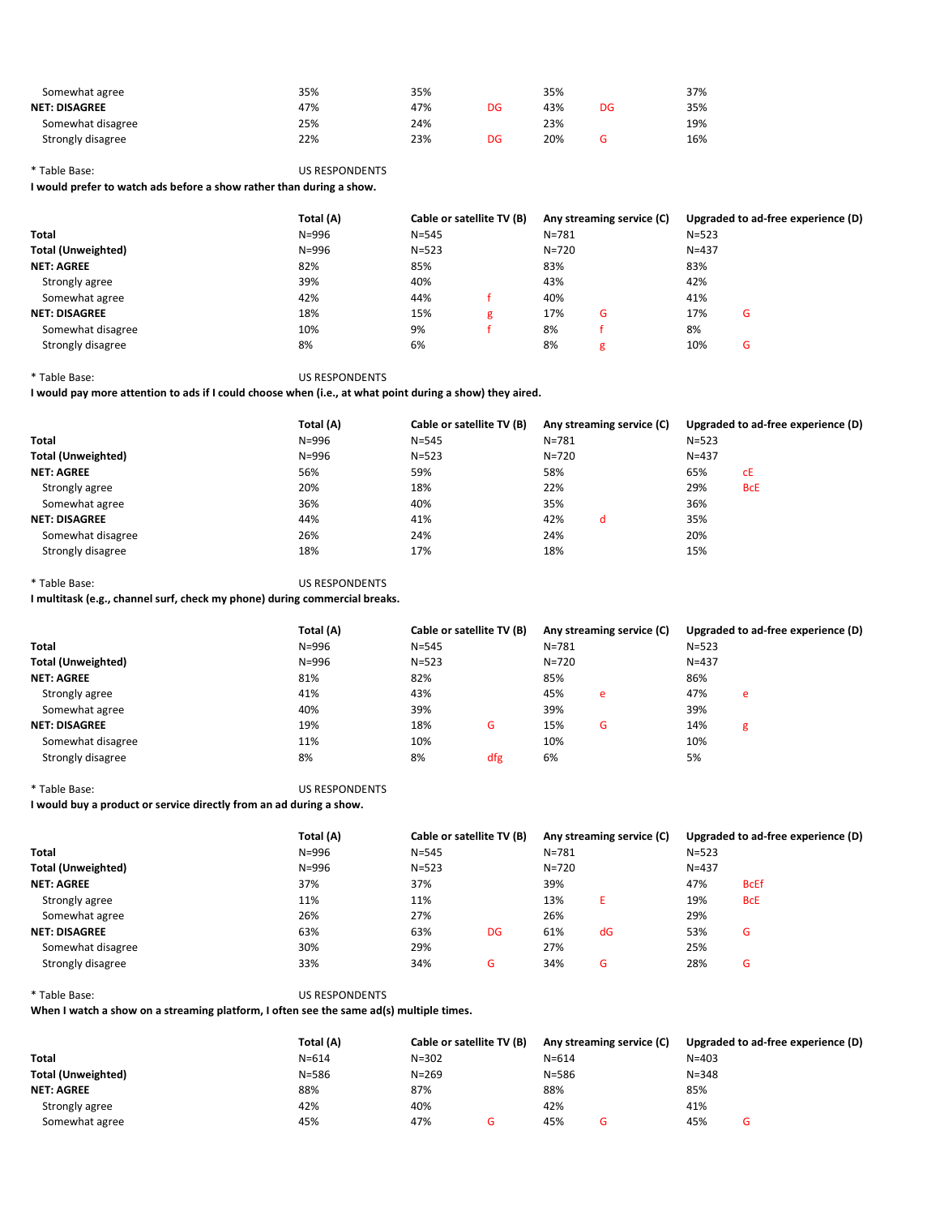| Somewhat agree       | 35% | 35% |    | 35% |    | 37% |
|----------------------|-----|-----|----|-----|----|-----|
| <b>NET: DISAGREE</b> | 47% | 47% | DG | 43% | DG | 35% |
| Somewhat disagree    | 25% | 24% |    | 23% |    | 19% |
| Strongly disagree    | 22% | 23% | DG | 20% |    | 16% |

## \* Table Base: US RESPONDENTS

I would prefer to watch ads before a show rather than during a show.

|                           | Total (A) |           | Cable or satellite TV (B) |           | Any streaming service (C) | Upgraded to ad-free experience (D) |   |  |  |
|---------------------------|-----------|-----------|---------------------------|-----------|---------------------------|------------------------------------|---|--|--|
| <b>Total</b>              | $N = 996$ | $N = 545$ |                           | $N = 781$ |                           | $N = 523$                          |   |  |  |
| <b>Total (Unweighted)</b> | $N = 996$ | $N = 523$ |                           | $N = 720$ |                           | $N = 437$                          |   |  |  |
| <b>NET: AGREE</b>         | 82%       | 85%       |                           | 83%       |                           | 83%                                |   |  |  |
| Strongly agree            | 39%       | 40%       |                           | 43%       |                           | 42%                                |   |  |  |
| Somewhat agree            | 42%       | 44%       |                           | 40%       |                           | 41%                                |   |  |  |
| <b>NET: DISAGREE</b>      | 18%       | 15%       | g                         | 17%       | G                         | 17%                                | G |  |  |
| Somewhat disagree         | 10%       | 9%        |                           | 8%        |                           | 8%                                 |   |  |  |
| Strongly disagree         | 8%        | 6%        |                           | 8%        | g                         | 10%                                | G |  |  |

\* Table Base: US RESPONDENTS

I would pay more attention to ads if I could choose when (i.e., at what point during a show) they aired.

|                           | Total (A) | Cable or satellite TV (B) | Any streaming service (C) | Upgraded to ad-free experience (D) |            |  |
|---------------------------|-----------|---------------------------|---------------------------|------------------------------------|------------|--|
| Total                     | $N = 996$ | $N = 545$                 | $N = 781$                 | $N = 523$                          |            |  |
| <b>Total (Unweighted)</b> | $N = 996$ | $N = 523$                 | $N = 720$                 | $N = 437$                          |            |  |
| <b>NET: AGREE</b>         | 56%       | 59%                       | 58%                       | 65%                                | сE         |  |
| Strongly agree            | 20%       | 18%                       | 22%                       | 29%                                | <b>BcE</b> |  |
| Somewhat agree            | 36%       | 40%                       | 35%                       | 36%                                |            |  |
| <b>NET: DISAGREE</b>      | 44%       | 41%                       | 42%<br>d                  | 35%                                |            |  |
| Somewhat disagree         | 26%       | 24%                       | 24%                       | 20%                                |            |  |
| Strongly disagree         | 18%       | 17%                       | 18%                       | 15%                                |            |  |

\* Table Base: US RESPONDENTS

I multitask (e.g., channel surf, check my phone) during commercial breaks.

|                           | Total (A) |           | Cable or satellite TV (B) |           | Any streaming service (C) | Upgraded to ad-free experience (D) |   |  |
|---------------------------|-----------|-----------|---------------------------|-----------|---------------------------|------------------------------------|---|--|
| <b>Total</b>              | $N = 996$ | $N = 545$ |                           | $N = 781$ |                           | $N = 523$                          |   |  |
| <b>Total (Unweighted)</b> | $N = 996$ | $N = 523$ |                           | $N = 720$ |                           | $N = 437$                          |   |  |
| <b>NET: AGREE</b>         | 81%       | 82%       |                           | 85%       |                           | 86%                                |   |  |
| Strongly agree            | 41%       | 43%       |                           | 45%       | e                         | 47%                                | e |  |
| Somewhat agree            | 40%       | 39%       |                           | 39%       |                           | 39%                                |   |  |
| <b>NET: DISAGREE</b>      | 19%       | 18%       | G                         | 15%       | G                         | 14%                                | g |  |
| Somewhat disagree         | 11%       | 10%       |                           | 10%       |                           | 10%                                |   |  |
| Strongly disagree         | 8%        | 8%        | dfg                       | 6%        |                           | 5%                                 |   |  |

\* Table Base: US RESPONDENTS

I would buy a product or service directly from an ad during a show.

|                           | Total (A) |           | Cable or satellite TV (B) |           | Any streaming service (C) | Upgraded to ad-free experience (D) |             |  |
|---------------------------|-----------|-----------|---------------------------|-----------|---------------------------|------------------------------------|-------------|--|
| <b>Total</b>              | $N = 996$ | $N = 545$ |                           | $N = 781$ |                           | $N = 523$                          |             |  |
| <b>Total (Unweighted)</b> | $N = 996$ | $N = 523$ |                           | $N = 720$ |                           | $N = 437$                          |             |  |
| <b>NET: AGREE</b>         | 37%       | 37%       |                           | 39%       |                           | 47%                                | <b>BcEf</b> |  |
| Strongly agree            | 11%       | 11%       |                           | 13%       |                           | 19%                                | <b>BcE</b>  |  |
| Somewhat agree            | 26%       | 27%       |                           | 26%       |                           | 29%                                |             |  |
| <b>NET: DISAGREE</b>      | 63%       | 63%       | DG                        | 61%       | dG                        | 53%                                | G           |  |
| Somewhat disagree         | 30%       | 29%       |                           | 27%       |                           | 25%                                |             |  |
| Strongly disagree         | 33%       | 34%       | G                         | 34%       | G                         | 28%                                | G           |  |

# \* Table Base: US RESPONDENTS

When I watch a show on a streaming platform, I often see the same ad(s) multiple times.

|                           | Total (A)<br>Cable or satellite TV (B) |           |  |           | Any streaming service (C) |           | Upgraded to ad-free experience (D) |
|---------------------------|----------------------------------------|-----------|--|-----------|---------------------------|-----------|------------------------------------|
| <b>Total</b>              | $N = 614$                              | $N = 302$ |  | $N = 614$ |                           | $N = 403$ |                                    |
| <b>Total (Unweighted)</b> | $N = 586$                              | $N = 269$ |  | $N = 586$ |                           | $N = 348$ |                                    |
| <b>NET: AGREE</b>         | 88%                                    | 87%       |  | 88%       |                           | 85%       |                                    |
| Strongly agree            | 42%                                    | 40%       |  | 42%       |                           | 41%       |                                    |
| Somewhat agree            | 45%                                    | 47%       |  | 45%       |                           | 45%       | G                                  |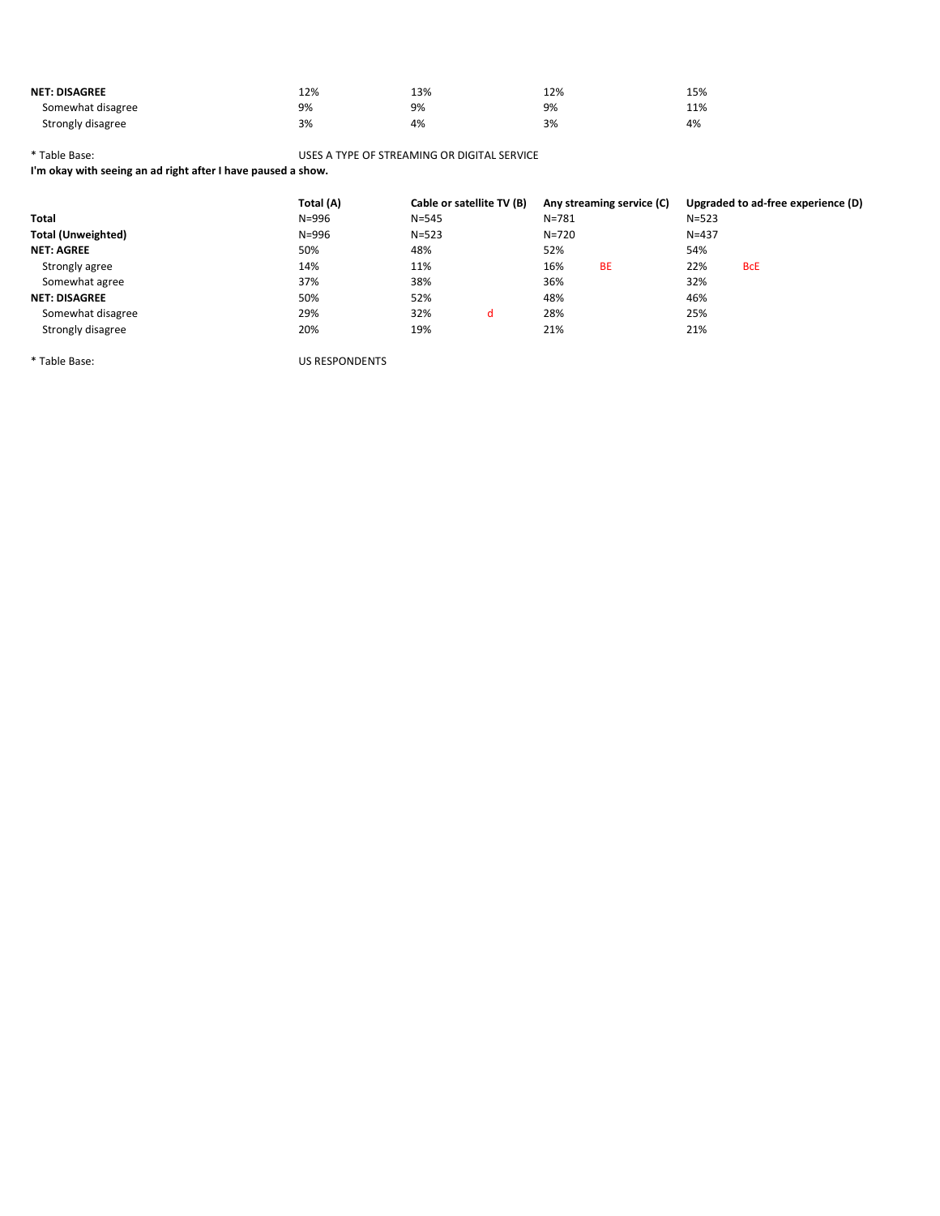| <b>NET: DISAGREE</b> | 12% | 13% | 12% | 15% |
|----------------------|-----|-----|-----|-----|
| Somewhat disagree    | 9%  | 9%  | 9%  | 11% |
| Strongly disagree    | 3%  | 4%  | 3%  | 4%  |

\* Table Base: USES A TYPE OF STREAMING OR DIGITAL SERVICE

I'm okay with seeing an ad right after I have paused a show.

|                      | Total (A) | Cable or satellite TV (B) |   |           | Any streaming service (C) | Upgraded to ad-free experience (D) |            |  |  |
|----------------------|-----------|---------------------------|---|-----------|---------------------------|------------------------------------|------------|--|--|
| Total                | $N = 996$ | $N = 545$                 |   | $N = 781$ |                           | $N = 523$                          |            |  |  |
| Total (Unweighted)   | $N = 996$ | $N = 523$                 |   | $N = 720$ |                           | $N = 437$                          |            |  |  |
| <b>NET: AGREE</b>    | 50%       | 48%                       |   | 52%       |                           | 54%                                |            |  |  |
| Strongly agree       | 14%       | 11%                       |   | 16%       | <b>BE</b>                 | 22%                                | <b>BcE</b> |  |  |
| Somewhat agree       | 37%       | 38%                       |   | 36%       |                           | 32%                                |            |  |  |
| <b>NET: DISAGREE</b> | 50%       | 52%                       |   | 48%       |                           | 46%                                |            |  |  |
| Somewhat disagree    | 29%       | 32%                       | d | 28%       |                           | 25%                                |            |  |  |
| Strongly disagree    | 20%       | 19%                       |   | 21%       |                           | 21%                                |            |  |  |

\* Table Base: US RESPONDENTS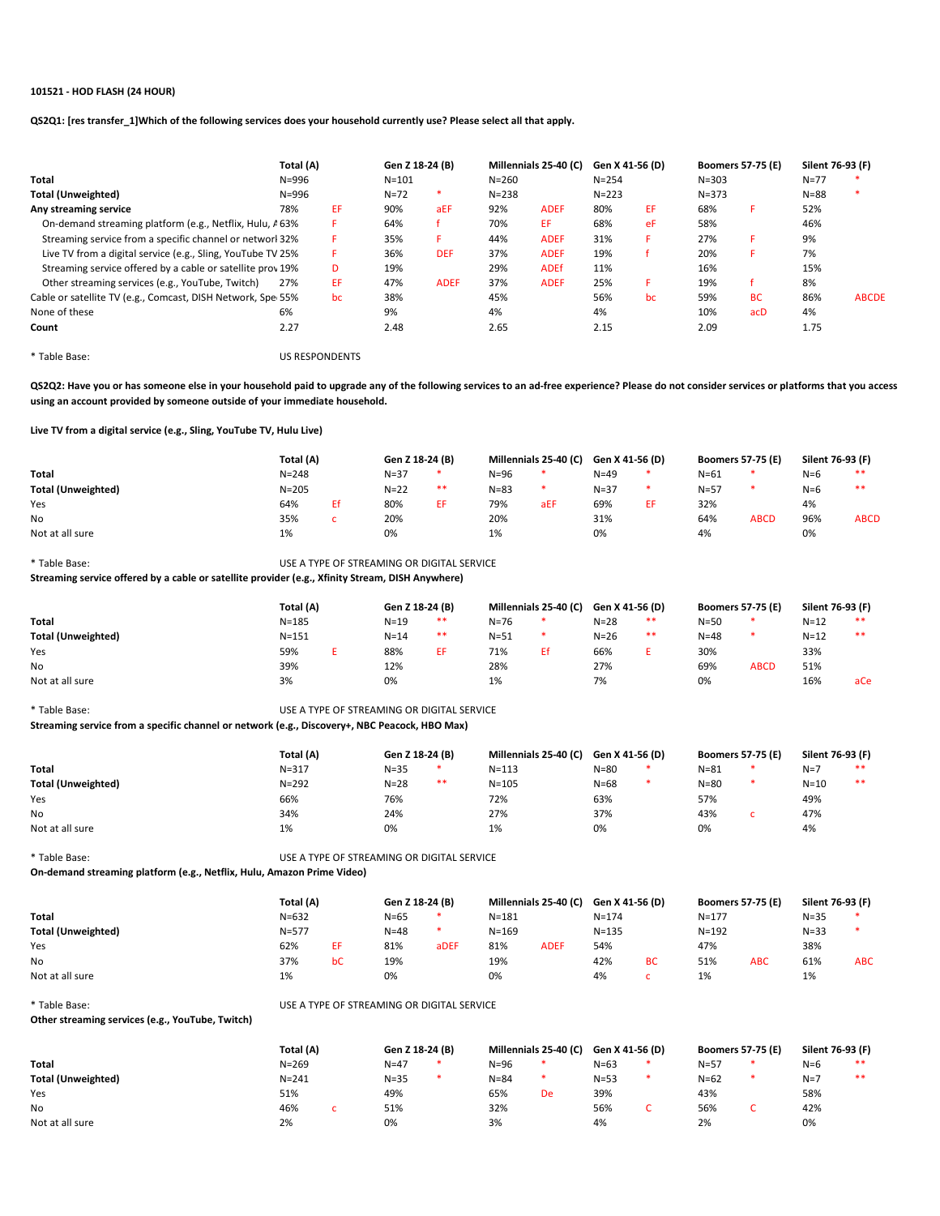## 101521 - HOD FLASH (24 HOUR)

QS2Q1: [res transfer\_1]Which of the following services does your household currently use? Please select all that apply.

|                                                             | Total (A) | Gen Z 18-24 (B) |           | Millennials 25-40 (C) |           | Gen X 41-56 (D) |           | <b>Boomers 57-75 (E)</b> |           | Silent 76-93 (F) |          |              |
|-------------------------------------------------------------|-----------|-----------------|-----------|-----------------------|-----------|-----------------|-----------|--------------------------|-----------|------------------|----------|--------------|
| Total                                                       | $N = 996$ |                 | $N = 101$ |                       | $N = 260$ |                 | $N = 254$ |                          | $N = 303$ |                  | $N = 77$ |              |
| <b>Total (Unweighted)</b>                                   | $N = 996$ |                 | $N = 72$  | ∗                     | $N = 238$ |                 | $N = 223$ |                          | $N = 373$ |                  | $N = 88$ | *            |
| Any streaming service                                       | 78%       | EF.             | 90%       | aEF                   | 92%       | <b>ADEF</b>     | 80%       | EF                       | 68%       |                  | 52%      |              |
| On-demand streaming platform (e.g., Netflix, Hulu, A 63%    |           | F.              | 64%       |                       | 70%       | EF              | 68%       | eF                       | 58%       |                  | 46%      |              |
| Streaming service from a specific channel or networl 32%    |           | F.              | 35%       | F                     | 44%       | <b>ADEF</b>     | 31%       | F.                       | 27%       | F.               | 9%       |              |
| Live TV from a digital service (e.g., Sling, YouTube TV 25% |           | F.              | 36%       | <b>DEF</b>            | 37%       | <b>ADEF</b>     | 19%       |                          | 20%       |                  | 7%       |              |
| Streaming service offered by a cable or satellite prov 19%  |           | D               | 19%       |                       | 29%       | <b>ADEf</b>     | 11%       |                          | 16%       |                  | 15%      |              |
| Other streaming services (e.g., YouTube, Twitch)            | 27%       | EF.             | 47%       | <b>ADEF</b>           | 37%       | <b>ADEF</b>     | 25%       | F.                       | 19%       |                  | 8%       |              |
| Cable or satellite TV (e.g., Comcast, DISH Network, Spe 55% |           | bc              | 38%       |                       | 45%       |                 | 56%       | bc                       | 59%       | <b>BC</b>        | 86%      | <b>ABCDE</b> |
| None of these                                               | 6%        |                 | 9%        |                       | 4%        |                 | 4%        |                          | 10%       | acD              | 4%       |              |
| Count                                                       | 2.27      |                 | 2.48      |                       | 2.65      |                 | 2.15      |                          | 2.09      |                  | 1.75     |              |
|                                                             |           |                 |           |                       |           |                 |           |                          |           |                  |          |              |

\* Table Base: US RESPONDENTS

QS2Q2: Have you or has someone else in your household paid to upgrade any of the following services to an ad-free experience? Please do not consider services or platforms that you access using an account provided by someone outside of your immediate household.

Live TV from a digital service (e.g., Sling, YouTube TV, Hulu Live)

|                           | Total (A)<br>Gen Z 18-24 (B) |  |        | Millennials 25-40 (C) |          | Gen X 41-56 (D) |          | <b>Boomers 57-75 (E)</b> |          | Silent 76-93 (F) |       |             |
|---------------------------|------------------------------|--|--------|-----------------------|----------|-----------------|----------|--------------------------|----------|------------------|-------|-------------|
| Total                     | $N = 248$                    |  | $N=37$ | *.                    | $N = 96$ |                 | $N = 49$ | *                        | $N = 61$ |                  | $N=6$ | **          |
| <b>Total (Unweighted)</b> | $N = 205$                    |  | $N=22$ | **                    | $N = 83$ |                 | $N = 37$ |                          | $N = 57$ |                  | $N=6$ | **          |
| Yes                       | 64%                          |  | 80%    | ЕF                    | 79%      | aEF             | 69%      |                          | 32%      |                  | 4%    |             |
| No                        | 35%                          |  | 20%    |                       | 20%      |                 | 31%      |                          | 64%      | <b>ABCD</b>      | 96%   | <b>ABCD</b> |
| Not at all sure           | 1%                           |  | 0%     |                       | 1%       |                 | 0%       |                          | 4%       |                  | 0%    |             |

\* Table Base: USE A TYPE OF STREAMING OR DIGITAL SERVICE

Streaming service offered by a cable or satellite provider (e.g., Xfinity Stream, DISH Anywhere)

|                           | Total (A) |  | Gen Z 18-24 (B) |    | Millennials 25-40 (C) |    | Gen X 41-56 (D) |    | <b>Boomers 57-75 (E)</b> |             | Silent 76-93 (F) |     |
|---------------------------|-----------|--|-----------------|----|-----------------------|----|-----------------|----|--------------------------|-------------|------------------|-----|
| Total                     | $N = 185$ |  | $N = 19$        | ** | $N = 76$              | *  | $N = 28$        | ** | $N = 50$                 |             | $N = 12$         | **  |
| <b>Total (Unweighted)</b> | $N = 151$ |  | $N = 14$        | ** | $N = 51$              | *  | $N=26$          | ** | $N = 48$                 |             | $N = 12$         | **  |
| Yes                       | 59%       |  | 88%             | EF | 71%                   | Ef | 66%             |    | 30%                      |             | 33%              |     |
| No                        | 39%       |  | 12%             |    | 28%                   |    | 27%             |    | 69%                      | <b>ABCD</b> | 51%              |     |
| Not at all sure           | 3%        |  | 0%              |    | 1%                    |    | 7%              |    | 0%                       |             | 16%              | aCe |

\* Table Base: USE A TYPE OF STREAMING OR DIGITAL SERVICE

Streaming service from a specific channel or network (e.g., Discovery+, NBC Peacock, HBO Max)

|                           | Total (A) | Gen Z 18-24 (B) |  | Millennials 25-40 (C) | Gen X 41-56 (D) |  | <b>Boomers 57-75 (E)</b> | Silent 76-93 (F) |    |
|---------------------------|-----------|-----------------|--|-----------------------|-----------------|--|--------------------------|------------------|----|
| <b>Total</b>              | $N = 317$ | $N = 35$<br>∗   |  | $N = 113$             | $N = 80$        |  | $N = 81$                 | $N=7$            | ** |
| <b>Total (Unweighted)</b> | $N = 292$ | **<br>$N = 28$  |  | $N = 105$             | $N = 68$        |  | $N = 80$                 | $N = 10$         | ** |
| Yes                       | 66%       | 76%             |  | 72%                   | 63%             |  | 57%                      | 49%              |    |
| <b>No</b>                 | 34%       | 24%             |  | 27%                   | 37%             |  | 43%                      | 47%              |    |
| Not at all sure           | 1%        | 0%              |  | 1%                    | 0%              |  | 0%                       | 4%               |    |

\* Table Base: USE A TYPE OF STREAMING OR DIGITAL SERVICE On-demand streaming platform (e.g., Netflix, Hulu, Amazon Prime Video)

|                           | Total (A) |    | Gen Z 18-24 (B) |      | Millennials 25-40 (C) |             | Gen X 41-56 (D) |           | <b>Boomers 57-75 (E)</b> |            | Silent 76-93 (F) |            |
|---------------------------|-----------|----|-----------------|------|-----------------------|-------------|-----------------|-----------|--------------------------|------------|------------------|------------|
| Total                     | $N = 632$ |    | $N = 65$        |      | $N = 181$             |             | $N = 174$       |           | $N = 177$                |            | $N = 35$         |            |
| <b>Total (Unweighted)</b> | $N = 577$ |    | $N = 48$        |      | $N = 169$             |             | $N = 135$       |           | $N = 192$                |            | $N = 33$         |            |
| Yes                       | 62%       |    | 81%             | aDEF | 81%                   | <b>ADEF</b> | 54%             |           | 47%                      |            | 38%              |            |
| No                        | 37%       | bC | 19%             |      | 19%                   |             | 42%             | <b>BC</b> | 51%                      | <b>ABC</b> | 61%              | <b>ABC</b> |
| Not at all sure           | 1%        |    | 0%              |      | 0%                    |             | 4%              |           | 1%                       |            | 1%               |            |

\* Table Base: USE A TYPE OF STREAMING OR DIGITAL SERVICE

Other streaming services (e.g., YouTube, Twitch)

|                           | Total (A) |  | Gen Z 18-24 (B) |  | Millennials 25-40 (C) |    | Gen X 41-56 (D) |  | <b>Boomers 57-75 (E)</b> |   | Silent 76-93 (F) |    |
|---------------------------|-----------|--|-----------------|--|-----------------------|----|-----------------|--|--------------------------|---|------------------|----|
| <b>Total</b>              | $N = 269$ |  | $N = 47$        |  | $N = 96$              |    | $N=63$          |  | $N = 57$                 | * | $N=6$            | ** |
| <b>Total (Unweighted)</b> | $N = 241$ |  | $N = 35$        |  | $N = 84$              |    | $N = 53$        |  | $N=62$                   | * | $N=7$            | ** |
| Yes                       | 51%       |  | 49%             |  | 65%                   | De | 39%             |  | 43%                      |   | 58%              |    |
| No                        | 46%       |  | 51%             |  | 32%                   |    | 56%             |  | 56%                      | ັ | 42%              |    |
| Not at all sure           | 2%        |  | 0%              |  | 3%                    |    | 4%              |  | 2%                       |   | 0%               |    |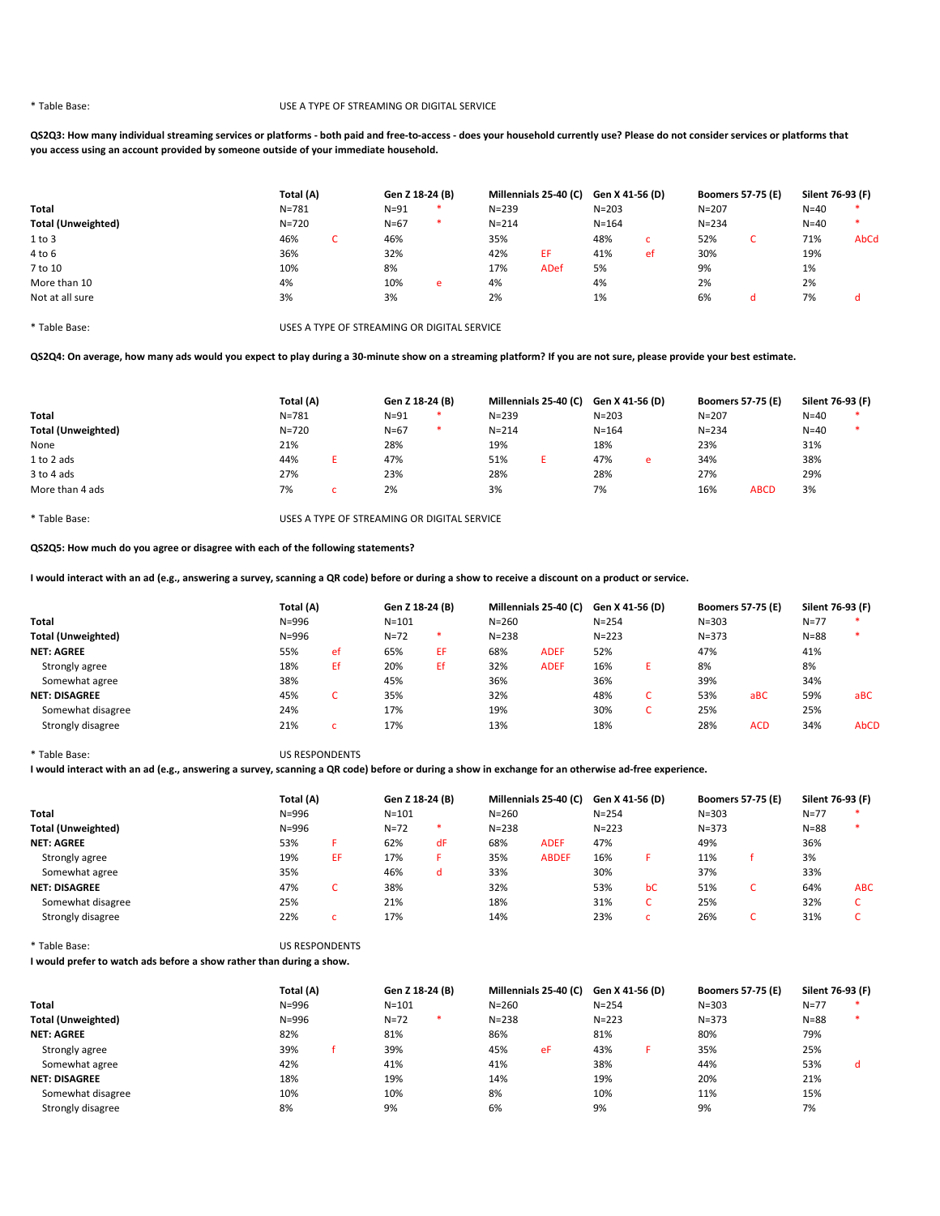### \* Table Base: USE A TYPE OF STREAMING OR DIGITAL SERVICE

QS2Q3: How many individual streaming services or platforms - both paid and free-to-access - does your household currently use? Please do not consider services or platforms that you access using an account provided by someone outside of your immediate household.

|                           | Total (A) |  |          | Gen Z 18-24 (B) |           | Millennials 25-40 (C) |           | Gen X 41-56 (D) |           | <b>Boomers 57-75 (E)</b> | Silent 76-93 (F) |      |
|---------------------------|-----------|--|----------|-----------------|-----------|-----------------------|-----------|-----------------|-----------|--------------------------|------------------|------|
| Total                     | $N = 781$ |  | $N=91$   | *               | $N = 239$ |                       | $N = 203$ |                 | $N = 207$ |                          | $N = 40$         | *    |
| <b>Total (Unweighted)</b> | $N = 720$ |  | $N = 67$ | *               | $N = 214$ |                       | $N = 164$ |                 | $N = 234$ |                          | $N=40$           | *    |
| 1 to 3                    | 46%       |  | 46%      |                 | 35%       |                       | 48%       | c               | 52%       | ◡                        | 71%              | AbCd |
| $4$ to $6$                | 36%       |  | 32%      |                 | 42%       | EF                    | 41%       | ef              | 30%       |                          | 19%              |      |
| 7 to 10                   | 10%       |  | 8%       |                 | 17%       | ADef                  | 5%        |                 | 9%        |                          | 1%               |      |
| More than 10              | 4%        |  | 10%      | e               | 4%        |                       | 4%        |                 | 2%        |                          | 2%               |      |
| Not at all sure           | 3%        |  | 3%       |                 | 2%        |                       | 1%        |                 | 6%        | a                        | 7%               | d    |
|                           |           |  |          |                 |           |                       |           |                 |           |                          |                  |      |

\* Table Base: USES A TYPE OF STREAMING OR DIGITAL SERVICE

QS2Q4: On average, how many ads would you expect to play during a 30-minute show on a streaming platform? If you are not sure, please provide your best estimate.

|                           | Total (A) |  | Gen Z 18-24 (B) |   | Millennials 25-40 (C) Gen X 41-56 (D) |  |           |   | <b>Boomers 57-75 (E)</b> |             | Silent 76-93 (F) |   |
|---------------------------|-----------|--|-----------------|---|---------------------------------------|--|-----------|---|--------------------------|-------------|------------------|---|
| <b>Total</b>              | $N = 781$ |  | $N=91$          | ∗ | $N = 239$                             |  | $N = 203$ |   | $N = 207$                |             | $N=40$           | ∗ |
| <b>Total (Unweighted)</b> | $N = 720$ |  | $N = 67$        | ∗ | $N = 214$                             |  | $N = 164$ |   | $N = 234$                |             | $N = 40$         | * |
| None                      | 21%       |  | 28%             |   | 19%                                   |  | 18%       |   | 23%                      |             | 31%              |   |
| 1 to 2 ads                | 44%       |  | 47%             |   | 51%                                   |  | 47%       | e | 34%                      |             | 38%              |   |
| 3 to 4 ads                | 27%       |  | 23%             |   | 28%                                   |  | 28%       |   | 27%                      |             | 29%              |   |
| More than 4 ads           | 7%        |  | 2%              |   | 3%                                    |  | 7%        |   | 16%                      | <b>ABCD</b> | 3%               |   |

\* Table Base: USES A TYPE OF STREAMING OR DIGITAL SERVICE

QS2Q5: How much do you agree or disagree with each of the following statements?

I would interact with an ad (e.g., answering a survey, scanning a QR code) before or during a show to receive a discount on a product or service.

|                           |           | Total (A) |           | Gen Z 18-24 (B) |           | Millennials 25-40 (C) |           | Gen X 41-56 (D) | <b>Boomers 57-75 (E)</b> |            | Silent 76-93 (F) |             |
|---------------------------|-----------|-----------|-----------|-----------------|-----------|-----------------------|-----------|-----------------|--------------------------|------------|------------------|-------------|
| Total                     | $N = 996$ |           | $N = 101$ |                 | $N = 260$ |                       | $N = 254$ |                 | $N = 303$                |            | $N = 77$         |             |
| <b>Total (Unweighted)</b> | $N = 996$ |           | $N = 72$  | *               | $N = 238$ |                       | $N = 223$ |                 | $N = 373$                |            | $N = 88$         |             |
| <b>NET: AGREE</b>         | 55%       | ef        | 65%       | EF.             | 68%       | <b>ADEF</b>           | 52%       |                 | 47%                      |            | 41%              |             |
| Strongly agree            | 18%       | Εf        | 20%       | Еf              | 32%       | <b>ADEF</b>           | 16%       |                 | 8%                       |            | 8%               |             |
| Somewhat agree            | 38%       |           | 45%       |                 | 36%       |                       | 36%       |                 | 39%                      |            | 34%              |             |
| <b>NET: DISAGREE</b>      | 45%       |           | 35%       |                 | 32%       |                       | 48%       |                 | 53%                      | aBC        | 59%              | aBC         |
| Somewhat disagree         | 24%       |           | 17%       |                 | 19%       |                       | 30%       |                 | 25%                      |            | 25%              |             |
| Strongly disagree         | 21%       |           | 17%       |                 | 13%       |                       | 18%       |                 | 28%                      | <b>ACD</b> | 34%              | <b>AbCD</b> |

\* Table Base: US RESPONDENTS

I would interact with an ad (e.g., answering a survey, scanning a QR code) before or during a show in exchange for an otherwise ad-free experience.

|                           | Total (A) |    |           | Millennials 25-40 (C)<br>Gen Z 18-24 (B)<br>Gen X 41-56 (D) |           |              | <b>Boomers 57-75 (E)</b> |    | Silent 76-93 (F) |             |          |            |
|---------------------------|-----------|----|-----------|-------------------------------------------------------------|-----------|--------------|--------------------------|----|------------------|-------------|----------|------------|
| Total                     | $N = 996$ |    | $N = 101$ |                                                             | $N = 260$ |              | $N = 254$                |    | $N = 303$        |             | $N = 77$ |            |
| <b>Total (Unweighted)</b> | $N = 996$ |    | $N = 72$  | *                                                           | $N = 238$ |              | $N = 223$                |    | $N = 373$        |             | $N = 88$ |            |
| <b>NET: AGREE</b>         | 53%       |    | 62%       | dF                                                          | 68%       | <b>ADEF</b>  | 47%                      |    | 49%              |             | 36%      |            |
| Strongly agree            | 19%       | ΕF | 17%       |                                                             | 35%       | <b>ABDEF</b> | 16%                      |    | 11%              |             | 3%       |            |
| Somewhat agree            | 35%       |    | 46%       | d                                                           | 33%       |              | 30%                      |    | 37%              |             | 33%      |            |
| <b>NET: DISAGREE</b>      | 47%       |    | 38%       |                                                             | 32%       |              | 53%                      | bC | 51%              | $\sim$<br>J | 64%      | <b>ABC</b> |
| Somewhat disagree         | 25%       |    | 21%       |                                                             | 18%       |              | 31%                      |    | 25%              |             | 32%      |            |
| Strongly disagree         | 22%       |    | 17%       |                                                             | 14%       |              | 23%                      |    | 26%              |             | 31%      |            |

\* Table Base: US RESPONDENTS

I would prefer to watch ads before a show rather than during a show.

|                           | Total (A) |           | Gen Z 18-24 (B) |   | Millennials 25-40 (C) |    | Gen X 41-56 (D) |  | <b>Boomers 57-75 (E)</b> | Silent 76-93 (F) |   |
|---------------------------|-----------|-----------|-----------------|---|-----------------------|----|-----------------|--|--------------------------|------------------|---|
| Total                     | $N = 996$ | $N = 101$ |                 |   | $N = 260$             |    | $N = 254$       |  | $N = 303$                | $N=77$           |   |
| <b>Total (Unweighted)</b> | $N = 996$ |           | $N = 72$        | * | $N = 238$             |    | $N = 223$       |  | $N = 373$                | $N = 88$         |   |
| <b>NET: AGREE</b>         | 82%       |           | 81%             |   | 86%                   |    | 81%             |  | 80%                      | 79%              |   |
| Strongly agree            | 39%       |           | 39%             |   | 45%                   | eF | 43%             |  | 35%                      | 25%              |   |
| Somewhat agree            | 42%       |           | 41%             |   | 41%                   |    | 38%             |  | 44%                      | 53%              | d |
| <b>NET: DISAGREE</b>      | 18%       |           | 19%             |   | 14%                   |    | 19%             |  | 20%                      | 21%              |   |
| Somewhat disagree         | 10%       |           | 10%             |   | 8%                    |    | 10%             |  | 11%                      | 15%              |   |
| Strongly disagree         | 8%        |           | 9%              |   | 6%                    |    | 9%              |  | 9%                       | 7%               |   |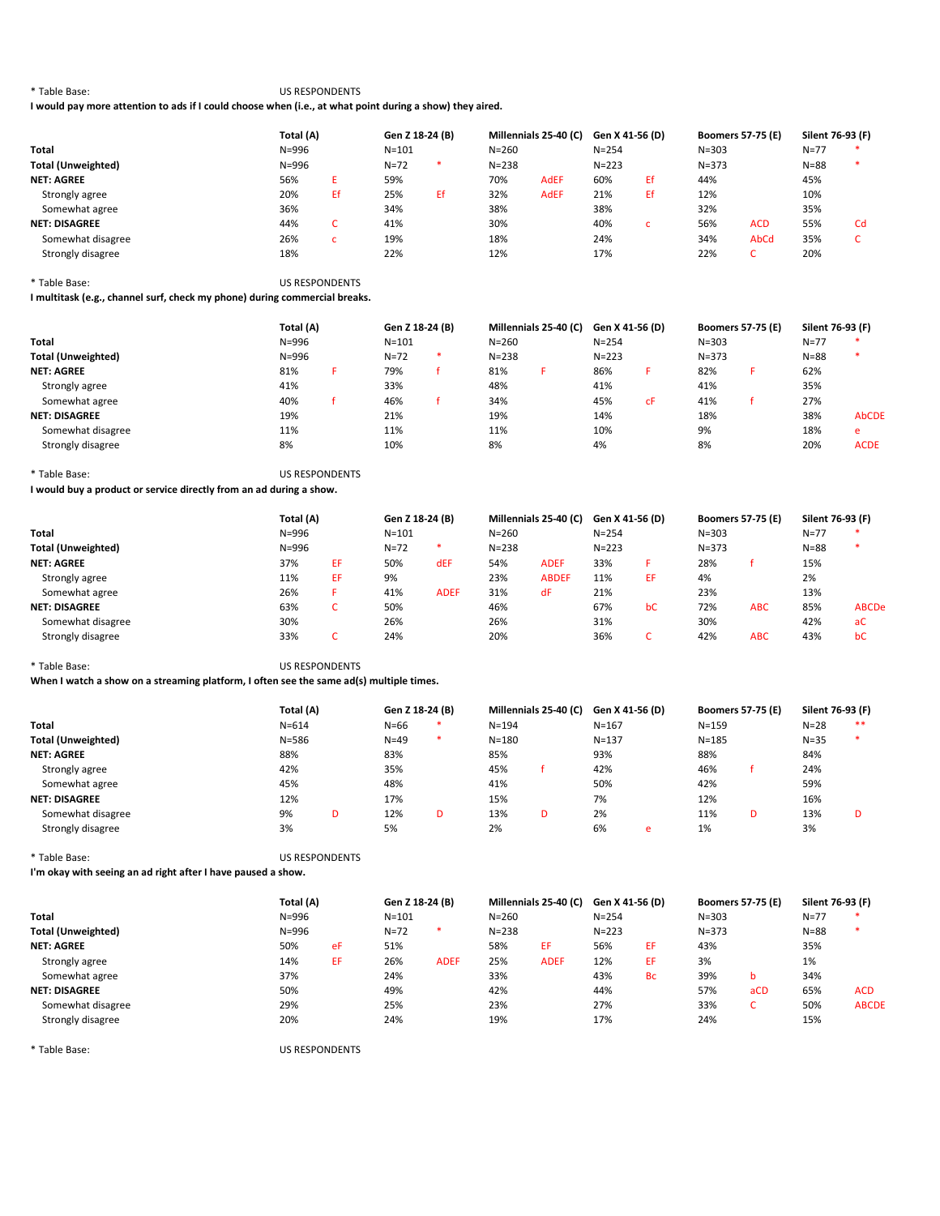\* Table Base: US RESPONDENTS

I would pay more attention to ads if I could choose when (i.e., at what point during a show) they aired.

|                           | Total (A) |     | Gen Z 18-24 (B) |    | Millennials 25-40 (C) |             | Gen X 41-56 (D) |    | <b>Boomers 57-75 (E)</b> |            | Silent 76-93 (F) |    |
|---------------------------|-----------|-----|-----------------|----|-----------------------|-------------|-----------------|----|--------------------------|------------|------------------|----|
| <b>Total</b>              | $N = 996$ |     | $N = 101$       |    | $N = 260$             |             | $N = 254$       |    | $N = 303$                |            | $N = 77$         | *  |
| <b>Total (Unweighted)</b> | $N = 996$ |     | $N = 72$        | *  | $N = 238$             |             | $N = 223$       |    | $N = 373$                |            | $N = 88$         | *  |
| <b>NET: AGREE</b>         | 56%       |     | 59%             |    | 70%                   | <b>AdEF</b> | 60%             | Еf | 44%                      |            | 45%              |    |
| Strongly agree            | 20%       | Ef. | 25%             | Ef | 32%                   | <b>AdEF</b> | 21%             | Еf | 12%                      |            | 10%              |    |
| Somewhat agree            | 36%       |     | 34%             |    | 38%                   |             | 38%             |    | 32%                      |            | 35%              |    |
| <b>NET: DISAGREE</b>      | 44%       |     | 41%             |    | 30%                   |             | 40%             |    | 56%                      | <b>ACD</b> | 55%              | Cd |
| Somewhat disagree         | 26%       |     | 19%             |    | 18%                   |             | 24%             |    | 34%                      | AbCd       | 35%              |    |
| Strongly disagree         | 18%       |     | 22%             |    | 12%                   |             | 17%             |    | 22%                      | ∽<br>◡     | 20%              |    |

\* Table Base: US RESPONDENTS

I multitask (e.g., channel surf, check my phone) during commercial breaks.

|                           | Total (A) |  | Gen Z 18-24 (B) |  | Millennials 25-40 (C) |  | Gen X 41-56 (D) |    | <b>Boomers 57-75 (E)</b> | Silent 76-93 (F) |              |
|---------------------------|-----------|--|-----------------|--|-----------------------|--|-----------------|----|--------------------------|------------------|--------------|
| Total                     | $N = 996$ |  | $N = 101$       |  | $N = 260$             |  | $N = 254$       |    | $N = 303$                | $N = 77$         |              |
| <b>Total (Unweighted)</b> | $N = 996$ |  | $N = 72$        |  | $N = 238$             |  | $N = 223$       |    | $N = 373$                | $N = 88$         | $\ast$       |
| <b>NET: AGREE</b>         | 81%       |  | 79%             |  | 81%                   |  | 86%             |    | 82%                      | 62%              |              |
| Strongly agree            | 41%       |  | 33%             |  | 48%                   |  | 41%             |    | 41%                      | 35%              |              |
| Somewhat agree            | 40%       |  | 46%             |  | 34%                   |  | 45%             | сF | 41%                      | 27%              |              |
| <b>NET: DISAGREE</b>      | 19%       |  | 21%             |  | 19%                   |  | 14%             |    | 18%                      | 38%              | <b>AbCDE</b> |
| Somewhat disagree         | 11%       |  | 11%             |  | 11%                   |  | 10%             |    | 9%                       | 18%              | e            |
| Strongly disagree         | 8%        |  | 10%             |  | 8%                    |  | 4%              |    | 8%                       | 20%              | <b>ACDE</b>  |

<sup>\*</sup> Table Base: US RESPONDENTS

I would buy a product or service directly from an ad during a show.

|                           | Total (A) |    | Gen Z 18-24 (B) |             | Millennials 25-40 (C) | Gen X 41-56 (D) |           | <b>Boomers 57-75 (E)</b> |           | Silent 76-93 (F) |          |              |
|---------------------------|-----------|----|-----------------|-------------|-----------------------|-----------------|-----------|--------------------------|-----------|------------------|----------|--------------|
| <b>Total</b>              | $N = 996$ |    | $N = 101$       |             | $N = 260$             |                 | $N = 254$ |                          | $N = 303$ |                  | $N = 77$ |              |
| <b>Total (Unweighted)</b> | $N = 996$ |    | $N = 72$        | *           | $N = 238$             |                 | $N = 223$ |                          | $N = 373$ |                  | $N = 88$ |              |
| <b>NET: AGREE</b>         | 37%       | EF | 50%             | dEF         | 54%                   | <b>ADEF</b>     | 33%       |                          | 28%       |                  | 15%      |              |
| Strongly agree            | 11%       | EF | 9%              |             | 23%                   | <b>ABDEF</b>    | 11%       | ЕF                       | 4%        |                  | 2%       |              |
| Somewhat agree            | 26%       |    | 41%             | <b>ADEF</b> | 31%                   | dF              | 21%       |                          | 23%       |                  | 13%      |              |
| <b>NET: DISAGREE</b>      | 63%       |    | 50%             |             | 46%                   |                 | 67%       | bC                       | 72%       | <b>ABC</b>       | 85%      | <b>ABCDe</b> |
| Somewhat disagree         | 30%       |    | 26%             |             | 26%                   |                 | 31%       |                          | 30%       |                  | 42%      | aC           |
| Strongly disagree         | 33%       |    | 24%             |             | 20%                   |                 | 36%       | ◡                        | 42%       | <b>ABC</b>       | 43%      | bC           |

\* Table Base: US RESPONDENTS

When I watch a show on a streaming platform, I often see the same ad(s) multiple times.

|                           | Total (A) |   | Gen Z 18-24 (B) |   | Millennials 25-40 (C) |   | Gen X 41-56 (D) |   | <b>Boomers 57-75 (E)</b> |   | Silent 76-93 (F) |    |
|---------------------------|-----------|---|-----------------|---|-----------------------|---|-----------------|---|--------------------------|---|------------------|----|
| Total                     | $N = 614$ |   | $N = 66$        |   | $N = 194$             |   | $N = 167$       |   | $N = 159$                |   | $N=28$           | ** |
| <b>Total (Unweighted)</b> | $N = 586$ |   | $N=49$          | * | $N = 180$             |   | $N = 137$       |   | $N = 185$                |   | $N = 35$         |    |
| <b>NET: AGREE</b>         | 88%       |   | 83%             |   | 85%                   |   | 93%             |   | 88%                      |   | 84%              |    |
| Strongly agree            | 42%       |   | 35%             |   | 45%                   |   | 42%             |   | 46%                      |   | 24%              |    |
| Somewhat agree            | 45%       |   | 48%             |   | 41%                   |   | 50%             |   | 42%                      |   | 59%              |    |
| <b>NET: DISAGREE</b>      | 12%       |   | 17%             |   | 15%                   |   | 7%              |   | 12%                      |   | 16%              |    |
| Somewhat disagree         | 9%        | D | 12%             | D | 13%                   | D | 2%              |   | 11%                      | D | 13%              |    |
| Strongly disagree         | 3%        |   | 5%              |   | 2%                    |   | 6%              | e | 1%                       |   | 3%               |    |

\* Table Base: US RESPONDENTS

I'm okay with seeing an ad right after I have paused a show.

|                           |           | Total (A) |           | Gen Z 18-24 (B) |           | Millennials 25-40 (C) |           | Gen X 41-56 (D) |           | <b>Boomers 57-75 (E)</b> | Silent 76-93 (F) |              |
|---------------------------|-----------|-----------|-----------|-----------------|-----------|-----------------------|-----------|-----------------|-----------|--------------------------|------------------|--------------|
| <b>Total</b>              | $N = 996$ |           | $N = 101$ |                 | $N = 260$ |                       | $N = 254$ |                 | $N = 303$ |                          | $N = 77$         | $\ast$       |
| <b>Total (Unweighted)</b> | $N = 996$ |           | $N=72$    | *               | $N = 238$ |                       | $N = 223$ |                 | $N = 373$ |                          | $N = 88$         | *            |
| <b>NET: AGREE</b>         | 50%       | eF        | 51%       |                 | 58%       | ЕF                    | 56%       | EF.             | 43%       |                          | 35%              |              |
| Strongly agree            | 14%       | EF        | 26%       | <b>ADEF</b>     | 25%       | <b>ADEF</b>           | 12%       | EF.             | 3%        |                          | 1%               |              |
| Somewhat agree            | 37%       |           | 24%       |                 | 33%       |                       | 43%       | <b>Bc</b>       | 39%       |                          | 34%              |              |
| <b>NET: DISAGREE</b>      | 50%       |           | 49%       |                 | 42%       |                       | 44%       |                 | 57%       | aCD                      | 65%              | <b>ACD</b>   |
| Somewhat disagree         | 29%       |           | 25%       |                 | 23%       |                       | 27%       |                 | 33%       | $\epsilon$               | 50%              | <b>ABCDE</b> |
| Strongly disagree         | 20%       |           | 24%       |                 | 19%       |                       | 17%       |                 | 24%       |                          | 15%              |              |

\* Table Base: US RESPONDENTS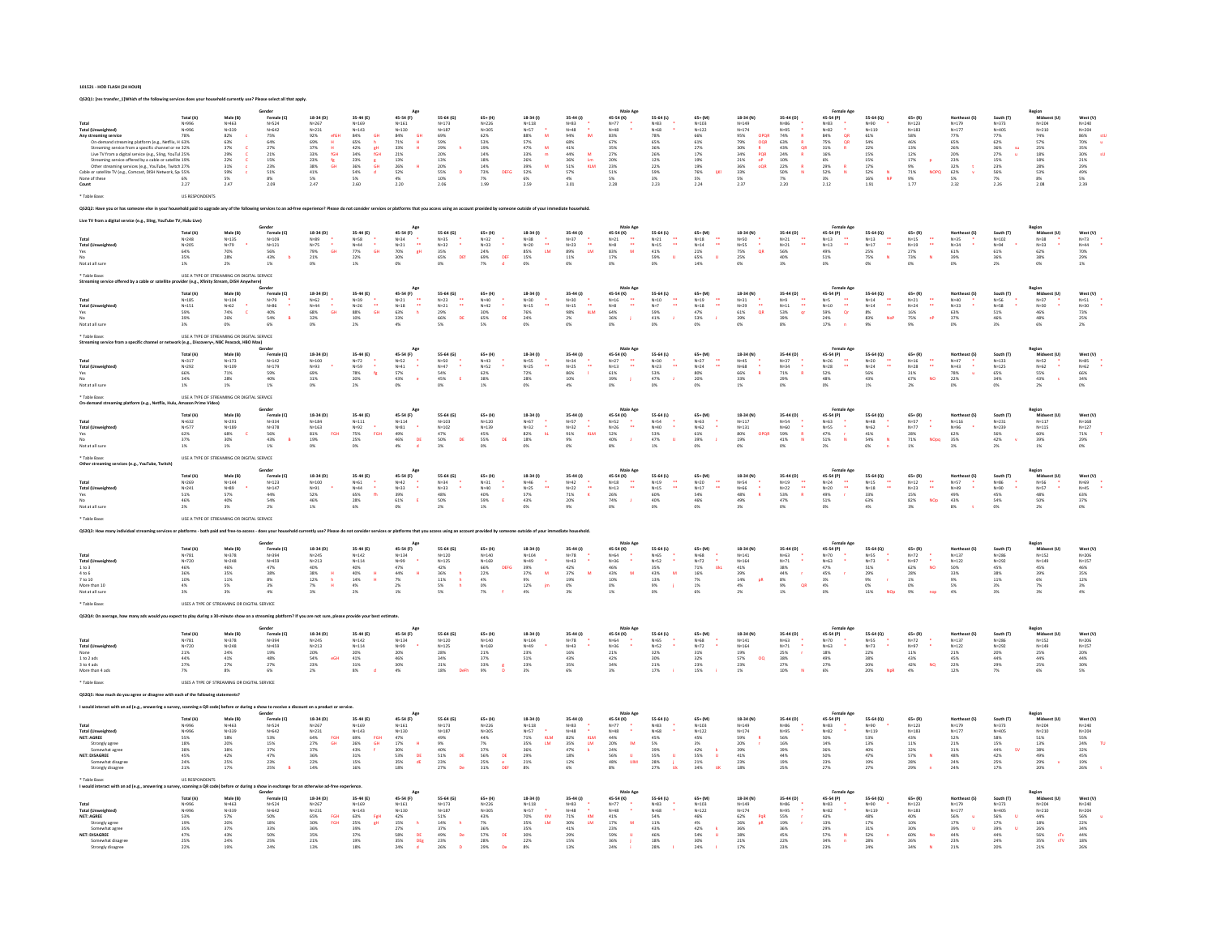|                                                                                                                                                                                                                               |                                                          |                                              | Gender                                                          |                                                               |                                                                           |                                                                                           |                                                                                |                                                                                                                     |                                                                                                                                                                     |                                                                                                                  |                                                                                          |                                                                   |                                                                                                        |                                                                                     |                                                                     | Female Ag                                                                   |                                                                      |                                                                                                        |                                                                                                       |                                                                           | Region<br>Midwest (U                                                                                         |                                                                                                                                                                                                                              |
|-------------------------------------------------------------------------------------------------------------------------------------------------------------------------------------------------------------------------------|----------------------------------------------------------|----------------------------------------------|-----------------------------------------------------------------|---------------------------------------------------------------|---------------------------------------------------------------------------|-------------------------------------------------------------------------------------------|--------------------------------------------------------------------------------|---------------------------------------------------------------------------------------------------------------------|---------------------------------------------------------------------------------------------------------------------------------------------------------------------|------------------------------------------------------------------------------------------------------------------|------------------------------------------------------------------------------------------|-------------------------------------------------------------------|--------------------------------------------------------------------------------------------------------|-------------------------------------------------------------------------------------|---------------------------------------------------------------------|-----------------------------------------------------------------------------|----------------------------------------------------------------------|--------------------------------------------------------------------------------------------------------|-------------------------------------------------------------------------------------------------------|---------------------------------------------------------------------------|--------------------------------------------------------------------------------------------------------------|------------------------------------------------------------------------------------------------------------------------------------------------------------------------------------------------------------------------------|
|                                                                                                                                                                                                                               | Total (A)                                                | Male (B)                                     | Female (C)<br>N=524                                             | 18-34 (D)                                                     | 35-44 (E)                                                                 | 45-54 (F)                                                                                 | 55-64 (G)                                                                      | $65+ (H)$                                                                                                           | $18-34(1)$                                                                                                                                                          | 35-44 (J)                                                                                                        | 45-54 (K)                                                                                | 55-64 (L)                                                         | 65+ (M                                                                                                 | 18-34 (N)                                                                           | 35-44 (0)                                                           | 45-54 (P)                                                                   | 55-64 (Q)                                                            | $65 + (R)$                                                                                             | Northeast (S                                                                                          | South (T)                                                                 |                                                                                                              | West (V)                                                                                                                                                                                                                     |
|                                                                                                                                                                                                                               | N=996<br>N=996                                           | N=463<br>N=339<br>82%<br>63%<br>37%          |                                                                 | N=267<br>N=231                                                |                                                                           |                                                                                           |                                                                                |                                                                                                                     |                                                                                                                                                                     |                                                                                                                  |                                                                                          | N=83<br>N=68                                                      | $N = 103$<br>$N = 122$                                                                                 |                                                                                     |                                                                     |                                                                             | N=90                                                                 | $N=123$<br>$N=183$                                                                                     | N=179<br>N=177                                                                                        |                                                                           |                                                                                                              |                                                                                                                                                                                                                              |
| Any streaming service                                                                                                                                                                                                         | 78%                                                      |                                              |                                                                 | efGH                                                          |                                                                           |                                                                                           |                                                                                |                                                                                                                     | M                                                                                                                                                                   | $\mathbf{m}$                                                                                                     |                                                                                          | 78%                                                               |                                                                                                        |                                                                                     |                                                                     |                                                                             |                                                                      |                                                                                                        |                                                                                                       |                                                                           |                                                                                                              |                                                                                                                                                                                                                              |
| ning platform (e.g., Netflix, H 63%                                                                                                                                                                                           |                                                          |                                              |                                                                 |                                                               |                                                                           | $\frac{dH}{dH}$                                                                           |                                                                                |                                                                                                                     |                                                                                                                                                                     |                                                                                                                  |                                                                                          | $65%$<br>36%                                                      |                                                                                                        |                                                                                     |                                                                     | $\frac{QR}{QR}$                                                             |                                                                      |                                                                                                        |                                                                                                       |                                                                           |                                                                                                              |                                                                                                                                                                                                                              |
|                                                                                                                                                                                                                               |                                                          |                                              |                                                                 |                                                               | GH<br>h<br>gH<br>fGH                                                      |                                                                                           |                                                                                |                                                                                                                     | $\begin{array}{c}\mathbf{M} \ \mathbf{m}\end{array}$                                                                                                                |                                                                                                                  |                                                                                          |                                                                   |                                                                                                        |                                                                                     | $\begin{array}{c}\nR \\ R \\ QR \\ R\n\end{array}$                  | $\mathbf{R}$                                                                |                                                                      |                                                                                                        |                                                                                                       | su                                                                        |                                                                                                              |                                                                                                                                                                                                                              |
| $\begin{array}{l} \mbox{Streaming service from a specific channel or no 32\%} \\ \mbox{Live TV from a digital service (e.g., Sling, YouTu 25\%} \\ \mbox{Streaming service offered by a cable or satellite 19\%} \end{array}$ |                                                          |                                              |                                                                 |                                                               |                                                                           |                                                                                           |                                                                                |                                                                                                                     |                                                                                                                                                                     |                                                                                                                  |                                                                                          |                                                                   |                                                                                                        | OPQR<br>OQR<br>R<br>PQR<br>OP                                                       |                                                                     |                                                                             |                                                                      |                                                                                                        |                                                                                                       |                                                                           |                                                                                                              |                                                                                                                                                                                                                              |
| Other streaming services (e.g., YouTube, Twitch 27%                                                                                                                                                                           |                                                          | 29%<br>22%<br>31%<br>59%<br>5%<br>5%<br>2.47 | N=524<br>N=642<br>75%<br>64%<br>27%<br>21%<br>23%<br>51%<br>51% | 92%<br>69%<br>37%<br>33%<br>33%<br>38%<br>41%<br>도 H GH<br>대학 | 35-44 169<br>N=143<br>84%<br>65% 42% 34%<br>35% 36% 54%<br>$\frac{8}{9}H$ | 45-34 V<br>N=161<br>N=130<br>84%<br>71%<br>33%<br>21%<br>13%<br>26%<br>52%                | N=173<br>N=187<br>69%<br>59%<br>20%<br>20%<br>13%<br>20%<br>55%<br>10%<br>2.06 | N=226<br>N=305<br>62%<br>53%<br>53%<br>19%<br>14%<br>14%<br>73%<br>7%<br>199                                        | N=118<br>N=57<br>SS%<br>S7%<br>SS%<br>39%<br>39%<br>S2%<br>SS2%<br>SS2%<br>SS2%<br>$\mathbf{M}$                                                                     | N=83<br>N=48<br>94%<br>68%<br>44%<br>44%<br>36%<br>57%<br>57%<br>$\begin{array}{c}\nM \\ Lm \\ KLM\n\end{array}$ | N=77<br>N=48<br>83%<br>67%<br>35%<br>27%<br>20%<br>23%<br>51%<br>5%<br>2.28              | 26%<br>12%<br>22%<br>59%<br>3%<br>3%                              | 66%<br>61%<br>27%<br>19%<br>19%<br>76%<br>5%<br>224                                                    | N=149<br>N=174<br>95%<br>79%<br>30%<br>34%<br>21%<br>36%<br>5%<br>5%<br>2.37<br>oQR | N=86<br>N=95<br>74%<br>63%<br>43%<br>24%<br>10%<br>22%<br>50%<br>7% | N=83<br>N=82<br>84%<br>S5%<br>31%<br>16%<br>29%<br>52%<br>3%<br>2.12        | N=119<br>61%<br>54%<br>22%<br>15%<br>15%<br>17%<br>52%<br>16%<br>191 | 58%<br>46%<br>13%<br>12%<br>17%<br>9%<br>71%<br>9%<br>1.77                                             | 77%<br>65%<br>26%<br>26%<br>23%<br>32%<br>62%<br>5%<br>2.32                                           | N=373<br>77%<br>62%<br>62%<br>36%<br>27%<br>15%<br>7%<br>7%<br>2.26       | $\begin{array}{l} N{=}204\\ N{=}210\\ 74\%\\ 7\%\\ 57\%\\ 25\%\\ 18\%\\ 28\%\\ 3\%\\ 8\%\\ 2.08 \end{array}$ | $\begin{array}{r} \mathsf{N} \texttt{=} 240 \\ \mathsf{N} \texttt{=} 204 \\ \texttt{86\%} \\ \texttt{70\%} \\ \texttt{35\%} \\ \texttt{30\%} \\ \texttt{21\%} \\ \texttt{29\%} \\ \texttt{5\%} \\ \texttt{2.39} \end{array}$ |
| Cable or satellite TV (e.g., Comcast, DISH Network, Sp 55%                                                                                                                                                                    |                                                          |                                              |                                                                 |                                                               |                                                                           |                                                                                           |                                                                                | DEFO                                                                                                                |                                                                                                                                                                     |                                                                                                                  |                                                                                          |                                                                   | ijЮ                                                                                                    |                                                                                     |                                                                     |                                                                             | $\frac{\mathsf{N}}{\mathsf{N}\mathsf{P}}$                            | <b>NOPC</b>                                                                                            |                                                                                                       |                                                                           |                                                                                                              |                                                                                                                                                                                                                              |
| None of these                                                                                                                                                                                                                 | 6%                                                       |                                              | 8%<br>2.09                                                      | $\frac{5\%}{2.47}$                                            | 5%<br>2.60                                                                | 4%<br>2.20                                                                                |                                                                                |                                                                                                                     |                                                                                                                                                                     | 3.01                                                                                                             |                                                                                          |                                                                   |                                                                                                        |                                                                                     | 2.20                                                                |                                                                             |                                                                      |                                                                                                        |                                                                                                       |                                                                           |                                                                                                              |                                                                                                                                                                                                                              |
| Count                                                                                                                                                                                                                         | 2.27                                                     |                                              |                                                                 |                                                               |                                                                           |                                                                                           |                                                                                |                                                                                                                     |                                                                                                                                                                     |                                                                                                                  |                                                                                          |                                                                   |                                                                                                        |                                                                                     |                                                                     |                                                                             |                                                                      |                                                                                                        |                                                                                                       |                                                                           |                                                                                                              |                                                                                                                                                                                                                              |
|                                                                                                                                                                                                                               | US RESPONDENT!                                           |                                              |                                                                 |                                                               |                                                                           |                                                                                           |                                                                                |                                                                                                                     |                                                                                                                                                                     |                                                                                                                  |                                                                                          |                                                                   |                                                                                                        |                                                                                     |                                                                     |                                                                             |                                                                      |                                                                                                        |                                                                                                       |                                                                           |                                                                                                              |                                                                                                                                                                                                                              |
|                                                                                                                                                                                                                               |                                                          |                                              |                                                                 |                                                               |                                                                           |                                                                                           |                                                                                |                                                                                                                     |                                                                                                                                                                     |                                                                                                                  |                                                                                          |                                                                   |                                                                                                        |                                                                                     |                                                                     |                                                                             |                                                                      |                                                                                                        |                                                                                                       |                                                                           |                                                                                                              |                                                                                                                                                                                                                              |
|                                                                                                                                                                                                                               |                                                          |                                              | ervices to an ad-free experience?                               |                                                               |                                                                           |                                                                                           |                                                                                |                                                                                                                     | outside of your immediate                                                                                                                                           |                                                                                                                  |                                                                                          |                                                                   |                                                                                                        |                                                                                     |                                                                     |                                                                             |                                                                      |                                                                                                        |                                                                                                       |                                                                           |                                                                                                              |                                                                                                                                                                                                                              |
| rvice (e.g., Sling, YouTube                                                                                                                                                                                                   |                                                          |                                              |                                                                 |                                                               |                                                                           |                                                                                           |                                                                                |                                                                                                                     |                                                                                                                                                                     |                                                                                                                  |                                                                                          |                                                                   |                                                                                                        |                                                                                     |                                                                     |                                                                             |                                                                      |                                                                                                        |                                                                                                       |                                                                           |                                                                                                              |                                                                                                                                                                                                                              |
|                                                                                                                                                                                                                               |                                                          |                                              |                                                                 |                                                               |                                                                           |                                                                                           |                                                                                |                                                                                                                     |                                                                                                                                                                     |                                                                                                                  |                                                                                          |                                                                   |                                                                                                        |                                                                                     |                                                                     |                                                                             |                                                                      |                                                                                                        |                                                                                                       |                                                                           |                                                                                                              |                                                                                                                                                                                                                              |
|                                                                                                                                                                                                                               | otal (A)                                                 | Male (B)                                     | Female (C)<br>N=109                                             | 18-34 (D)                                                     |                                                                           |                                                                                           |                                                                                |                                                                                                                     | $18-34(1)$                                                                                                                                                          | 35-44 (J)                                                                                                        | 45-54 (K)                                                                                |                                                                   |                                                                                                        | 18-34 (N)                                                                           | 35-44 (0)                                                           | 45-54 (P)                                                                   |                                                                      |                                                                                                        |                                                                                                       | South (T)<br>N=102<br>N=94<br>61%                                         |                                                                                                              |                                                                                                                                                                                                                              |
| Total (U                                                                                                                                                                                                                      | $N = 248$                                                | $N = 135$                                    |                                                                 |                                                               |                                                                           |                                                                                           |                                                                                | ţ,                                                                                                                  |                                                                                                                                                                     | $\frac{1}{4M}$                                                                                                   | $\frac{1}{\omega}$                                                                       | ă                                                                 | ÷,                                                                                                     |                                                                                     | $N=21$<br>$N=21$<br>56%<br>÷                                        |                                                                             | II                                                                   | ÷,                                                                                                     |                                                                                                       |                                                                           |                                                                                                              |                                                                                                                                                                                                                              |
| Yes                                                                                                                                                                                                                           | N=205<br>64%                                             | $N=79$<br>70%                                |                                                                 | $\frac{1}{\mathsf{GH}}$                                       | $\frac{1}{\mathsf{GH}}$                                                   | $\frac{1}{8}$ H                                                                           |                                                                                |                                                                                                                     | $\frac{11}{4M}$                                                                                                                                                     |                                                                                                                  |                                                                                          |                                                                   |                                                                                                        | $\frac{1}{\alpha R}$                                                                |                                                                     |                                                                             |                                                                      |                                                                                                        |                                                                                                       |                                                                           |                                                                                                              |                                                                                                                                                                                                                              |
|                                                                                                                                                                                                                               | $\frac{35\%}{1\%}$                                       | 28%                                          | N=121<br>N=121<br>56%<br>43%<br>1%                              | $N=89$<br>$N=75$<br>$79%$<br>2.1%                             | 35-44 (E)<br>N=58<br>N=44<br>77%<br>22%                                   | 45-54 (F)<br>N=34<br>N=21<br>N=21<br>70%<br>30%                                           | 55-64 (G)<br>N=35<br>N=32<br>35%<br>65%<br>0%<br>DEf                           | 65+ (H)<br>N=32<br>N=33<br>24%<br>69%<br>69%<br>$rac{DE}{d}$                                                        | $N = 38$<br>$N = 20$<br>$85%$<br>$15%$<br>$0%$                                                                                                                      | $N=37$<br>$N=23$<br>$89%$<br>$11%$                                                                               | $N=21$<br>$N=8$<br>83%<br>17%<br>17%                                                     | 55-64 (L)<br>N=21<br>N=15<br>41%<br>59%<br>D%<br>$\mathbf{u}$     | $\begin{array}{l} 65 + (M) \\ N = 18 \\ N = 14 \\ 21 \% \\ 65 \% \\ 14 \% \end{array}$<br>$\mathbf{u}$ | $N = 50$<br>$N = 55$<br>$75%$<br>$25%$                                              | 40%                                                                 | $N=13$<br>$N=13$<br>$49%$<br>$51%$                                          | 55-64 (Q)<br>N=13<br>N=17<br>25%<br>75%<br>$\mathbf{N}$              | $\begin{array}{l} 65 + (R) \\ N = 15 \\ N = 19 \\ 2.7\% \\ 7.3\% \\ 0.9\% \end{array}$<br>$\mathbf{v}$ | Northeast (S)<br>N=35<br>N=34<br>N=34<br>61%<br>39%<br>0%                                             | 36%                                                                       | gion<br>  Midwest (U)<br>  N=38<br>  N=33<br>  62%<br>  38%<br>  38%                                         | West (V)<br>N=73<br>N=44<br>70%<br>29%<br>29%                                                                                                                                                                                |
| Not at all sur                                                                                                                                                                                                                |                                                          |                                              |                                                                 |                                                               | $1\%$                                                                     |                                                                                           |                                                                                |                                                                                                                     |                                                                                                                                                                     |                                                                                                                  |                                                                                          |                                                                   |                                                                                                        | 0%                                                                                  | 3%                                                                  | 0%                                                                          |                                                                      |                                                                                                        |                                                                                                       |                                                                           |                                                                                                              |                                                                                                                                                                                                                              |
|                                                                                                                                                                                                                               |                                                          | USE A TYPE OF STREAMING OR DIGITAL SERVICE   |                                                                 |                                                               |                                                                           |                                                                                           |                                                                                |                                                                                                                     |                                                                                                                                                                     |                                                                                                                  |                                                                                          |                                                                   |                                                                                                        |                                                                                     |                                                                     |                                                                             |                                                                      |                                                                                                        |                                                                                                       |                                                                           |                                                                                                              |                                                                                                                                                                                                                              |
|                                                                                                                                                                                                                               |                                                          | der (e.g., Xfinity Stream, DISH Any          |                                                                 |                                                               |                                                                           |                                                                                           |                                                                                |                                                                                                                     |                                                                                                                                                                     |                                                                                                                  |                                                                                          |                                                                   |                                                                                                        |                                                                                     |                                                                     |                                                                             |                                                                      |                                                                                                        |                                                                                                       |                                                                           |                                                                                                              |                                                                                                                                                                                                                              |
|                                                                                                                                                                                                                               |                                                          |                                              |                                                                 |                                                               |                                                                           |                                                                                           |                                                                                |                                                                                                                     |                                                                                                                                                                     |                                                                                                                  |                                                                                          |                                                                   |                                                                                                        |                                                                                     |                                                                     |                                                                             |                                                                      |                                                                                                        |                                                                                                       |                                                                           |                                                                                                              |                                                                                                                                                                                                                              |
|                                                                                                                                                                                                                               | Total (A)                                                | Male (B)                                     |                                                                 | 18-34 (D)                                                     | 35-44 (E)                                                                 | 45-54 (F)                                                                                 | 55-64 (G)                                                                      | $65+ (H)$                                                                                                           | $18-34(1)$                                                                                                                                                          | 35-44 (J)                                                                                                        | 45-54 (K)                                                                                | 55-64 (L)                                                         | $65 + (M)$                                                                                             | 18-34 (N)                                                                           | $35-44(0)$                                                          | 45-54 (P)                                                                   | 55-64 (Q)                                                            | $65 + (R)$                                                                                             | Northeast (S)                                                                                         | South (T)                                                                 |                                                                                                              |                                                                                                                                                                                                                              |
| Total (U                                                                                                                                                                                                                      | $N=185$<br>$N=151$                                       |                                              |                                                                 |                                                               |                                                                           |                                                                                           | d                                                                              |                                                                                                                     |                                                                                                                                                                     |                                                                                                                  | $\ddot{\phantom{1}}$                                                                     | ă                                                                 | ă                                                                                                      |                                                                                     |                                                                     |                                                                             | d                                                                    | ÷,                                                                                                     |                                                                                                       |                                                                           |                                                                                                              |                                                                                                                                                                                                                              |
|                                                                                                                                                                                                                               |                                                          | $\mathbf c$                                  |                                                                 | GH                                                            | $\frac{11}{60}$                                                           | h                                                                                         |                                                                                |                                                                                                                     |                                                                                                                                                                     | $\frac{1}{m}$                                                                                                    |                                                                                          |                                                                   |                                                                                                        | $\frac{1}{\alpha R}$                                                                | $\frac{1}{\alpha}$                                                  | $\frac{1}{\alpha}$                                                          |                                                                      |                                                                                                        |                                                                                                       |                                                                           |                                                                                                              |                                                                                                                                                                                                                              |
| Yes<br>No                                                                                                                                                                                                                     | 59%<br>39%<br>3%                                         | $N=104$<br>$N=62$<br>74%<br>26%              | Female (C)<br>N=79<br>N=86<br>40%<br>54%<br>54%                 | $N=62$<br>$N=44$<br>$68%$<br>$32%$                            | $N=39$<br>$N=26$<br>$88%$<br>$10%$                                        | $N=21$<br>$N=18$<br>$63%$<br>$33%$                                                        | N=23<br>N=21<br>29%<br>66%<br>5%<br><b>DE</b>                                  | N=40<br>N=42<br>30%<br>65%<br>5%<br>$\overline{D}$                                                                  | $N=30$<br>$N=15$<br>$76%$<br>$24%$                                                                                                                                  | N=30<br>N=15<br>98%<br>2%<br>0%                                                                                  | $N=16$<br>$N=8$<br>$64%$<br>$36%$<br>0%<br>ΠJ.                                           | N=10<br>N=7<br>59%<br>41%                                         | $N=19$<br>$N=18$<br>$47%$<br>53%<br>à,                                                                 | $N=31$<br>$N=29$<br>$61%$<br>$39%$                                                  | $N=9$<br>$N=11$<br>53%<br>39%                                       | N=5<br>N=5<br>N=10<br>59%<br>24%<br>17%                                     | $N=14$<br>$N=14$<br>$8\%$<br>$83\%$<br><b>NoP</b>                    | N=21<br>N=24<br>16%<br>75%<br>9%<br>nP                                                                 | $N=40$<br>$N=33$<br>$63%$<br>$37%$                                                                    | N=56<br>N=58<br>51%<br>46%                                                | Region<br>Midwest (U)<br>N=37<br>N=30<br>46%<br>46%<br>48%<br>5%                                             | West (V)<br>N=51<br>N=30<br>73%<br>25%<br>25%                                                                                                                                                                                |
| Not at all sure                                                                                                                                                                                                               |                                                          | n%                                           | 6%                                                              | ns                                                            | 2%                                                                        | 4%                                                                                        |                                                                                |                                                                                                                     | 0%                                                                                                                                                                  |                                                                                                                  |                                                                                          | 0%                                                                | 0%                                                                                                     | COM                                                                                 | 8%                                                                  |                                                                             | 9%                                                                   |                                                                                                        |                                                                                                       | 3%                                                                        | 6%                                                                                                           |                                                                                                                                                                                                                              |
|                                                                                                                                                                                                                               |                                                          | USE A TYPE OF STREAMING OR DIGITAL SERVICE   |                                                                 |                                                               |                                                                           |                                                                                           |                                                                                |                                                                                                                     |                                                                                                                                                                     |                                                                                                                  |                                                                                          |                                                                   |                                                                                                        |                                                                                     |                                                                     |                                                                             |                                                                      |                                                                                                        |                                                                                                       |                                                                           |                                                                                                              |                                                                                                                                                                                                                              |
|                                                                                                                                                                                                                               |                                                          |                                              |                                                                 |                                                               |                                                                           |                                                                                           |                                                                                |                                                                                                                     |                                                                                                                                                                     |                                                                                                                  |                                                                                          |                                                                   |                                                                                                        |                                                                                     |                                                                     |                                                                             |                                                                      |                                                                                                        |                                                                                                       |                                                                           |                                                                                                              |                                                                                                                                                                                                                              |
|                                                                                                                                                                                                                               |                                                          |                                              |                                                                 |                                                               |                                                                           | Ago                                                                                       |                                                                                |                                                                                                                     |                                                                                                                                                                     |                                                                                                                  | Male Ago                                                                                 |                                                                   |                                                                                                        |                                                                                     |                                                                     |                                                                             |                                                                      |                                                                                                        |                                                                                                       |                                                                           | Region                                                                                                       |                                                                                                                                                                                                                              |
|                                                                                                                                                                                                                               | Total (A)                                                | Male (B)                                     | Female (C)<br>$N=142$                                           | 18-34 (D)                                                     | 35-44 (E)                                                                 | 45-54 (F)                                                                                 | 55-64 (G)                                                                      |                                                                                                                     | $18-34(1)$                                                                                                                                                          | 35-44 (J)                                                                                                        |                                                                                          |                                                                   | $65 + (M)$                                                                                             | 18-34 (N)                                                                           | 35-44 (0)                                                           | $\ddot{\phantom{1}}$                                                        |                                                                      |                                                                                                        |                                                                                                       | South (T)                                                                 |                                                                                                              |                                                                                                                                                                                                                              |
| <b>Total (Unwe</b>                                                                                                                                                                                                            | $N = 317$<br>$N = 292$                                   | $N = 173$<br>$N = 109$                       | $N = 179$                                                       | $N = 100$<br>$N = 93$                                         | $N=72$<br>$N=59$                                                          |                                                                                           |                                                                                | 65+ (H)<br>N=43<br>N=52                                                                                             |                                                                                                                                                                     | à,                                                                                                               | $\mathcal{A}$                                                                            |                                                                   |                                                                                                        |                                                                                     | $N=37$<br>$N=34$                                                    |                                                                             |                                                                      | I.                                                                                                     |                                                                                                       | $N=133$<br>$N=125$                                                        |                                                                                                              |                                                                                                                                                                                                                              |
|                                                                                                                                                                                                                               |                                                          |                                              |                                                                 |                                                               | $f_{\rm R}$                                                               |                                                                                           |                                                                                |                                                                                                                     |                                                                                                                                                                     | $\mathbf{r}$                                                                                                     |                                                                                          |                                                                   |                                                                                                        | R                                                                                   | $\overline{R}$                                                      |                                                                             |                                                                      |                                                                                                        |                                                                                                       |                                                                           |                                                                                                              |                                                                                                                                                                                                                              |
|                                                                                                                                                                                                                               | 66%<br>34%                                               | 71%<br>28%                                   | 59%<br>40%                                                      | 69%<br>31%                                                    | 78%<br>20%                                                                | $N=52$<br>$N=41$<br>$57%$<br>$43%$<br>$\epsilon$                                          |                                                                                | 62%<br>38%                                                                                                          | 18-34<br>N=55<br>N=25<br>72%<br>28%                                                                                                                                 | N=34<br>N=34<br>N=25<br>86%<br>10%                                                                               | 45-54 (K)<br>N=27<br>N=13<br>61%<br>39%<br>$\mathbf{I}$                                  | 55-64 (L)<br>N=30<br>N=23<br>53%<br>47%                           | bo+ (-<br>N=27<br>N=24<br>80%<br>20%                                                                   | 18-54  <br>N=45<br>N=68<br>66%<br>33%                                               | $\frac{71\%}{29\%}$                                                 | 45-54 (P)<br>N=26<br>N=28<br>52%<br>48%                                     | 55-64 (Q)<br>N=20<br>N=24<br>56%<br>43%                              | $65 + (R)$<br>N=16<br>N=28<br>31%<br>67%<br>NO                                                         | Northeast (S)<br>N=47<br>N=43<br>78% u<br>22%                                                         | 65%<br>34%                                                                | Midwest (U)<br>N=52<br>N=62<br>55%<br>43%<br>s                                                               | West (V)<br>N=85<br>N=62<br>66%<br>34%                                                                                                                                                                                       |
| Not at all sure                                                                                                                                                                                                               |                                                          | $1\%$                                        | $1\%$                                                           |                                                               | 2%                                                                        |                                                                                           | 0%                                                                             | 1%                                                                                                                  | 0%                                                                                                                                                                  | as.                                                                                                              | 0%                                                                                       | 0%                                                                | o%                                                                                                     | $1\%$                                                                               | 0%                                                                  | 0%                                                                          | $1\%$                                                                | 2%                                                                                                     | 0%                                                                                                    | n%                                                                        | 2%                                                                                                           |                                                                                                                                                                                                                              |
| Table Ras                                                                                                                                                                                                                     |                                                          | USE A TYPE OF STREAMING OR DIGITAL SERVICE   |                                                                 |                                                               |                                                                           |                                                                                           |                                                                                |                                                                                                                     |                                                                                                                                                                     |                                                                                                                  |                                                                                          |                                                                   |                                                                                                        |                                                                                     |                                                                     |                                                                             |                                                                      |                                                                                                        |                                                                                                       |                                                                           |                                                                                                              |                                                                                                                                                                                                                              |
|                                                                                                                                                                                                                               |                                                          |                                              |                                                                 |                                                               |                                                                           |                                                                                           |                                                                                |                                                                                                                     |                                                                                                                                                                     |                                                                                                                  |                                                                                          |                                                                   |                                                                                                        |                                                                                     |                                                                     |                                                                             |                                                                      |                                                                                                        |                                                                                                       |                                                                           |                                                                                                              |                                                                                                                                                                                                                              |
|                                                                                                                                                                                                                               |                                                          |                                              |                                                                 |                                                               |                                                                           | Ago                                                                                       |                                                                                |                                                                                                                     |                                                                                                                                                                     |                                                                                                                  | Male Ago                                                                                 |                                                                   |                                                                                                        |                                                                                     |                                                                     | <b>Female Ag</b>                                                            |                                                                      |                                                                                                        |                                                                                                       |                                                                           | Region<br>Midwest (U)<br>$_{\rm N=117}$                                                                      |                                                                                                                                                                                                                              |
|                                                                                                                                                                                                                               | Total (A)<br>$N = 632$                                   | Male (B)<br>$N = 291$                        | Female (C)<br>$N=334$                                           | 18-34 (D)<br>$N = 184$                                        | 35-44 (E)                                                                 | 45-54 (F)                                                                                 |                                                                                |                                                                                                                     |                                                                                                                                                                     |                                                                                                                  |                                                                                          |                                                                   |                                                                                                        | 18-34 (N)                                                                           |                                                                     |                                                                             |                                                                      |                                                                                                        | Northeast (S)                                                                                         | South (T)<br>$N = 231$                                                    |                                                                                                              |                                                                                                                                                                                                                              |
| Total (U                                                                                                                                                                                                                      |                                                          |                                              |                                                                 |                                                               |                                                                           |                                                                                           |                                                                                |                                                                                                                     |                                                                                                                                                                     | ¢                                                                                                                | $\ddot{\phantom{a}}$                                                                     |                                                                   |                                                                                                        |                                                                                     |                                                                     |                                                                             |                                                                      | ţ.                                                                                                     |                                                                                                       |                                                                           |                                                                                                              |                                                                                                                                                                                                                              |
|                                                                                                                                                                                                                               |                                                          |                                              | $N=378$<br>56%<br>43%                                           | $N=163$<br>81%<br>FGH                                         | 35-44 (1)<br>N=111<br>N=92<br>75%<br>25%<br>FGH                           |                                                                                           |                                                                                |                                                                                                                     | $\frac{1}{k}$                                                                                                                                                       | 35-44 (J)<br>N=57<br>N=32<br>91%<br><b>KLM</b>                                                                   |                                                                                          |                                                                   |                                                                                                        | 18-34 ()<br>N=117<br>N=131<br>80%<br>19%<br>OPQF                                    | 35-44 (O)<br>N=54<br>N=60<br>59%<br>41%<br>$\frac{R}{N}$            | $\mathbf{r}$                                                                |                                                                      |                                                                                                        |                                                                                                       | N=239<br>56%<br>42%                                                       |                                                                                                              |                                                                                                                                                                                                                              |
|                                                                                                                                                                                                                               | N=577<br>62%<br>37%<br>1%                                | $N=189$<br>68%<br>30%<br>30%<br>1%           |                                                                 | $^{19\%}_{0\%}$                                               |                                                                           | 45-54 (1<br>N=114<br>N=81<br>49%<br>46%<br>4%<br>$\overline{\rm DE}$                      | 55-64 (G)<br>N=103<br>N=102<br>47%<br>50%<br>S0%<br>DE                         | 65+ (H)<br>N=120<br>N=139<br>45%<br>55%<br>55%<br><b>DE</b>                                                         | $\begin{array}{l} 18\text{-}34\ (1)\\ \scriptstyle N\text{-}67\\ \scriptstyle N\text{-}32\\  \scriptstyle 82\%\\  \scriptstyle 18\%\\ \scriptstyle 0\% \end{array}$ | 9%<br>0%                                                                                                         | Max<br>45-54 (K)<br>N=52<br>N=26<br>52%<br>40%<br>8%<br>÷,                               | 55-64 (L)<br>N=54<br>N=40<br>53%<br>47%<br>47%                    | $65 + (M)$<br>$N=63$<br>$N=62$<br>$61%$<br>$39%$<br>$0%$                                               |                                                                                     |                                                                     | 45-54 (P)<br>N=63<br>N=55<br>47%<br>51%                                     | 55-64 (Q)<br>N=62<br>N=62<br>41%<br>54%<br>54%<br>$\overline{N}$     | $65 + (R)$<br>$N=57$<br>$N=77$<br>$28%$<br>$71%$<br>$1%$<br>NOpe                                       | Northe<br>N=116<br>N=96<br>62%<br>62%<br>35%                                                          |                                                                           | N=115<br>N=115<br>60%<br>39%<br>1%                                                                           | West (V)<br>N=168<br>N=127<br>71%<br>29%<br>0%                                                                                                                                                                               |
| Not at all sur                                                                                                                                                                                                                |                                                          |                                              |                                                                 |                                                               | 0%                                                                        |                                                                                           |                                                                                |                                                                                                                     |                                                                                                                                                                     |                                                                                                                  |                                                                                          |                                                                   |                                                                                                        |                                                                                     |                                                                     |                                                                             |                                                                      |                                                                                                        |                                                                                                       |                                                                           |                                                                                                              |                                                                                                                                                                                                                              |
|                                                                                                                                                                                                                               |                                                          | USE A TYPE OF STREAMING OR DIGITAL SERVICE   |                                                                 |                                                               |                                                                           |                                                                                           |                                                                                |                                                                                                                     |                                                                                                                                                                     |                                                                                                                  |                                                                                          |                                                                   |                                                                                                        |                                                                                     |                                                                     |                                                                             |                                                                      |                                                                                                        |                                                                                                       |                                                                           |                                                                                                              |                                                                                                                                                                                                                              |
|                                                                                                                                                                                                                               |                                                          |                                              |                                                                 |                                                               |                                                                           |                                                                                           |                                                                                |                                                                                                                     |                                                                                                                                                                     |                                                                                                                  |                                                                                          |                                                                   |                                                                                                        |                                                                                     |                                                                     |                                                                             |                                                                      |                                                                                                        |                                                                                                       |                                                                           |                                                                                                              |                                                                                                                                                                                                                              |
|                                                                                                                                                                                                                               |                                                          |                                              |                                                                 |                                                               |                                                                           |                                                                                           |                                                                                |                                                                                                                     |                                                                                                                                                                     |                                                                                                                  |                                                                                          |                                                                   |                                                                                                        |                                                                                     |                                                                     |                                                                             |                                                                      |                                                                                                        |                                                                                                       |                                                                           |                                                                                                              |                                                                                                                                                                                                                              |
|                                                                                                                                                                                                                               | Total (A)<br>$N = 269$                                   | Male (B)                                     | Female (C)<br>N=123                                             | 18-34 (D)                                                     | 35-44 (E)                                                                 | 45-54 (F)                                                                                 | 55-64 (G)                                                                      |                                                                                                                     | 18-34 (I)                                                                                                                                                           |                                                                                                                  | 45-54 $(K)$                                                                              | 55-64 (L)                                                         |                                                                                                        | 18-34 (N)                                                                           | 35-44 (0)                                                           |                                                                             | 55-64 (Q)                                                            |                                                                                                        |                                                                                                       |                                                                           |                                                                                                              |                                                                                                                                                                                                                              |
| Total (L                                                                                                                                                                                                                      | $N = 241$                                                |                                              |                                                                 | $N=100$<br>$N=91$                                             |                                                                           |                                                                                           |                                                                                | ÷                                                                                                                   |                                                                                                                                                                     |                                                                                                                  | $\mathbb{Z}$                                                                             | ÷,                                                                |                                                                                                        |                                                                                     |                                                                     |                                                                             |                                                                      | ă                                                                                                      |                                                                                                       |                                                                           |                                                                                                              |                                                                                                                                                                                                                              |
|                                                                                                                                                                                                                               |                                                          |                                              | $N=147$<br>$44%$<br>$54%$                                       |                                                               | $_{\rm fh}$                                                               | N=42<br>N=33<br>39%<br>61%                                                                | $N=34$<br>$N=33$<br>$48%$<br>50%                                               |                                                                                                                     |                                                                                                                                                                     | $\frac{1}{\kappa}$                                                                                               | N=18<br>N=13<br>26%<br>74%                                                               | N=19<br>N=15<br>60%<br>40%                                        | $65 + (M)$<br>N=20<br>N=17<br>S4%<br>46%                                                               |                                                                                     | $N=19$<br>$N=22$<br>$53%$<br>$47%$<br>$\frac{11}{8}$                | Fema<br>45-54 (P)<br>N=24<br>N=20<br>49%<br>51%<br>$\mathbf{r}$             | N=15<br>N=18<br>33%<br>63%                                           |                                                                                                        |                                                                                                       | South (T)<br>N=86<br>N=90<br>45%<br>54%                                   |                                                                                                              |                                                                                                                                                                                                                              |
| Yes<br>No                                                                                                                                                                                                                     | $\frac{51\%}{46\%}$                                      | $N=144$<br>$N=89$<br>57%<br>40%              |                                                                 | 52%<br>46%                                                    | N=61<br>N=44<br>65%<br>28%<br>6%                                          | <b>E</b>                                                                                  |                                                                                | 65+ (H)<br>N=31<br>N=40<br>40%<br>59%<br>59%<br>i.                                                                  | $N=46$<br>$N=25$<br>$57%$<br>$43%$                                                                                                                                  | 35-44 (J)<br>N=42<br>N=22<br>71%<br>20%<br>9%                                                                    |                                                                                          |                                                                   |                                                                                                        | $N=54$<br>$N=66$<br>$48%$<br>$49%$                                                  |                                                                     |                                                                             |                                                                      | $\begin{array}{l} 65 + (R) \\ N = 12 \\ N = 23 \\ 15\% \\ 82\% \\ 3\% \end{array}$<br><b>NOp</b>       | Northeast (S)<br>N=57<br>N=49<br>49%<br>43%<br>8%<br>t                                                |                                                                           | Region<br>Midwy<br>N=56<br>N=57<br>48%<br>50%                                                                | West (V)<br>N=69<br>N=45<br>63%<br>37%<br>37%                                                                                                                                                                                |
| Not at all sure                                                                                                                                                                                                               | 2%                                                       | 3%                                           | 2%                                                              | $1\%$                                                         |                                                                           |                                                                                           | 2%                                                                             |                                                                                                                     | 0%                                                                                                                                                                  |                                                                                                                  | 0%                                                                                       | 0%                                                                | 0%                                                                                                     | 3%                                                                                  | 0%                                                                  | 0%                                                                          |                                                                      |                                                                                                        |                                                                                                       | 0%                                                                        | $2\%$                                                                                                        |                                                                                                                                                                                                                              |
|                                                                                                                                                                                                                               | USE A TYPE OF STREA                                      |                                              |                                                                 |                                                               |                                                                           |                                                                                           |                                                                                |                                                                                                                     |                                                                                                                                                                     |                                                                                                                  |                                                                                          |                                                                   |                                                                                                        |                                                                                     |                                                                     |                                                                             |                                                                      |                                                                                                        |                                                                                                       |                                                                           |                                                                                                              |                                                                                                                                                                                                                              |
|                                                                                                                                                                                                                               |                                                          |                                              |                                                                 |                                                               |                                                                           |                                                                                           |                                                                                |                                                                                                                     |                                                                                                                                                                     |                                                                                                                  |                                                                                          |                                                                   |                                                                                                        |                                                                                     |                                                                     |                                                                             |                                                                      |                                                                                                        |                                                                                                       |                                                                           |                                                                                                              |                                                                                                                                                                                                                              |
|                                                                                                                                                                                                                               |                                                          |                                              |                                                                 |                                                               |                                                                           |                                                                                           |                                                                                |                                                                                                                     |                                                                                                                                                                     |                                                                                                                  |                                                                                          |                                                                   |                                                                                                        |                                                                                     |                                                                     |                                                                             |                                                                      |                                                                                                        |                                                                                                       |                                                                           |                                                                                                              |                                                                                                                                                                                                                              |
|                                                                                                                                                                                                                               |                                                          |                                              |                                                                 |                                                               |                                                                           |                                                                                           |                                                                                |                                                                                                                     |                                                                                                                                                                     |                                                                                                                  |                                                                                          |                                                                   |                                                                                                        |                                                                                     |                                                                     |                                                                             |                                                                      |                                                                                                        |                                                                                                       |                                                                           | Region                                                                                                       |                                                                                                                                                                                                                              |
|                                                                                                                                                                                                                               | Total (A)                                                | Male (B)                                     |                                                                 | 18-34 (D)                                                     | 35-44 (E)                                                                 | 45-54 (F)                                                                                 | 55-64 (G)                                                                      |                                                                                                                     | $18-34(1)$                                                                                                                                                          | 35-44 (J)                                                                                                        | 45-54 (K)                                                                                |                                                                   | $65 + (M)$                                                                                             | 18-34 (N)                                                                           | 35-44 (0)                                                           | 45-54 (P)                                                                   | 55-64 (Q)                                                            |                                                                                                        | Northeast (S                                                                                          | South (T)                                                                 |                                                                                                              | West (V)                                                                                                                                                                                                                     |
| Total                                                                                                                                                                                                                         | $N = 781$                                                | $N = 378$                                    | Female (C)<br>N=394                                             | $N = 245$                                                     | $N=142$<br>$N=114$<br>$40\%$<br>$40\%$<br>$14\%$                          |                                                                                           |                                                                                |                                                                                                                     |                                                                                                                                                                     |                                                                                                                  |                                                                                          |                                                                   |                                                                                                        |                                                                                     |                                                                     |                                                                             |                                                                      |                                                                                                        | $N = 137$                                                                                             | $N = 286$                                                                 | Midwe<br>N=152                                                                                               | $N = 206$                                                                                                                                                                                                                    |
| <b>Total (Unweigh</b>                                                                                                                                                                                                         |                                                          | N=248<br>46%                                 |                                                                 |                                                               |                                                                           |                                                                                           |                                                                                | DEFG                                                                                                                |                                                                                                                                                                     |                                                                                                                  |                                                                                          |                                                                   |                                                                                                        |                                                                                     |                                                                     |                                                                             |                                                                      | $\frac{1}{10}$                                                                                         | N=122<br>50%<br>33%                                                                                   | $N = 292$<br>45%                                                          |                                                                                                              |                                                                                                                                                                                                                              |
|                                                                                                                                                                                                                               |                                                          |                                              |                                                                 |                                                               |                                                                           |                                                                                           |                                                                                |                                                                                                                     | $\mathbf M$                                                                                                                                                         | $\overline{u}$                                                                                                   | $\overline{\mathbf{M}}$                                                                  | $\overline{\mathbf{M}}$                                           | $_{\rm tld}$                                                                                           |                                                                                     | $\mathcal{A}$                                                       |                                                                             |                                                                      |                                                                                                        |                                                                                                       |                                                                           |                                                                                                              |                                                                                                                                                                                                                              |
|                                                                                                                                                                                                                               |                                                          | 35%<br>11%                                   |                                                                 | $\frac{H}{H}$                                                 | $\frac{H}{H}$                                                             |                                                                                           |                                                                                |                                                                                                                     |                                                                                                                                                                     |                                                                                                                  |                                                                                          |                                                                   |                                                                                                        | oR                                                                                  |                                                                     |                                                                             |                                                                      |                                                                                                        |                                                                                                       | 38%<br>11%                                                                |                                                                                                              |                                                                                                                                                                                                                              |
| 1 to 3<br>4 to 6<br>7 to 10<br>More than 10                                                                                                                                                                                   | $N=720$<br>46%<br>36%<br>36%<br>10%                      | 5%                                           |                                                                 | N=245<br>N=213<br>40%<br>40%<br>38%<br>12%<br>7%              | $4\%$                                                                     | $N=134$<br>$N=99$<br>$47%$<br>$44%$<br>$7%$<br>$2%$                                       | N=120<br>N=125<br>42%<br>36%<br>11%<br>5%<br>5%                                |                                                                                                                     | $N=104$<br>$N=49$<br>$39\%$<br>$37\%$<br>$9\%$<br>$12\%$<br>$4\%$<br><b>Jo</b>                                                                                      | N=78<br>N=43<br>42%<br>37%<br>19%<br>0%<br>3%                                                                    | N=64<br>N=64<br>46%<br>43%<br>10%<br>0%<br>1%                                            |                                                                   | N=68<br>N=72<br>71%<br>16%<br>7%<br>16%                                                                |                                                                                     | $N=63$<br>$N=71$<br>$38\%$<br>$44\%$<br>$8\%$<br>$9\%$<br>OR        | $N=70$<br>$N=63$<br>$47\%$<br>$45\%$<br>$3\%$                               | N=55<br>N=73<br>51%<br>29%<br>9%<br>0%<br>11%                        |                                                                                                        | 9%<br>5%                                                                                              | 3%                                                                        |                                                                                                              | N=20o<br>N=157<br>46%<br>35%<br>12%<br>12%<br>3%                                                                                                                                                                             |
| Not at all sure                                                                                                                                                                                                               |                                                          |                                              | N=39+<br>N=459<br>47%<br>47%<br>8%<br>8%                        |                                                               |                                                                           |                                                                                           |                                                                                | $\begin{array}{l} 65* (H) \\ \mathsf{N}{=}140 \\ \mathsf{N}{=}169 \\ 66\% \\ 22\% \\ 4\% \\ 0\% \\ 7\% \end{array}$ |                                                                                                                                                                     |                                                                                                                  |                                                                                          | 55-64 (L)<br>N=65<br>N=52<br>35%<br>43%<br>43%<br>13%<br>9%<br>0% |                                                                                                        | $18 - 41$<br>$N = 164$<br>$41%$<br>$39%$<br>$14%$<br>$4%$<br>$2%$                   |                                                                     |                                                                             |                                                                      | $\begin{array}{l} 65 + (R) \\ N = 72 \\ N = 97 \\ 62\% \\ 28\% \\ 1\% \\ 0\% \\ 9\% \end{array}$       |                                                                                                       |                                                                           | N-134<br>N=149<br>45%<br>39%<br>6%<br>7%<br>7%                                                               |                                                                                                                                                                                                                              |
|                                                                                                                                                                                                                               |                                                          |                                              |                                                                 |                                                               |                                                                           |                                                                                           |                                                                                |                                                                                                                     |                                                                                                                                                                     |                                                                                                                  |                                                                                          |                                                                   |                                                                                                        |                                                                                     |                                                                     |                                                                             |                                                                      |                                                                                                        |                                                                                                       |                                                                           |                                                                                                              |                                                                                                                                                                                                                              |
|                                                                                                                                                                                                                               |                                                          |                                              |                                                                 |                                                               |                                                                           |                                                                                           |                                                                                |                                                                                                                     |                                                                                                                                                                     |                                                                                                                  |                                                                                          |                                                                   |                                                                                                        |                                                                                     |                                                                     |                                                                             |                                                                      |                                                                                                        |                                                                                                       |                                                                           |                                                                                                              |                                                                                                                                                                                                                              |
|                                                                                                                                                                                                                               |                                                          |                                              |                                                                 |                                                               |                                                                           |                                                                                           |                                                                                |                                                                                                                     |                                                                                                                                                                     |                                                                                                                  |                                                                                          |                                                                   |                                                                                                        |                                                                                     |                                                                     |                                                                             |                                                                      |                                                                                                        |                                                                                                       |                                                                           |                                                                                                              |                                                                                                                                                                                                                              |
|                                                                                                                                                                                                                               |                                                          |                                              |                                                                 |                                                               |                                                                           |                                                                                           |                                                                                |                                                                                                                     |                                                                                                                                                                     |                                                                                                                  | Male Age                                                                                 |                                                                   |                                                                                                        |                                                                                     |                                                                     | Female Ag                                                                   |                                                                      |                                                                                                        |                                                                                                       |                                                                           |                                                                                                              |                                                                                                                                                                                                                              |
|                                                                                                                                                                                                                               | Total (A)                                                | Male (B)                                     |                                                                 | 18-34 (D)                                                     | 35-44 (E)                                                                 | 45-54 (F)                                                                                 | 55-64 (G)                                                                      |                                                                                                                     | 18-34 (1)                                                                                                                                                           |                                                                                                                  |                                                                                          |                                                                   |                                                                                                        | 18-34 (N)                                                                           |                                                                     | Female<br>45-54 (P)<br>N=70<br>N=63<br>18%<br>49%<br>27%<br>27%<br>27%      |                                                                      |                                                                                                        | Northeast (S)                                                                                         |                                                                           | Region<br>Midwe<br>N=152<br>N=149<br>25%<br>44%<br>25%<br>~~                                                 |                                                                                                                                                                                                                              |
| Total                                                                                                                                                                                                                         | $N = 781$                                                | $N = 378$                                    | Female (C)<br>$N=394$                                           | $N = 245$                                                     | $N = 142$                                                                 |                                                                                           | $N = 120$                                                                      |                                                                                                                     | $N = 104$                                                                                                                                                           |                                                                                                                  |                                                                                          |                                                                   |                                                                                                        |                                                                                     | ¢                                                                   |                                                                             |                                                                      | t                                                                                                      | $N = 137$                                                                                             | South (T)<br>$N=286$                                                      |                                                                                                              | West (V)<br>N=206                                                                                                                                                                                                            |
|                                                                                                                                                                                                                               |                                                          | $N=248$<br>24%                               |                                                                 |                                                               |                                                                           |                                                                                           |                                                                                |                                                                                                                     |                                                                                                                                                                     |                                                                                                                  | 45-54 (K)<br>N=64<br>N=36<br>21%                                                         |                                                                   |                                                                                                        | $N=141$<br>$N=164$<br>$19%$                                                         |                                                                     |                                                                             |                                                                      |                                                                                                        | $N=122$<br>$21\%$                                                                                     |                                                                           |                                                                                                              |                                                                                                                                                                                                                              |
|                                                                                                                                                                                                                               |                                                          |                                              |                                                                 | $_{\rm{eGH}}$                                                 |                                                                           |                                                                                           |                                                                                |                                                                                                                     |                                                                                                                                                                     |                                                                                                                  |                                                                                          |                                                                   |                                                                                                        | oq                                                                                  | $\bar{r}$                                                           |                                                                             |                                                                      |                                                                                                        |                                                                                                       |                                                                           |                                                                                                              |                                                                                                                                                                                                                              |
| Total<br>Total (Unweighted<br>None<br>1 to 2 ads<br>3 to 4 ads                                                                                                                                                                | $N=720$<br>21%<br>44%<br>27%                             | $\frac{41\%}{27\%}$                          | $N=459$<br>19%<br>48%<br>27%                                    | $N=245$<br>$N=213$<br>$20\%$<br>$54\%$<br>$23\%$              | $N=144$<br>$N=114$<br>$20\%$<br>$41\%$<br>$31\%$                          | N=134<br>N=99<br>20%<br>46%<br>30%                                                        | N=125<br>28%<br>34%<br>21%<br>18%                                              | $\mathbf{s}$                                                                                                        | $N=16-16$<br>$N=49$<br>23%<br>51%<br>23%                                                                                                                            | 35-44 (J)<br>N=78<br>N=43<br>16%<br>43%<br>35%                                                                   | $\frac{42\%}{34\%}$                                                                      |                                                                   |                                                                                                        | 57%<br>23%                                                                          | 35-44 (O)<br>N=63<br>N=71<br>25%<br>38%<br>27%                      |                                                                             |                                                                      | $_{\text{NG}}$                                                                                         | 45%<br>22%                                                                                            | $N=292$<br>20%<br>44%<br>44%                                              |                                                                                                              |                                                                                                                                                                                                                              |
| More than 4 ads                                                                                                                                                                                                               |                                                          |                                              | 6%                                                              |                                                               | 8%                                                                        | 4%                                                                                        | <b>DeFh</b>                                                                    | 65+ (H)<br>N=140<br>N=169<br>21%<br>37%<br>33%<br>33%                                                               | 3%                                                                                                                                                                  | <b>R%</b>                                                                                                        |                                                                                          | 55-64 (L)<br>N=65<br>N=52<br>32%<br>30%<br>21%<br>21%             | $\begin{array}{l} 65 * (M) \\ N = 68 \\ N = 72 \\ 31 \% \\ 32 \% \\ 23 \% \\ 15 \% \end{array}$        | 1%                                                                                  | 10%                                                                 | 6%                                                                          | 55-64 (Q)<br>N=55<br>N=73<br>22%<br>38%<br>20%<br>20%<br>Not         | $\begin{array}{l} 65 + (R) \\ N = 72 \\ N = 97 \\ 11\% \\ 43\% \\ 42\% \\ 4\% \end{array}$             | 12%                                                                                                   |                                                                           |                                                                                                              | $N=157$<br>$20\%$<br>$44\%$<br>$30\%$<br>$5\%$                                                                                                                                                                               |
|                                                                                                                                                                                                                               |                                                          |                                              |                                                                 |                                                               |                                                                           |                                                                                           |                                                                                |                                                                                                                     |                                                                                                                                                                     |                                                                                                                  |                                                                                          |                                                                   |                                                                                                        |                                                                                     |                                                                     |                                                                             |                                                                      |                                                                                                        |                                                                                                       |                                                                           |                                                                                                              |                                                                                                                                                                                                                              |
|                                                                                                                                                                                                                               |                                                          | USES A TYPE OF STREAMING OR DIGITAL SERVICE  |                                                                 |                                                               |                                                                           |                                                                                           |                                                                                |                                                                                                                     |                                                                                                                                                                     |                                                                                                                  |                                                                                          |                                                                   |                                                                                                        |                                                                                     |                                                                     |                                                                             |                                                                      |                                                                                                        |                                                                                                       |                                                                           |                                                                                                              |                                                                                                                                                                                                                              |
|                                                                                                                                                                                                                               |                                                          |                                              |                                                                 |                                                               |                                                                           |                                                                                           |                                                                                |                                                                                                                     |                                                                                                                                                                     |                                                                                                                  |                                                                                          |                                                                   |                                                                                                        |                                                                                     |                                                                     |                                                                             |                                                                      |                                                                                                        |                                                                                                       |                                                                           |                                                                                                              |                                                                                                                                                                                                                              |
|                                                                                                                                                                                                                               |                                                          |                                              |                                                                 |                                                               |                                                                           |                                                                                           |                                                                                |                                                                                                                     |                                                                                                                                                                     |                                                                                                                  |                                                                                          |                                                                   |                                                                                                        |                                                                                     |                                                                     |                                                                             |                                                                      |                                                                                                        |                                                                                                       |                                                                           |                                                                                                              |                                                                                                                                                                                                                              |
|                                                                                                                                                                                                                               |                                                          |                                              |                                                                 |                                                               |                                                                           |                                                                                           |                                                                                |                                                                                                                     |                                                                                                                                                                     |                                                                                                                  |                                                                                          |                                                                   |                                                                                                        |                                                                                     |                                                                     |                                                                             |                                                                      |                                                                                                        |                                                                                                       |                                                                           |                                                                                                              |                                                                                                                                                                                                                              |
|                                                                                                                                                                                                                               | Total (A)                                                |                                              |                                                                 |                                                               |                                                                           |                                                                                           |                                                                                |                                                                                                                     |                                                                                                                                                                     |                                                                                                                  |                                                                                          |                                                                   | 65+ (M                                                                                                 |                                                                                     |                                                                     |                                                                             |                                                                      |                                                                                                        |                                                                                                       |                                                                           |                                                                                                              |                                                                                                                                                                                                                              |
| Total                                                                                                                                                                                                                         | N=996                                                    | Male (B)<br>N=463                            | Gender<br>Female (C)<br>N=524                                   | 18-34 (D)<br>N=267                                            | 35-44 (E)<br>N=169                                                        | 45-54 (F)<br>$N=161$                                                                      | 55-64 (G)<br>N=173                                                             | 65+ (H)<br>N=226                                                                                                    | $18-34(1)$<br>N=118                                                                                                                                                 | ¢                                                                                                                |                                                                                          | 55-64 (L)<br>N=83                                                 | $N = 103$                                                                                              | 18-34 (N)<br>N=149                                                                  | 35-44 (O)<br>N=86<br>N=95<br>56%                                    |                                                                             | 55-64 (Q)<br>N=90                                                    | $65 + (R)$<br>N=123                                                                                    | $N = 179$                                                                                             | South (T)<br>N=373                                                        | Region<br>Midwe<br>N=204                                                                                     | West (V)<br>N=240                                                                                                                                                                                                            |
| Total (Unwei)<br>NET: AGREE                                                                                                                                                                                                   | N=996<br>55%                                             | N=339<br>58%                                 |                                                                 |                                                               |                                                                           |                                                                                           |                                                                                |                                                                                                                     |                                                                                                                                                                     |                                                                                                                  |                                                                                          |                                                                   | $N=122$<br>45%                                                                                         |                                                                                     |                                                                     |                                                                             | N=119<br>53%                                                         |                                                                                                        | N=177<br>52%                                                                                          | N=405<br>58%                                                              |                                                                                                              |                                                                                                                                                                                                                              |
|                                                                                                                                                                                                                               |                                                          |                                              |                                                                 | FGH                                                           |                                                                           |                                                                                           |                                                                                |                                                                                                                     | KLM                                                                                                                                                                 |                                                                                                                  |                                                                                          |                                                                   |                                                                                                        |                                                                                     |                                                                     |                                                                             |                                                                      |                                                                                                        |                                                                                                       |                                                                           |                                                                                                              |                                                                                                                                                                                                                              |
| Strongly agree<br>Somewhat agre                                                                                                                                                                                               |                                                          |                                              |                                                                 | $N=231$<br>$N=231$<br>$64%$<br>$27%$<br>$37%$<br><b>GH</b>    | $N=102$<br>$N=143$<br>$69%$<br>$26%$<br>$43%$<br>FGH<br>GH<br>f           |                                                                                           |                                                                                |                                                                                                                     | LM                                                                                                                                                                  | $\begin{array}{l} \mathsf{KLM} \\ \mathsf{LM} \\ \mathsf{LM} \\ \mathsf{k} \end{array}$                          | <b>IM</b>                                                                                |                                                                   |                                                                                                        |                                                                                     | 16%<br>39%                                                          |                                                                             |                                                                      |                                                                                                        | $\frac{21\%}{31\%}$                                                                                   | <b>SV</b>                                                                 |                                                                                                              |                                                                                                                                                                                                                              |
| <b>NET: DISAGREE</b>                                                                                                                                                                                                          |                                                          | 20%<br>38%<br>42%                            |                                                                 |                                                               | 31%                                                                       |                                                                                           | DE                                                                             |                                                                                                                     |                                                                                                                                                                     |                                                                                                                  | $\mathbf{u}$                                                                             |                                                                   |                                                                                                        |                                                                                     | 44%                                                                 |                                                                             |                                                                      |                                                                                                        |                                                                                                       |                                                                           |                                                                                                              |                                                                                                                                                                                                                              |
|                                                                                                                                                                                                                               | 18%<br>38%<br>45%<br>4%<br>24%<br>21%                    | 25%<br>17%                                   | N=524<br>N=642<br>53%<br>15%<br>37%<br>47%<br>23%               | $\begin{array}{l} 36\% \\ 22\% \\ 14\% \end{array}$           | $15\%$                                                                    | N=1b1<br>N=130<br>47%<br>47%<br>17%<br>30%<br>53%<br>35%<br>$\frac{\text{DE}}{\text{dE}}$ | $N=187$ $49\%$ $9\%$ $40\%$ $51\%$ $23\%$ $27\%$                               | N=226<br>N=305<br>44%<br>7%<br>37%<br>56%<br>25%<br>31%<br>DE<br>e<br>DE                                            | N=140<br>N=57<br>71%<br>35%<br>36%<br>29%<br>21%<br>21%                                                                                                             | 35-44 (J)<br>N=83<br>N=48<br>82%<br>35%<br>35%<br>47%<br>18%<br>12%                                              | Max<br>45-54 (K)<br>N=77<br>N=48<br>44%<br>20%<br>24%<br>56%<br>48%<br>48%<br><b>UIM</b> | N=68<br>45%<br>5%<br>5%<br>55%<br>28%<br>27%                      | 3%<br>42%<br>55%<br>21%<br>34%                                                                         | N=149<br>N=174<br>59%<br>20%<br>29%<br>41%<br>23%                                   | $19\%$                                                              | Fema<br>45-54 (P)<br>N=83<br>N=82<br>50%<br>14%<br>36%<br>50%<br>23%<br>23% | 13%<br>40%<br>47%<br>19%                                             | N=143<br>N=183<br>43%<br>43%<br>11%<br>32%<br>57%<br>28%<br>29%                                        | $\begin{array}{l} 48\% \\ 24\% \\ 24\% \end{array}$                                                   | $\begin{array}{l} 15\% \\ 44\% \\ 42\% \\ 25\% \\ 17\% \end{array}$       | N=20%<br>N=210<br>51%<br>13%<br>38%<br>49%<br>29%<br>20%                                                     | N=240<br>N=204<br>55%<br>24%<br>24%<br>45%<br>19%<br>26%                                                                                                                                                                     |
| Strongly disagree                                                                                                                                                                                                             |                                                          |                                              |                                                                 |                                                               | 16%                                                                       | 18%                                                                                       |                                                                                |                                                                                                                     |                                                                                                                                                                     | 6%                                                                                                               | 8%                                                                                       |                                                                   |                                                                                                        | 18%                                                                                 | 25%                                                                 | 27%                                                                         | 27%                                                                  |                                                                                                        |                                                                                                       |                                                                           |                                                                                                              |                                                                                                                                                                                                                              |
|                                                                                                                                                                                                                               | US RESPONDENTS                                           |                                              |                                                                 |                                                               |                                                                           |                                                                                           |                                                                                |                                                                                                                     |                                                                                                                                                                     |                                                                                                                  |                                                                                          |                                                                   |                                                                                                        |                                                                                     |                                                                     |                                                                             |                                                                      |                                                                                                        |                                                                                                       |                                                                           |                                                                                                              |                                                                                                                                                                                                                              |
| ould interact                                                                                                                                                                                                                 |                                                          | OR code) before or                           | how in exch                                                     |                                                               |                                                                           |                                                                                           |                                                                                |                                                                                                                     |                                                                                                                                                                     |                                                                                                                  |                                                                                          |                                                                   |                                                                                                        |                                                                                     |                                                                     |                                                                             |                                                                      |                                                                                                        |                                                                                                       |                                                                           |                                                                                                              |                                                                                                                                                                                                                              |
|                                                                                                                                                                                                                               |                                                          |                                              | Gender                                                          |                                                               |                                                                           |                                                                                           |                                                                                |                                                                                                                     |                                                                                                                                                                     |                                                                                                                  |                                                                                          |                                                                   |                                                                                                        |                                                                                     |                                                                     |                                                                             |                                                                      |                                                                                                        |                                                                                                       |                                                                           | Region                                                                                                       |                                                                                                                                                                                                                              |
|                                                                                                                                                                                                                               | Total (A)                                                | Male (B)<br>$N = 463$                        | Female (C                                                       | 18-34 (D)                                                     | 35-44 (E)                                                                 | 45-54 (F)                                                                                 | 55-64 (G)                                                                      |                                                                                                                     | $18-34(1)$                                                                                                                                                          | 35-44 (J)                                                                                                        | 45-54 (K)                                                                                | 55-64 (L)                                                         | $65+$ (M                                                                                               | 18-34 (N)                                                                           | 35-44 (0)                                                           | 45-54 (P)                                                                   | 55-64 (0)                                                            | $65 + (R)$<br>N=123<br>N=183                                                                           | Northeast (S)                                                                                         | South (T)                                                                 | Midwest (U)                                                                                                  |                                                                                                                                                                                                                              |
| Total<br>Total (Unweighted<br>NET: AGREE                                                                                                                                                                                      |                                                          | N=339                                        |                                                                 | $N=267$<br>$N=231$                                            | $N=169$<br>$N=143$                                                        | $N=161$<br>$N=130$                                                                        | N=173<br>N=187                                                                 |                                                                                                                     |                                                                                                                                                                     |                                                                                                                  |                                                                                          | N=83<br>N=68<br>54%<br>11%                                        | $N=103$<br>$N=122$                                                                                     |                                                                                     |                                                                     |                                                                             | $N = 90$<br>$N = 119$                                                |                                                                                                        | $N=179$<br>$N=177$                                                                                    |                                                                           |                                                                                                              |                                                                                                                                                                                                                              |
|                                                                                                                                                                                                                               |                                                          |                                              |                                                                 | FGH<br>FGH                                                    | FgH                                                                       |                                                                                           |                                                                                |                                                                                                                     | $\frac{\text{KM}}{\text{LM}}$                                                                                                                                       | км                                                                                                               |                                                                                          |                                                                   |                                                                                                        | $\frac{PqR}{pR}$                                                                    |                                                                     |                                                                             |                                                                      |                                                                                                        |                                                                                                       |                                                                           |                                                                                                              |                                                                                                                                                                                                                              |
| Strongly agre                                                                                                                                                                                                                 |                                                          | 57%<br>20%                                   |                                                                 |                                                               | gH                                                                        |                                                                                           |                                                                                |                                                                                                                     |                                                                                                                                                                     | 1M                                                                                                               | $\overline{\mathbf{M}}$                                                                  |                                                                   |                                                                                                        |                                                                                     |                                                                     |                                                                             | 48%<br>17%                                                           |                                                                                                        |                                                                                                       |                                                                           |                                                                                                              |                                                                                                                                                                                                                              |
| Somewhat agre<br>NET: DISAGREE                                                                                                                                                                                                | N=996<br>N=996<br>S3%<br>S3%<br>35%<br>A7%<br>25%<br>25% | 37%<br>43%<br>43%<br>24%<br>19%              | N=524<br>N=642<br>50%<br>18%<br>33%<br>50%<br>25%<br>24%        | 65%<br>65%<br>30%<br>36%<br>35%<br>21%<br>13%                 | $63\%$<br>25%<br>39%<br>37%                                               | 42%<br>42%<br>15%<br>27%<br>58%<br>35%                                                    | 51%<br>51%<br>37%<br>37%<br>49%<br>23%<br>De                                   | 65+ (H)<br>N=226<br>N=305<br>43%<br>7%<br>36%<br>S7%<br>28%<br>28%<br>$\mathsf{DE}$                                 | 18-34 (1<br>N=118<br>N=57<br>70%<br>35%<br>35%<br>35%<br>22%<br>22%                                                                                                 | 45<br>N=83<br>N=48<br>71%<br>30%<br>41%<br>29%<br>15%<br>13%                                                     | N=77<br>N=48<br>41%<br>41%<br>17%<br>23%<br>59%<br>36%<br>24%<br>$\mathbf{u}$            | 43%<br>46%<br>18%<br>28%                                          | 46%<br>4%<br>4%<br>42%<br>54%<br>30%<br>24%                                                            | 18-34 (1<br>N=149<br>N=174<br>S2%<br>26%<br>26%<br>38%<br>21%<br>17%                | 35-44<br>N=86<br>N=95<br>S5%<br>19%<br>36%<br>45%<br>22%<br>23%     | N=83<br>N=82<br>43%<br>43%<br>29%<br>57%<br>34%<br>23%                      | 31%<br>52%<br>28%<br>24%                                             | 40%<br>40%<br>10%<br>30%<br>60%<br>26%<br>26%<br>No                                                    | $\begin{array}{r} \n 1776 \\  1776 \\  3976 \\  4476 \\  2376 \\  2176\n \end{array}$<br>$\mathbf{u}$ | South (1<br>N=373<br>N=405<br>56%<br>56%<br>39%<br>44%<br>24%<br><b>U</b> | Miawer<br>N=204<br>N=210<br>44%<br>18%<br>26%<br>S6%<br>S6%<br>35%                                           | West (V)<br>N=240<br>N=204<br>S6%<br>22%<br>34%<br>44%<br>18%<br>18%<br>26%                                                                                                                                                  |
| Somewhat disag                                                                                                                                                                                                                |                                                          |                                              |                                                                 |                                                               | $\begin{array}{l} 19\% \\ 18\% \end{array}$                               | $\frac{\text{DE}}{\text{DEg}}$                                                            |                                                                                |                                                                                                                     |                                                                                                                                                                     |                                                                                                                  |                                                                                          |                                                                   |                                                                                                        |                                                                                     |                                                                     |                                                                             |                                                                      |                                                                                                        |                                                                                                       |                                                                           | $\frac{\text{sTv}}{\text{sTV}}$                                                                              |                                                                                                                                                                                                                              |
|                                                                                                                                                                                                                               |                                                          |                                              |                                                                 |                                                               |                                                                           |                                                                                           |                                                                                |                                                                                                                     |                                                                                                                                                                     |                                                                                                                  |                                                                                          |                                                                   |                                                                                                        |                                                                                     |                                                                     |                                                                             |                                                                      |                                                                                                        |                                                                                                       |                                                                           |                                                                                                              |                                                                                                                                                                                                                              |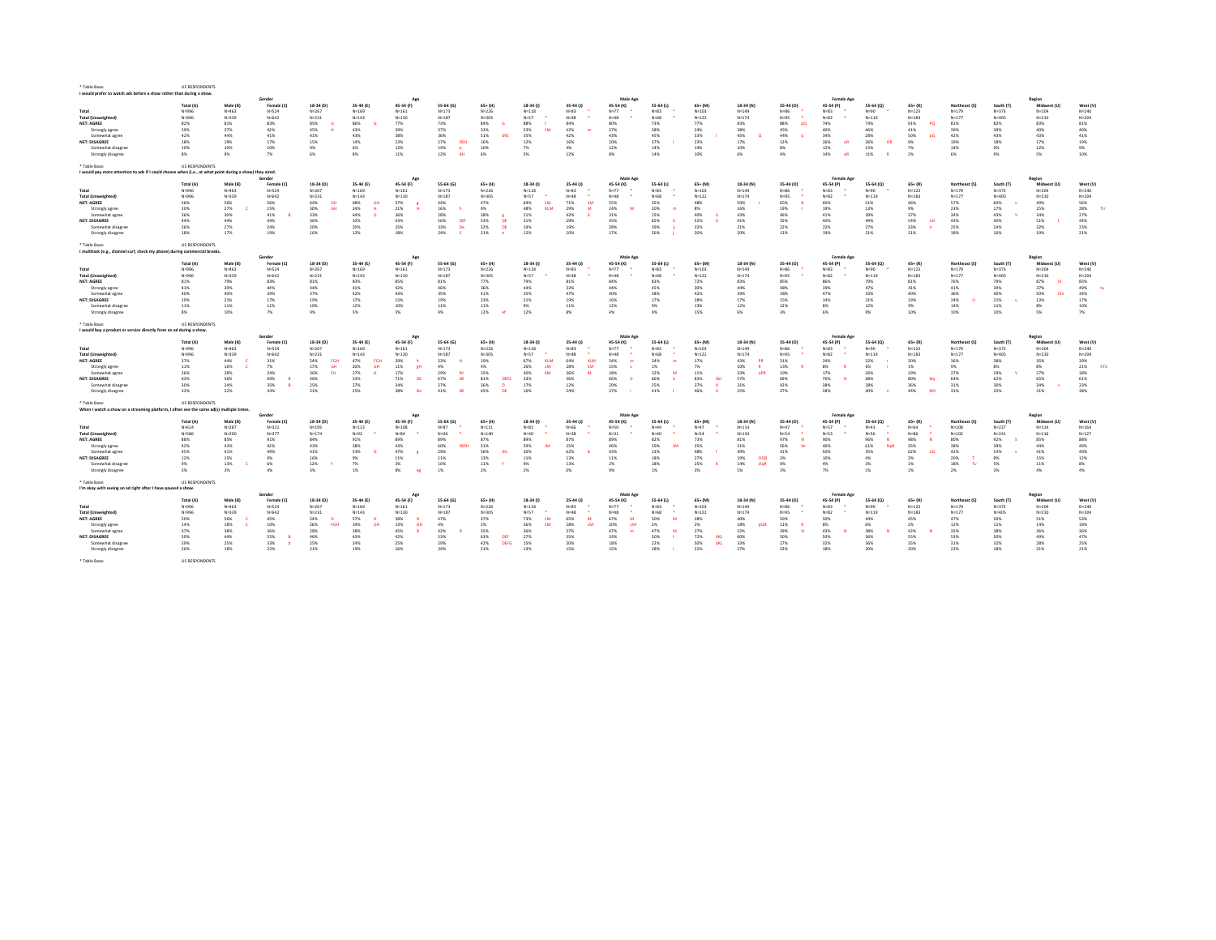| I would prefer to watch ads before a show rather than during a show                                      |                       |           |           |                        |                  |                  |                    |                     |                  |                                |           |             |                   |               |                  |                   |             |                  |               |           |              |           |
|----------------------------------------------------------------------------------------------------------|-----------------------|-----------|-----------|------------------------|------------------|------------------|--------------------|---------------------|------------------|--------------------------------|-----------|-------------|-------------------|---------------|------------------|-------------------|-------------|------------------|---------------|-----------|--------------|-----------|
|                                                                                                          |                       |           | Gender    |                        |                  | Ag               |                    |                     |                  |                                | Male Age  |             |                   |               |                  | Female Ag         |             |                  |               |           | Region       |           |
|                                                                                                          | <b>Total (A)</b>      | Male (B)  | Female (C | 18-34 (D)              | 35-44 (E)        | 45-54 (F)        | 55-64 (G)          | 65+ (H)             | $18-34($         | $35-44(1)$                     | 45-54 (K) | 55-64 (L)   | $65+$ (M          | 18-34 (N)     | 35-44 (0)        | 45-54 (P)         | 55-64 (0)   | $65 + (R)$       | Northeast (S) | South (T) | Midwest (U)  | West (V   |
| Total                                                                                                    | N=996                 | $N = 463$ | N=524     | N=267                  | $N = 169$        | $N = 161$        | $N = 173$          | N=226               | $N = 118$        | $N = 83$                       | $N=77$    | $N = 83$    | $N = 103$         | $N = 149$     | $N = 86$         | $N = 83$          | N=90        | $N = 123$        | $N = 179$     | N=373     | $N = 204$    | $N = 240$ |
| <b>Total (Unweighted)</b>                                                                                | N=996                 | N=339     | N=642     | $N = 231$              | $N = 143$        | $N = 130$        | $N = 187$          | N=305               | N=57             | $N=48$                         | $N=48$    | $N = 68$    | $N = 122$         | $N = 174$     | $N = 95$         | $N = 82$          | N=119       | $N = 183$        | $N = 177$     | $N = 405$ | $N = 210$    | $N = 204$ |
| <b>NET: AGREE</b>                                                                                        | 82%                   | 81%       | 83%       | 85%                    | 86%              | 77%              | 73%                | 84%                 | 88%              | 84%                            | 80%       | 73%         | 77%               | 83%           | 88%<br><b>DO</b> | 74%               | 74%         | 91%<br>PQ        | 81%           | 82%       | 83%          | 81%       |
| Strongly agree                                                                                           | 39%                   | 37%       | 42%       | 45%                    | 43%              | 39%              | 37%                | 33%                 | 53%<br>16        | 42%<br>m                       | 37%       | 28%         | 24%               | 38%           | 45%              | 40%               | 46%         | 41%              | 39%           | 39%       | 40%          | 40%       |
| Somewhat agree                                                                                           | 42%                   | 44%       | 41%       | 41%                    | 43%              | 38%              | 36%                | 51%<br>dfG          | 35%              | 42%                            | 43%       | 45%         | 53%               | 45%           | 44%              | 34%               | 28%         | 50%<br><b>DO</b> | 42%           | 43%       | 43%          | 41%       |
| <b>NET: DISAGREE</b>                                                                                     | 18%                   | 19%       | 17%       | 15%                    | 14%              | 23%              | 27%<br>DEH         | 16%                 | 12%              | 16%                            | 20%       | 27%         | 23%               | 17%           | 12%              | 26%<br>-nR        | 26%<br>OR   | 9%               | 19%           | 18%       | 17%          | 19%       |
| Somewhat disagree                                                                                        | 10%                   | 10%       | 10%       | 9%                     | 6%               | 12%              | 14%<br>$\bullet$   | 10%                 | 7%               | $4\%$                          | 12%       | $14\%$      | 14%               | 10%           | 8%               | 12%               | 15%         | 7%               | 14%           | 9%        | 12%          | 9%        |
|                                                                                                          |                       |           |           | 6%                     |                  |                  | dH                 |                     |                  |                                |           |             |                   |               | 4%               | <b>OR</b>         |             |                  |               | 9%        |              |           |
| Strongly disagree                                                                                        | 8%                    | 9%        | 7%        |                        | $8\%$            | 11%              | 12%                | 6%                  | 5%               | 12%                            | 8%        | 14%         | 10%               | 6%            |                  | 14%               | 11%         | 2%               | 6%            |           | 5%           | 10%       |
|                                                                                                          |                       |           |           |                        |                  |                  |                    |                     |                  |                                |           |             |                   |               |                  |                   |             |                  |               |           |              |           |
| * Table Base:                                                                                            | US RESPONDENTS        |           |           |                        |                  |                  |                    |                     |                  |                                |           |             |                   |               |                  |                   |             |                  |               |           |              |           |
| I would pay more attention to ads if I could choose when (i.e., at what point during a show) they aired. |                       |           |           |                        |                  |                  |                    |                     |                  |                                |           |             |                   |               |                  |                   |             |                  |               |           |              |           |
|                                                                                                          |                       |           | Gender    |                        |                  | Age              |                    |                     |                  |                                | Male Age  |             |                   |               |                  | <b>Female Age</b> |             |                  |               |           | Region       |           |
|                                                                                                          | Total (A)             | Male (B)  | Female (  | 18-34 (D)              | 35-44 (E)        | 45-54 (F)        | 55-64 (G)          | 65+ (H)             | 18-34 (1         | 35-44 (J)                      | 45-54 (K) | 55-64 (L)   | $65+$ (M          | 18-34 (N)     | 35-44 (0)        | 45-54 (P)         | 55-64 (0)   | $65 + (R)$       | Northeast (S) | South (T) | Midwest (U   | West (V)  |
| Total                                                                                                    | N=996                 | $N = 463$ | $N = 524$ | $N = 267$              | $N = 169$        | $N = 161$        | $N = 173$          | $N = 226$           | $N = 118$        | $N = 83$                       | $N=77$    | $N = 83$    | $N = 103$         | $N = 149$     | $N = 86$         | $N = 83$          | N=90        | $N = 123$        | $N = 179$     | N=373     | $N = 204$    | $N = 240$ |
| <b>Total (Unweighted)</b>                                                                                | N:996                 | $N = 339$ | N=642     | $N = 231$              | $N = 1.43$       | $N = 130$        | $N = 187$          | N=305               | $N=57$           | $N=48$                         | $N=48$    | N=68        | $N = 122$         | $N = 174$     | $N = 95$         | $N = 82$          | $N = 119$   | $N = 183$        | $N=177$       | $N = 405$ | $N = 210$    | $N = 204$ |
| <b>NET: AGREE</b>                                                                                        | 56%                   | 56%       | 56%       | 64%                    | 68%<br><b>GH</b> | 57%              | 44%                | 47%                 | 69%<br>16        | 71%<br><b>TM</b>               | 55%       | 35%         | 48%               | 59%           | 65%              | <b>60%</b>        | 51%         | 46%              | 57%           | 60%       | 49%          | 56%       |
| Strongly agree                                                                                           | 20%                   | 27%       | 15%       | 30%<br>GH <sub>1</sub> | 24%              | 21%              | 16%                | 9%                  | 48%<br>KIN       | 29%<br>$\overline{\mathbf{z}}$ | 24%       | 20%         | 8%                | 16%           | 19%              | 19%               | 13%         | 9%               | 23%           | 17%       | 15%          | 28%       |
|                                                                                                          | 36%                   | 30%       | 41%       | 33%                    | 44%              | 36%              | 28%                | 38%                 | 21%              | 42%                            | 31%       | 15%         | 40%               | 43%           | 46%              |                   | 39%         | 37%              | 34%           | 43%       | 34%          | 27%       |
| Somewhat agree                                                                                           |                       |           |           |                        |                  |                  |                    |                     |                  |                                |           |             |                   |               |                  | 41%               |             |                  |               |           |              |           |
| <b>NET: DISAGREE</b>                                                                                     | 44%                   | 44%       | 44%       | 36%                    | 32%              | 43%              | 56%<br>DEf         | 53%<br>DE           | 31%              | 29%                            | 45%       | 65%         | 52%               | 41%           | 35%              | 40%               | 49%         | 54%<br>nO        | 43%           | 40%       | 51%          | 44%       |
| Somewhat disagree                                                                                        | 26%                   | 27%       | 24%       | 20%                    | 20%              | 25%              | 33%<br>De          | 32%<br>DE           | 19%              | 19%                            | 28%       | 39%         | 32%               | 21%           | 22%              | 22%               | 27%         | 33%              | 25%           | 24%       | 32%          | 23%       |
| Strongly disagree                                                                                        | 18%                   | 17%       | 19%       | 16%                    | 12%              | 18%              | 24%                | 21%<br>$\bullet$    | 12%              | 10%                            | 17%       | 26%         | 20%               | 20%           | 13%              | 19%               | 21%         | 21%              | 18%           | 16%       | 19%          | 21%       |
|                                                                                                          |                       |           |           |                        |                  |                  |                    |                     |                  |                                |           |             |                   |               |                  |                   |             |                  |               |           |              |           |
| * Table Base:                                                                                            | <b>US RESPONDENTS</b> |           |           |                        |                  |                  |                    |                     |                  |                                |           |             |                   |               |                  |                   |             |                  |               |           |              |           |
| I multitask (e.g., channel surf, check my phone) during commercial breaks.                               |                       |           |           |                        |                  |                  |                    |                     |                  |                                |           |             |                   |               |                  |                   |             |                  |               |           |              |           |
|                                                                                                          |                       |           | Gender    |                        |                  |                  |                    |                     |                  |                                | Male Age  |             |                   |               |                  | Female Ag         |             |                  |               |           | Region       |           |
|                                                                                                          | Total (A)             | Male (B)  | Female (0 | 18-34 (D)              | 35-44 (E)        | 45-54 (F)        | 55-64 (G)          | $65+$ (H)           | 18-34 (1)        | 35-44 (J)                      | 45-54 (K) | $55-64$ (L) | $65+$ (M)         | 18-34 (N)     | 35-44 (0)        | 45-54 (P)         | 55-64 (Q)   | $65 + (R)$       | Northeast (S) | South (T) | Midwest (U)  | West (V)  |
| Total                                                                                                    | N=996                 | $N = 463$ | N=524     | $N = 267$              | $N = 169$        | $N = 161$        | $N = 173$          | N=226               | $N = 118$        | $N = 83$                       | $N=77$    | $N = 83$    | $N = 103$         | $N = 149$     | $N = 86$         | $N = 83$          | N=90        | $N = 123$        | $N = 179$     | N=373     | $N = 204$    | $N = 240$ |
|                                                                                                          |                       |           |           |                        |                  |                  |                    |                     |                  |                                |           |             |                   |               |                  |                   |             |                  |               |           |              |           |
| <b>Total (Unweighted)</b>                                                                                | N=996                 | $N = 339$ | $N = 642$ | $N = 231$              | $N = 143$        | $N = 130$        | $N = 187$          | N=305               | $N=57$           | $N=48$                         | $N=48$    | $N = 68$    | $N = 122$         | $N = 174$     | $N = 95$         | $N = 82$          | $N = 119$   | $N = 183$        | $N = 177$     | $N = 405$ | $N = 210$    | $N = 204$ |
| NFT: AGREE                                                                                               | 81%                   | 79%       | 83%       | 81%                    | 83%              | 85%              | 81%                | 77%                 | 79%              | 81%                            | 84%       | 83%         | 72%               | 83%           | $R5\%$           | 86%               | 79%         | 81%              | 76%           | 79%       | 87%<br>- St  | 83%       |
| Strongly agree                                                                                           | 41%                   | 39%       | 44%       | 44%                    | 41%              | 42%              | 46%                | 36%                 | 44%              | 33%                            | 44%       | 45%         | 30%               | 44%           | 48%              | 39%               | 47%         | 41%              | 41%           | 39%       | 37%          | 49%       |
| Somewhat agree                                                                                           | 40%                   | 40%       | 39%       | 37%                    | 42%              | 43%              | 35%                | 41%                 | 35%              | 47%                            | 40%       | 38%         | 42%               | 39%           | 38%              | 47%               | 33%         | 40%              | 36%           | 40%       | 50%<br>sty   | 34%       |
| <b>NET: DISAGREE</b>                                                                                     | 19%                   | 21%       | 17%       | 19%                    | 17%              | 15%              | 19%                | 23%                 | 21%              | 19%                            | 16%       | 17%         | 28%               | 17%           | 15%              | 14%               | 21%         | 19%              | 24%           | 21%       | 13%          | 17%       |
| Somewhat disagree                                                                                        | 11%                   | 11%       | 11%       | 10%                    | 12%              | 10%              | 11%                | 11%                 | 9%               | 11%                            | 12%       | 9%          | 13%               | 12%           | 12%              | 8%                | 12%         | 9%               | 14%           | 11%       | 8%           | 10%       |
| Strongly disagree                                                                                        | 8%                    | 10%       | 7%        | 9%                     | 5%               | 5%               | 9%                 | 12%                 | 12%              | 8%                             | 4%        | 9%          | 15%               | 6%            | 3%               | 6%                | 9%          | 10%              | 10%           | 10%       | 5%           | 7%        |
|                                                                                                          |                       |           |           |                        |                  |                  |                    |                     |                  |                                |           |             |                   |               |                  |                   |             |                  |               |           |              |           |
| * Table Base:                                                                                            | <b>US RESPONDENTS</b> |           |           |                        |                  |                  |                    |                     |                  |                                |           |             |                   |               |                  |                   |             |                  |               |           |              |           |
|                                                                                                          |                       |           |           |                        |                  |                  |                    |                     |                  |                                |           |             |                   |               |                  |                   |             |                  |               |           |              |           |
|                                                                                                          |                       |           |           |                        |                  |                  |                    |                     |                  |                                |           |             |                   |               |                  |                   |             |                  |               |           |              |           |
| I would buy a product or service directly from an ad during a show.                                      |                       |           |           |                        |                  |                  |                    |                     |                  |                                |           |             |                   |               |                  |                   |             |                  |               |           |              |           |
|                                                                                                          |                       |           | Gender    |                        |                  | Age              |                    |                     |                  |                                | Male Age  |             |                   |               |                  | Female Ag         |             |                  |               |           | Region       |           |
|                                                                                                          | Total (A)             | Male (B)  | Female (C | 18-34 (D)              | 35-44 (E)        | 45-54 (F)        | 55-64 (G)          | $65+$ (H)           | $18-34(1)$       | 35-44 (J)                      | 45-54 (K) | 55-64 (L)   | $65+$ (M)         | 18-34 (N)     | 35-44 (0)        | 45-54 (P)         | 55-64 (Q)   | $65 + (R)$       | Northeast (S) | South (T) | Midwest (U)  | West (V)  |
| Total                                                                                                    | N=996                 | N=463     | $N = 524$ | $N = 267$              | $N = 169$        | $N = 161$        | $N = 173$          | $N = 226$           | $N = 118$        | $N = 83$                       | $N = 77$  | $N = 83$    | N=103             | $N = 149$     | $N = 86$         | $Nu = 9.2$        | N=90        | $N = 123$        | $N = 179$     | $N = 373$ | $N = 204$    | $N = 240$ |
|                                                                                                          | Nu996                 | $N = 229$ | Nu642     | N=231                  | $N = 143$        | $N = 130$        | $N = 1.87$         | N=305               | $N = 57$         | NoAR                           | $N = 4.8$ | N=68        | $N = 122$         | $N = 174$     | $N = 95$         | Nu:82             | $N = 119$   | $N = 1.83$       | $N = 1.77$    | NudOS     | Na210        | $N = 204$ |
| <b>Total (Unweighted)</b>                                                                                |                       |           |           | EGH                    | FGH              |                  |                    |                     | <b>KIN</b>       | <b>KIN</b>                     |           |             |                   | PR            |                  |                   |             |                  |               |           |              |           |
| <b>NET: AGREE</b>                                                                                        | 37%                   | 44%       | 31%       | 54%<br><b>GH</b>       | 47%<br><b>GH</b> | 29%              | 33%                | 19%                 | 67%<br>16        | 64%<br><b>TM</b>               | 34%       | 34%         | 17%               | 43%           | 31%              | 24%               | 32%         | 20%              | 36%           | 38%       | 35%          | 39%       |
| Strongly agree                                                                                           | $11\%$                | 16%       | 7%        | 17%                    | 20%              | 11%<br><b>RH</b> | 4%                 | 4%                  | 26%              | 28%                            | 15%       | 1%          | 7%                | 10%           | 13%              | 8%                | 6%          | $1\%$            | 9%            | 8%        | 8%           | 21%       |
| Somewhat agree                                                                                           | 26%                   | 28%       | 24%       | 3,6%                   | 27%              | 17%              | 29%<br>64          | 15%                 | 40%<br><b>A</b>  | 36%                            | 18%       | 32%         | 11%               | 33%<br>OPR    | 19%              | 17%               | 26%         | 19%              | 27%           | 29%       | 27%          | 18%       |
| <b>NET: DISAGREE</b>                                                                                     | 63%                   | 56%       | 69%       | 46%                    | 53%              | 71%<br>DE        | 67%<br>DE          | 81%<br><b>DEf</b>   | 33%              | 36%                            | 66%       | 66%         | 83%<br><b>Ukl</b> | 57%           | 69%              | 76%               | 68%         | 80%<br>No        | 64%           | 62%       | 65%          | 61%       |
| Somewhat disagree                                                                                        | 30%                   | 24%       | 35%       | 25%                    | 27%              | 34%              | 27%                | 36%<br>$\mathbf{D}$ | 17%              | 12%                            | 29%       | 25%         | 37%<br>л          | 31%           | 42%              | 38%               | 28%         | 36%              | 31%           | 30%       | 34%          | 23%       |
| Strongly disagree                                                                                        | 33%                   | 32%       | 34%       | 21%                    | 25%              | 38%<br><b>De</b> | 41%<br><b>DF</b>   | 45%<br><b>DF</b>    | 16%              | 24%                            | 37%       | 41%         | 46%               | 25%           | 27%              | 38%               | 40%         | 44%<br><b>NO</b> | 33%           | 32%       | 31%          | 38%       |
|                                                                                                          |                       |           |           |                        |                  |                  |                    |                     |                  |                                |           |             |                   |               |                  |                   |             |                  |               |           |              |           |
| * Table Base:                                                                                            | US RESPONDENTS        |           |           |                        |                  |                  |                    |                     |                  |                                |           |             |                   |               |                  |                   |             |                  |               |           |              |           |
| When I watch a show on a streaming platform, I often see the same ad(s) multiple times.                  |                       |           |           |                        |                  |                  |                    |                     |                  |                                |           |             |                   |               |                  |                   |             |                  |               |           |              |           |
|                                                                                                          |                       |           | Gender    |                        |                  | Age              |                    |                     |                  |                                | Male Age  |             |                   |               |                  | Female Ag         |             |                  |               |           | Region       |           |
|                                                                                                          | <b>Total (A</b>       | Male (B)  | Female (  | 18-34 (D)              | 35-44 (E)        | 45-54 (F)        | 55-64 (G)          | 65+ (H              | 18-34 (1)        | $35-44$ (J)                    | 45-54 (K) | 55-64 (L    | $65+$ (M)         | 18-34 (N)     | 35-44 (0)        | 45-54 (P)         | 55-64 (0)   | $65 + (R)$       | Northeast (S) | South IT  | Midwest (11) | West (V   |
| Total                                                                                                    |                       |           |           |                        |                  |                  |                    |                     |                  |                                |           | Nodd        | Na47              |               | $N = 47$         | No57              |             |                  | $N = 108$     |           |              |           |
|                                                                                                          | $N = 614$             | $N = 287$ | $N = 321$ | $N = 195$              | $N = 113$        | $N = 108$        | $N = 87$           | $N = 111$           | $N = 81$         | N=66                           | $N = 50$  |             |                   | $N = 114$     |                  |                   | $N = 43$    | N=64             |               | $N = 227$ | $N = 114$    | $N = 164$ |
| <b>Total (Unweighted)</b>                                                                                | $N = 586$             | $N = 200$ | $N = 377$ | $N = 174$              | $N = 92$         | $N = 84$         | $N = 96$           | $N = 140$           | $N=40$           | $N = 38$                       | $N = 31$  | $N = 40$    | $N = 54$          | $N = 134$     | $N = 54$         | $N = 53$          | N=56        | $N = 86$         | $N = 102$     | $N = 241$ | $N = 116$    | $N = 127$ |
| NET: AGREE                                                                                               | 88%                   | 85%       | 91%       | 84%                    | 91%              | 89%              | 89%                | 87%                 | 89%              | 87%                            | 89%       | 82%         | 73%               | 81%           | 97%<br><b>N</b>  | 90%               | 96%         | 98%              | 80%           | 92%       | 85%          | 88%       |
| Strongly agree                                                                                           | 42%                   | 43%       | 42%       | 43%                    | 38%              | 43%              | 60%<br><b>DEff</b> | 31%                 | 59%<br><b>IN</b> | 25%                            | 46%       | 59%<br>19,7 | 25%               | 31%           | 56%<br>No        | 40%               | 61%<br>NoR  | 35%              | 38%           | 39%       | 44%          | 49%       |
| Somewhat agree                                                                                           | 45%                   | 41%       | 49%       | 41%                    | 53%              | 47%              | 29%                | 56%<br>dG           | 30%              | 62%                            | 43%       | 23%         | 48%               | 49%           | 41%              | 50%               | 35%         | 62%<br>00        | 42%           | 53%       | 41%          | 40%       |
| NET: DISAGREE                                                                                            | 12%                   | 15%       | 9%        | 16%                    | 9%               | 11%              | 11%                | 13%                 | 11%              | 13%                            | 11%       | 18%         | 27%               | OOF<br>19%    | 3%               | 10%               | 4%          | 2%               | 20%           | 8%        | 15%          | 12%       |
| Somewhat disagre                                                                                         | 9%                    | 13%       | 6%        | 12%                    | 7%               | 3%               | 10%                | 11%                 | 9%               | 13%                            | 2%        | 18%         | 25%               | $14\%$<br>OoR | 0%               | 4%                | 3%          | $1\%$            | 18%<br>TV     | 5%        | 11%          | $8\%$     |
| Strongly disagree                                                                                        | 3%                    | 3%        | 4%        | 3%                     | 1%               | 8%<br>eg         | $1\%$              | 2%                  | 2%               | 0%                             | 9%        | 1%          | 3%                | 5%            | 3%               | 7%                | 1%          | $1\%$            | 2%            | 3%        | 4%           | 4%        |
|                                                                                                          |                       |           |           |                        |                  |                  |                    |                     |                  |                                |           |             |                   |               |                  |                   |             |                  |               |           |              |           |
| * Table Base:                                                                                            |                       |           |           |                        |                  |                  |                    |                     |                  |                                |           |             |                   |               |                  |                   |             |                  |               |           |              |           |
|                                                                                                          | <b>US RESPONDENTS</b> |           |           |                        |                  |                  |                    |                     |                  |                                |           |             |                   |               |                  |                   |             |                  |               |           |              |           |
| I'm okay with seeing an ad right after I have paused a show.                                             |                       |           |           |                        |                  |                  |                    |                     |                  |                                |           |             |                   |               |                  |                   |             |                  |               |           |              |           |
|                                                                                                          |                       |           | Gender    |                        |                  |                  |                    |                     |                  |                                | Male Ag   |             |                   |               |                  | <b>Female Age</b> |             |                  |               |           | Region       |           |
|                                                                                                          | <b>Total (A</b>       | Male (B)  | Female (  | 18-34 (D)              | 35.44 (F)        | 45-54 (F)        | 55-64 (6)          | 65+ (H)             | 18.34 (1         | 35.44 (1)                      | 45.54 (K) | 55-64 (L)   | $65 + 1M$         | 18-34 (N)     | 35-44 (0)        | 45-54 (P)         | 55.64 (0)   | $65 + 181$       | Northeast (S) | South IT  | Midwest (1   | West (V)  |
| Total                                                                                                    | Nu996                 | $N = 463$ | $N = 524$ | N=267                  | $N = 169$        | N=161            | N=173              | Na226               | $N = 118$        | $N = 83$                       | $N=77$    | $N = 83$    | N=103             | N=149         | $N = R6$         | $N = 83$          | <b>Nu90</b> | $N = 123$        | $N = 179$     | N=373     | $N = 204$    | $N = 240$ |
| <b>Total (Unweighted)</b>                                                                                | N=996                 | N=339     | N=642     | $N = 231$              | $N = 143$        | $N = 130$        | $N = 187$          | N=305               | N=57             | $N=48$                         | $N=48$    | $N = 68$    | $N = 122$         | $N = 174$     | $N = 95$         | $N = 82$          | N=119       | $N = 183$        | $N = 177$     | $N = 405$ | $N = 210$    | $N = 204$ |
| <b>NET: AGREE</b>                                                                                        | 50%                   | 56%       | 45%       | 54%                    | 57%              | 58%              | 47%                | 37%                 | 73%<br><b>LM</b> | 65%<br>$\overline{M}$          | 67%       | 50%         | 28%               | 40%           | 50%              | 50%               | 44%         | 45%              | 47%           | 50%       | 51%          | 53%       |
| Strongly agree                                                                                           | 14%                   | 18%       | 10%       | 26%<br>FGH             | 19%              | 13%<br>GH        | 4%                 | 2%                  | 36%<br><b>LN</b> | 28%                            | 20%<br>LM | 2%          | 2%                | 18%           | 11%              | 8%                | 6%          | 2%               | 12%           | 11%       | 14%          | 18%       |
| Somewhat agree                                                                                           | 37%                   | 38%       | 36%       | 28%                    | 38%              | 45%              | 42%                | 35%                 | 36%              | 37%                            | 47%       | 47%         | 27%               | 22%           | 39%              | 43%               | 38%         | 42%              | 35%           | 38%       | 36%          | 36%       |
| <b>NET: DISAGREE</b>                                                                                     | 50%                   | 44%       | 55%       | 46%                    | 43%              | 42%              | 53%                | 63%<br><b>DEI</b>   | 27%              | 35%                            | 33%       | 50%         | 72%<br><b>UKI</b> | 60%           | 50%              | 50%               | 56%         | 55%              | 53%           | 50%       | 49%          | 47%       |
| Somewhat disagree                                                                                        | 29%                   | 25%       | 33%       | 25%                    | 24%              | 25%              | 29%                | 42%<br><b>DEFG</b>  | 15%              | 20%                            | 18%       | 22%         | 50%<br><b>UKL</b> | 33%           | 27%              | 32%               | 36%         | 35%              | 31%           | 32%       | 28%          | 25%       |
|                                                                                                          |                       |           |           |                        |                  |                  |                    |                     |                  |                                |           |             |                   |               |                  |                   |             |                  |               |           |              |           |
| Strongly disagree                                                                                        | 20%                   | 18%       | 22%       | 21%                    | 19%              | 16%              | 24%                | 21%                 | 13%              | 15%                            | 15%       | 28%         | 22%               | 27%           | 23%              | 18%               | 20%         | 20%              | 23%           | 18%       | 21%          | 21%       |
| * Table Base:                                                                                            | US RESPONDENTS        |           |           |                        |                  |                  |                    |                     |                  |                                |           |             |                   |               |                  |                   |             |                  |               |           |              |           |

\* Table Base: US RESPONDENTS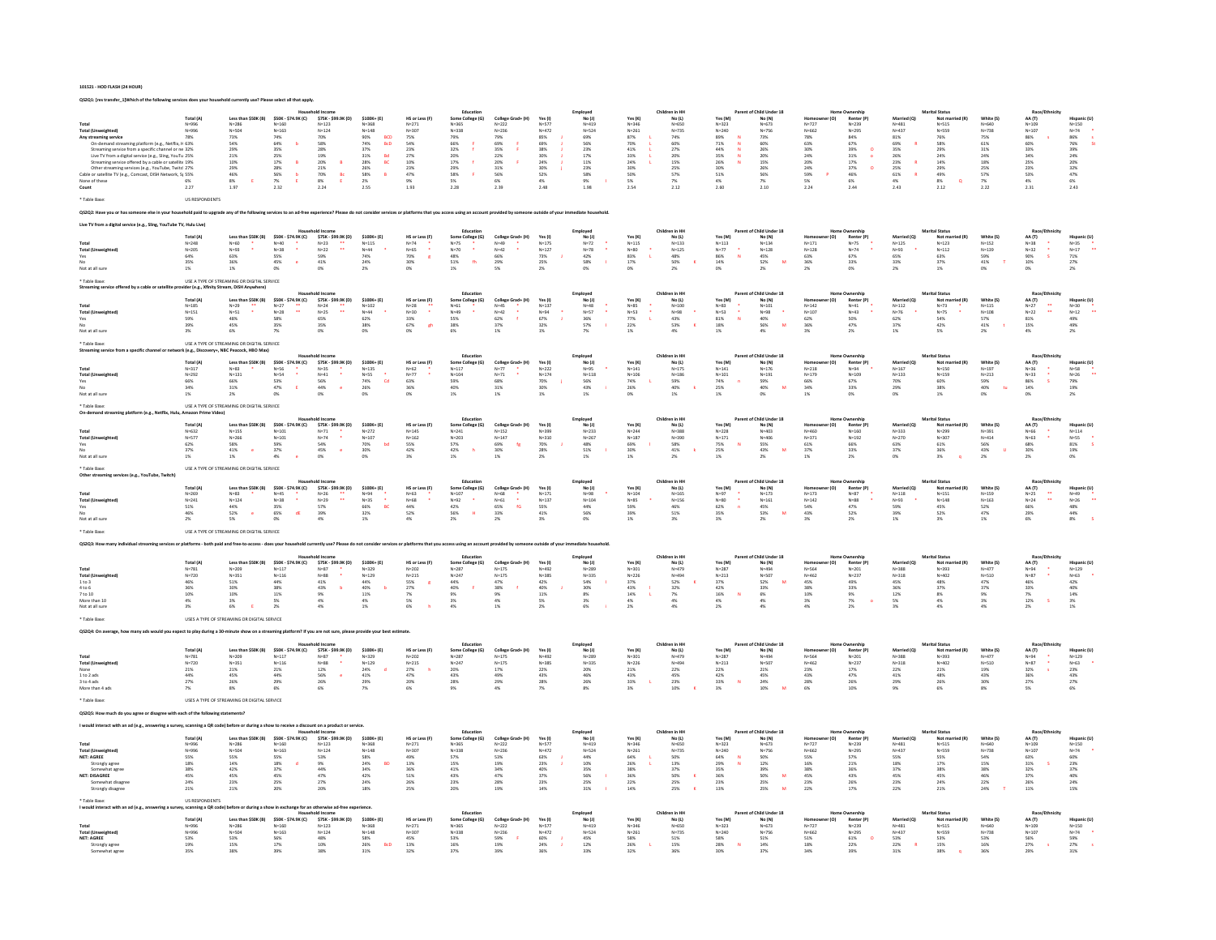### 101521 - HOD FLASH (24 HOUR)

QS2Q1: [res transfer\_1]Which of the following services does your household currently use? Please select all that apply.

|                                                                                                                 |                        |                                                                           |                                             |                                                                                                                                                                                                                                |                                            |                                   | Education                                    |                                            |                                            | Employee               |                                                                    | Children in HI                                         |                                             | f Child Under 18                                  |                        | <b>Home Ownershi</b>                |                                                    | <b>Marital Status</b>                       |                                             | Race/Ethnicity                                     |                                             |
|-----------------------------------------------------------------------------------------------------------------|------------------------|---------------------------------------------------------------------------|---------------------------------------------|--------------------------------------------------------------------------------------------------------------------------------------------------------------------------------------------------------------------------------|--------------------------------------------|-----------------------------------|----------------------------------------------|--------------------------------------------|--------------------------------------------|------------------------|--------------------------------------------------------------------|--------------------------------------------------------|---------------------------------------------|---------------------------------------------------|------------------------|-------------------------------------|----------------------------------------------------|---------------------------------------------|---------------------------------------------|----------------------------------------------------|---------------------------------------------|
|                                                                                                                 | Total (A               | $N = 286$                                                                 | \$50K - \$74.9K (C)<br>$N = 160$            | \$75K - \$99.9K (D)<br>$N = 123$                                                                                                                                                                                               | \$100K+ (E)<br>$N = 368$                   | HS or Less (F)<br>$N = 271$       | Some College (G)<br>$N = 365$                | $N = 222$                                  | Yes (I)<br>$N = 577$                       | No (J<br>$N = 419$     | Yes (K)<br>$N = 346$                                               | No (L)<br>$N = 650$                                    | Yes (M<br>$N = 323$                         | $\mathsf{No}\left(\mathsf{N}\right)$<br>$N = 673$ | $N = 727$              | Renter (P<br>$N = 239$              | Married (O)<br>$N = 481$                           | Not ma<br>$N = 515$                         | White (S)<br>$N = 640$                      | AA (T)<br>$N = 109$                                | lispanic (U)<br>$N=150$                     |
| <b>Total (Unweighted)</b>                                                                                       | N=996<br>N=996         | $N = 504$<br>73%                                                          | $N = 163$                                   | $N=124$<br>70%                                                                                                                                                                                                                 | $N = 148$<br><b>BCD</b>                    | $N = 307$<br>75%                  | $N = 338$                                    | $N = 236$                                  | $N = 472$<br>85%                           | $N = 524$              | $N = 261$                                                          | $N = 735$                                              | $N = 240$                                   | $N = 756$                                         | $N = 662$<br>78%       | $N = 295$                           | $N = 437$<br>$81\%$                                | Nosse                                       | $N = 738$                                   | $N = 107$                                          | $N = 74$                                    |
| Any streaming service<br>On-demand streaming platform (e.g., Netflix, H 63%                                     | 78%                    | 54%                                                                       | 74%<br>64%                                  | 58%                                                                                                                                                                                                                            | 90%<br>74%<br><b>BcD</b>                   |                                   | 79%                                          | 79%<br>69%                                 |                                            | 69%<br>$56\%$          | 87%                                                                | 74%                                                    | 89%<br>$71\%$                               | 73%<br>$60\%$                                     | 63%                    | 84%<br>67%                          |                                                    | 76%<br>58%                                  | 75%<br>61%                                  | 86%<br>$60\%$                                      | $\frac{86\%}{76\%}$                         |
| Streaming service from a specific channel or ne 32%                                                             |                        | 29%                                                                       | 35%                                         | 28%                                                                                                                                                                                                                            | 37%                                        | 54%<br>23%                        | 66%<br>32%                                   | 35%                                        | 69%<br>38%                                 | 23%                    | $70\%$<br>$41\%$                                                   | 60%<br>27%                                             | 44%<br>N                                    | 26%                                               | 30%                    | 39%                                 | $\frac{69\%}{35\%}$                                | 29%                                         | 31%                                         | 33%                                                | 39%                                         |
| Live TV from a digital service (e.g., Sling, YouTu 25%<br>Streaming service offered by a cable or satellite 19% |                        | 21%<br>10%                                                                | 25%<br>$\overline{B}$<br>17%                | 19%<br>20%<br>$\overline{R}$                                                                                                                                                                                                   | $31\%$<br>Bd<br><b>BC</b>                  | 27%<br>10%                        | 20%<br>17%                                   | $22\%$<br>20%                              | $30\%$<br>24%                              | $17\%$<br>11%          | $\frac{33\%}{24\%}$                                                | 20%<br>15%                                             | 35%<br>26%                                  | <b>20%</b><br>15%                                 | 24%<br>20%             | $31\%$<br>17%                       | 26%<br>23%                                         | 24%<br>14%                                  | 24%<br>18%                                  | $34\%$<br>25%                                      | $24\%$<br>20%                               |
| Other streaming services (e.g., YouTube, Twitcl 27%                                                             |                        | 29%                                                                       | 28%                                         | 21%                                                                                                                                                                                                                            | $\substack{28\% \\ 26\%}$                  | 23%                               | 29%                                          | $31\%$                                     | 30%                                        | 23%                    |                                                                    | 25%                                                    | 30%                                         | 26%                                               | 24%                    | 37%<br>$\ddot{\phantom{a}}$         | 25%                                                | <b>29%</b>                                  | $25\%$                                      | 23%                                                | $32%$<br>$47%$                              |
| able or satellite TV (e.g., Comcast, DISH Network, SJ 55%                                                       |                        | 46%<br>$\epsilon$                                                         | 56%<br>7%<br>2.32<br>$\frac{b}{E}$          | 70%<br>8%<br>2.24<br>$\frac{\text{Bc}}{\text{E}}$                                                                                                                                                                              | $\frac{58\%}{2\%}$<br>B                    | 47%                               | 58%<br>5%<br>2.28                            | 56%                                        | $52\%$ 4%                                  | 58%<br>9%              | 30%<br>50%<br>5%<br>5%<br>2.54                                     | 57%                                                    | 51%                                         | 56%<br>$\overline{78}$                            | 59%<br>5%<br>2.24      | $\substack{46\% \\ 6\%}$            | $\begin{array}{l} 61\% \\ 4\% \\ 2.43 \end{array}$ | $^{49\%}_{8\%}$<br>$\alpha$                 | 57%<br>7%<br>2.22                           | $\begin{array}{l} 53\% \\ 4\% \\ 2.31 \end{array}$ |                                             |
|                                                                                                                 | $6\%$<br>2.27          | $\frac{8\%}{1.97}$                                                        |                                             |                                                                                                                                                                                                                                | 2.55                                       | $\frac{9\%}{1.93}$                |                                              | $6%$<br>2.39                               | 2.48                                       | 1.98                   |                                                                    | $\frac{7\%}{2.12}$                                     | $\frac{4\%}{2.60}$                          | 2.10                                              |                        | 2.44                                |                                                    | 2.12                                        |                                             |                                                    | $6\%$<br>2.43                               |
| Table Rase                                                                                                      | <b>US RESPONDENTS</b>  |                                                                           |                                             |                                                                                                                                                                                                                                |                                            |                                   |                                              |                                            |                                            |                        |                                                                    |                                                        |                                             |                                                   |                        |                                     |                                                    |                                             |                                             |                                                    |                                             |
|                                                                                                                 |                        |                                                                           |                                             |                                                                                                                                                                                                                                |                                            |                                   |                                              |                                            |                                            |                        |                                                                    |                                                        |                                             |                                                   |                        |                                     |                                                    |                                             |                                             |                                                    |                                             |
|                                                                                                                 |                        |                                                                           |                                             | else in your household paid to upgrade any of the following services to an ad-free experience? Please do not consider services or platforms that you access using an account provided by someone outside of your immediate hou |                                            |                                   |                                              |                                            |                                            |                        |                                                                    |                                                        |                                             |                                                   |                        |                                     |                                                    |                                             |                                             |                                                    |                                             |
|                                                                                                                 | YouTube TV, Hulu Live  |                                                                           |                                             |                                                                                                                                                                                                                                |                                            |                                   |                                              |                                            |                                            |                        |                                                                    |                                                        |                                             |                                                   |                        |                                     |                                                    |                                             |                                             |                                                    |                                             |
|                                                                                                                 | Total (A)              | Less than \$50K (B)                                                       | \$50K - \$74.9K (C)                         | \$75K - \$99.9K (D)                                                                                                                                                                                                            | \$100K+ (E)                                | HS or Less (F)                    | Some College (G)                             | College Grad+ (H)                          | Yes (I)                                    | No (J)                 | Yes (K)                                                            | No (L)                                                 | Yes (M)                                     | Child Under 18<br>No (N)                          | r(n)                   | Renter (P)                          | Married (O)                                        | Not married (R)                             | White (S)                                   | AA (T)                                             | <b>Hispanic (U)</b>                         |
|                                                                                                                 | $N=248$                | N=60<br>N=93                                                              | $N = 40$<br>$N = 38$                        | $N=23$                                                                                                                                                                                                                         | $N = 115$                                  | $N=74$                            | $N=75$                                       | $N = 49$                                   | $N = 175$                                  | $N=72$                 | $N = 115$                                                          | $N = 133$                                              | $N = 113$                                   | $N = 134$                                         | $N = 171$              | $N=75$                              | $N = 125$                                          | $N = 123$                                   | $N = 152$                                   | $N = 38$<br>$N = 32$                               | $N=35$                                      |
| <b>Total (Ur</b>                                                                                                | $N = 205$              |                                                                           |                                             | N=22<br>59%<br>41%                                                                                                                                                                                                             | $N = 44$                                   | N=65<br>70%<br>30%                | $\lambda$<br>N=70<br>48%<br>51%              | $N=42$                                     | $N = 127$                                  | $N = 78$               | N=80<br>83%<br>17%                                                 | $N = 125$                                              | N=77<br>86%<br>14%                          | $N = 128$                                         | N=128<br>63%<br>36%    | $N=74$                              | N=93<br>65%<br>33%                                 | $N = 112$                                   | $N = 139$                                   | $\bar{\mathbf{s}}$                                 | $N = 17$                                    |
| Yes                                                                                                             | $64\%$<br>35%          | 63%<br>36%                                                                | 55%<br>45%<br>$\epsilon$                    |                                                                                                                                                                                                                                | $74\%$<br>24%                              | $\mathbf{g}$                      | $\ddot{f}$                                   | $66%$<br>$29%$                             | $73\%$<br>25%                              | $42\%$<br>58%          |                                                                    | $48\%$<br>50%                                          |                                             | $45\%$<br>52%<br>$\overline{M}$                   |                        | 67%<br>33%                          |                                                    | $63\%$<br>37%                               | $59\%$<br>41%                               | $\frac{90\%}{10\%}$                                | $71%$<br>27%                                |
| Not at all sure                                                                                                 | $1\%$                  | $1\%$                                                                     | O%                                          | O%                                                                                                                                                                                                                             | $2\%$                                      | 0%                                | 1%                                           | 5%                                         | 2%                                         | 0%                     | 0%                                                                 | 2%                                                     | O%                                          | 2%                                                | 2%                     | 0%                                  | $2\%$                                              | $1\%$                                       | O%                                          | 0%                                                 | 2%                                          |
| <b>Table Bas</b>                                                                                                |                        | USE A TYPE OF STREAMING OR DIGITAL SERVICE                                |                                             |                                                                                                                                                                                                                                |                                            |                                   |                                              |                                            |                                            |                        |                                                                    |                                                        |                                             |                                                   |                        |                                     |                                                    |                                             |                                             |                                                    |                                             |
|                                                                                                                 |                        | ider (e.g., Xfinity Stream, DISH Anywhere)                                |                                             |                                                                                                                                                                                                                                |                                            |                                   |                                              |                                            |                                            |                        |                                                                    |                                                        |                                             |                                                   |                        |                                     |                                                    |                                             |                                             |                                                    |                                             |
|                                                                                                                 | Total (A)              | Less than \$50K (B)                                                       | \$50K - \$74.9K (C)                         | \$75K - \$99.9K (D)                                                                                                                                                                                                            | \$100K+ (E)                                | HS or Less (F)                    | Some College (G)                             | College Grad+ (H)                          | Yes (I)                                    | Employee<br>No(1)      | Yes $(K)$                                                          | Children in HI<br>No (L)                               | Yes (M)                                     | Child Under 18                                    | (0)                    | Renter (P)                          | Married (O)                                        | ital Statu:<br>Not married (R)              | White (S)                                   | Race/Eth                                           | Hispanic (U)                                |
|                                                                                                                 | $N=185$                | $N=29$                                                                    | $N = 27$<br>ă                               | $N = 24$                                                                                                                                                                                                                       | $N = 102$                                  | $_{\mathsf{N=28}}$<br>÷.          | $_{\mathsf{N=61}}$                           | $N = 45$                                   | $N = 137$                                  | $N = 48$               | $N=85$                                                             | $N = 100$                                              | $N=83$                                      | No (N)<br>$N=101$                                 | $N = 142$              | $N=41$                              | $N = 112$                                          | $N=73$                                      | $N = 115$                                   | AA (T)<br>N=27<br>ă                                | $N=30$                                      |
| <b>Total (Up</b><br>Yes                                                                                         | $N = 151$<br>59%       | $N = 51$<br>48%                                                           | $N=28$<br>58%                               | N=25<br>65%                                                                                                                                                                                                                    | $N = 44$<br>$62\%$                         | N=30<br>33%                       | $N = 49$<br>55%                              | $N=42$ 62%                                 | N=94<br>67%                                | N=57<br>36%<br>57%     | $N = 53$                                                           | N=98<br>43%                                            | $N = 53$<br>81%<br>N                        | N=98<br>40%<br>$\bullet$                          | N=107<br>62%           | $N = 43$<br>50%                     | N=76<br>62%                                        | $N = 75$<br>54%                             | $N = 108$<br>57%                            | $N=22$<br>81%                                      | $N=12$<br>49%                               |
| No                                                                                                              | 39%                    | 45%                                                                       | 35%                                         | 35%                                                                                                                                                                                                                            | 38%                                        | 67%<br>$\mathfrak{g}\mathfrak{h}$ | 38%                                          | 37%                                        | $32\%$                                     |                        | 77%<br>22%<br>1%                                                   | 53%                                                    | $18\%$                                      | 56%<br>M                                          | 36%                    | 47%                                 | 37%                                                | 42%                                         | $41\%$                                      | $15\%$                                             | $49\%$                                      |
| Not at all sure                                                                                                 | 3%                     | 6%                                                                        | 7%                                          | 0%                                                                                                                                                                                                                             | 0%                                         | 0%                                | 6%                                           | 1%                                         | 1%                                         | 7%                     |                                                                    | 4%                                                     | 1%                                          | 4%                                                | 3%                     | 2%                                  | $1\%$                                              | 5%                                          | 2%                                          | 4%                                                 | 2%                                          |
|                                                                                                                 |                        | USE A TYPE OF STREAMING OR DIGITAL SERVICE                                |                                             |                                                                                                                                                                                                                                |                                            |                                   |                                              |                                            |                                            |                        |                                                                    |                                                        |                                             |                                                   |                        |                                     |                                                    |                                             |                                             |                                                    |                                             |
|                                                                                                                 |                        | rv+, NRC Peacock, HRO Max)                                                |                                             |                                                                                                                                                                                                                                |                                            |                                   | Education                                    |                                            |                                            |                        |                                                                    |                                                        |                                             | Parent of Child Under 18                          |                        |                                     |                                                    |                                             |                                             |                                                    |                                             |
|                                                                                                                 | Total (A)              |                                                                           | \$50K - \$74.9K (C)                         |                                                                                                                                                                                                                                | \$100K+ (E)                                | HS or Less (F)                    | Some College (G)<br>N=117                    | College Grad+ (H)                          | Yes (I)                                    | Employee               | Yes (K)                                                            | Children in HF<br>$\mathsf{No}\left(\mathsf{L}\right)$ | Yes (M)                                     | $No(N)$<br>$N=176$                                | (0)                    | <b>Home Ownership</b><br>Renter (P) | Married (O)                                        | <b>Marital Status</b><br>Not married (R)    | White (S)                                   | Race/Ethnicity<br>AA $(7)$                         |                                             |
|                                                                                                                 | $N = 317$              | $N=83$                                                                    | ¢                                           |                                                                                                                                                                                                                                | $N = 135$                                  | $N = 62$                          |                                              | $N=77$                                     | $N = 222$                                  | No (J)<br>N=95         | $N = 141$                                                          | $N = 175$                                              | $N = 141$                                   |                                                   | $N = 218$              | $N = 94$                            | $N = 167$                                          | $N = 150$                                   | $N = 197$                                   | $N = 36$<br>$\bullet$                              | Hispanic (U)<br>N=58                        |
| Total (U<br>Yes                                                                                                 | $N = 292$              | $N = 131$<br>66%                                                          | N=56<br>N=54<br>53%<br>47%                  | S75K - \$99.9K (D)<br>N=35<br>N=41<br>S6%<br>44% e                                                                                                                                                                             | $N = 55$<br>cd                             | $N=77$                            | $N = 104$                                    | $\mathsf{N}{=}71$                          | $N = 174$                                  | $N = 118$              | $N = 106$                                                          | $N = 186$                                              | $N = 101$                                   | $N = 191$                                         | N=179<br>66%<br>34%    | $N = 105$                           | $N = 133$                                          | $N = 159$                                   | $N = 213$                                   | $N=33$<br><b>s</b>                                 | $N=26$                                      |
|                                                                                                                 | 66%<br>34%             | 31%                                                                       | $\mathbf{r}$                                |                                                                                                                                                                                                                                | $\frac{74\%}{26\%}$                        | 63%<br>36%                        | 59%<br>40%                                   | 68%<br>31%                                 | 70%<br>30%                                 | 56%<br>43%             | $\begin{array}{l} 74\% \\ 26\% \\ 0\% \end{array}$                 | 59%<br>40%                                             | 74%<br>25%                                  | 59%<br>40%<br><b>M</b>                            |                        | 67%<br>33%                          | 70%<br>29%                                         | 60%<br>38%                                  | 59%<br>40%<br>$-$ tu                        | 86%<br>14%                                         | 79%<br>19%                                  |
| Not at all sure                                                                                                 | 1%                     | 2%                                                                        | 0%                                          | 0%                                                                                                                                                                                                                             | 0%                                         | 0%                                | 1%                                           | 1%                                         | 1%                                         | 1%                     |                                                                    | 1%                                                     | $1\%$                                       | O%                                                | 1%                     | 0%                                  | 0%                                                 | 1%                                          | 0%                                          | 0%                                                 | 2%                                          |
| <b>Table Base</b>                                                                                               |                        | USE A TYPE OF STREAMING OR DIGITAL SERVICE                                |                                             |                                                                                                                                                                                                                                |                                            |                                   |                                              |                                            |                                            |                        |                                                                    |                                                        |                                             |                                                   |                        |                                     |                                                    |                                             |                                             |                                                    |                                             |
|                                                                                                                 |                        |                                                                           |                                             |                                                                                                                                                                                                                                |                                            |                                   | Education                                    |                                            |                                            | Employee               |                                                                    | Children in HI                                         |                                             | Parent of Child Under 18                          |                        | Home Ownership                      |                                                    | <b>Marital Status</b>                       |                                             | Race/Ethnicity                                     |                                             |
|                                                                                                                 | Total (A)              |                                                                           | \$50K - \$74.9K (C)                         | \$75K - \$99.9K (D)                                                                                                                                                                                                            | \$100K+ (E)                                | HS or Less (F)                    | Some College (G)                             |                                            | Yes $(i)$                                  | No(1)                  | Yes (K)                                                            | No (L)                                                 | Yes (M)                                     | $\mathsf{No}\left(\mathsf{N}\right)$              |                        | Renter (P                           | Married (Q)                                        | Not man                                     | White (S)                                   | AA $(7)$                                           |                                             |
| Tota<br><b>Total (Ur</b>                                                                                        | $N = 632$              | $N = 155$                                                                 | $N = 101$                                   | $N = 71$                                                                                                                                                                                                                       | $N = 272$                                  | $N=145$                           | $N = 241$                                    | $N = 152$                                  | $N = 399$                                  | $N = 233$              | $N = 244$                                                          | $N = 388$                                              | $N = 228$                                   | $N = 403$                                         | $N = 460$              | $N = 160$<br>$N = 192$              | $N = 333$                                          | $N = 299$<br>$N = 307$                      | $N = 391$                                   | $N = 66$<br>$\mathbf{r}$                           | $N = 114$                                   |
| Yes                                                                                                             | $N = 577$<br>62%       | $N = 266$<br>58%                                                          | N=101<br>59%                                | $N = 74$<br>54%                                                                                                                                                                                                                | $N=107$<br>70%<br>bd                       | $N = 162$<br>55%                  | $N=203$<br>57%                               | $N=147$<br>$N=147$<br>$69%$<br>$30%$<br>fg | N=310<br>70%                               | $N = 267$<br>48%       |                                                                    | $N = 390$<br>58%                                       | N=171<br>75%<br>25%                         | N=406<br>55%                                      | $N = 371$<br>61%       | 66%                                 | $N=270$<br>63%                                     | 61%                                         | N=414<br>56%                                | $N=63$<br>68%                                      | $N = 55$<br>$81%$                           |
| Not at all sure                                                                                                 | $37\%$<br>1%           | $41\%$<br>$\mathbf{c}$<br>1%                                              | $37\%$<br>4%                                | 45%<br>$\epsilon$<br>O%                                                                                                                                                                                                        | $30\%$<br>0%                               | 42%<br>3%                         | $42\%$<br>h<br>1%                            | 1%                                         | $28\%$<br>2%                               | $51\%$<br>1%           | $N=244$<br>$N=187$<br>69%<br>30%<br>30%<br>1%                      | $41\%$<br>2%                                           | $1\%$                                       | $43\%$<br>$\overline{M}$<br>2%                    | $37\%$<br>1%           | 33%<br>2%                           | 37%<br>0%                                          | $36\%$<br>$3\%$                             | $43\%$<br><b>U</b><br>2%                    | $30\%$<br>2%                                       | 19%<br>0%                                   |
|                                                                                                                 |                        |                                                                           |                                             |                                                                                                                                                                                                                                |                                            |                                   |                                              |                                            |                                            |                        |                                                                    |                                                        |                                             |                                                   |                        |                                     |                                                    |                                             |                                             |                                                    |                                             |
| <b>Table Ras</b>                                                                                                |                        | USE A TYPE OF STREAMING OR DIGITAL SERVICE                                |                                             |                                                                                                                                                                                                                                |                                            |                                   |                                              |                                            |                                            |                        |                                                                    |                                                        |                                             |                                                   |                        |                                     |                                                    |                                             |                                             |                                                    |                                             |
|                                                                                                                 |                        |                                                                           |                                             |                                                                                                                                                                                                                                |                                            |                                   | Education                                    |                                            |                                            | Employee               |                                                                    | Children in HH                                         |                                             | Parent of Child Under 18                          |                        | Home Ownership                      |                                                    | Marital Status                              |                                             | Race/Ethnicity                                     |                                             |
|                                                                                                                 | Total (A               |                                                                           | \$50K - \$74.9K (C)<br>N=45                 | \$75K - \$99.9K (D)                                                                                                                                                                                                            |                                            | HS or Less (F)                    | Some College (G)                             |                                            | Yes (I)                                    | $No (1)$<br>$N = 98$   | Yes (K)                                                            | No (L)                                                 | Yes (M)                                     | $No(N)$<br>$N=173$                                |                        | Renter (P)<br>N=87                  | Married (Q                                         | Not man                                     | White (S)                                   | AA (T)                                             | Hispanic (U)<br>N=49                        |
|                                                                                                                 | $N = 269$<br>$N = 241$ | $N = 83$<br>$N = 124$                                                     | ¢<br>$N = 38$                               | N=26<br>N=29<br>57%                                                                                                                                                                                                            | $N = 94$<br>$N=35$                         | $N = 63$                          | $N = 107$<br>$\lambda$<br>$_{\mathsf{N=92}}$ | $N = 68$<br>$\blacksquare$                 | $N = 171$<br>$N = 137$                     | $N = 104$              | $N = 104$<br>$N = 85$                                              | $N = 165$<br>$N = 156$                                 | $N = 97$                                    | $N = 161$                                         | $N = 173$<br>$N = 142$ | $N=88$                              | $N = 118$<br>N=93                                  | $N = 151$<br>$N = 148$                      | $N = 159$<br>$N = 163$                      | $N = 25$<br>$\ddot{\phantom{a}}$<br>$N=24$         | $N=26$                                      |
| Yes                                                                                                             | 51%                    | 44%                                                                       | 35%                                         |                                                                                                                                                                                                                                | <b>BC</b><br>66%                           | $N=68$<br>44%<br>52%              | 42%<br>56%                                   | N=61<br>65%<br>33%<br>fG                   | 55%                                        | 44%                    |                                                                    | 46%                                                    | $N = 80$<br>62%<br>$\mathbf{a}$             | 45%                                               | 54%                    | 47%                                 | 59%<br>39%                                         | 45%                                         | 52%                                         | 66%                                                | $\frac{48\%}{44\%}$                         |
| Not at all sure                                                                                                 | 46%<br>2%              | 52%<br>5%                                                                 | 65%<br>$\mathsf{d}\mathsf{E}$<br>O%         | 39%<br>4%                                                                                                                                                                                                                      | 32%<br>1%                                  | 4%                                | $\overline{\mathbf{H}}$<br>2%                | 2 <sub>N</sub>                             | $41\%$<br>3%                               | 56%<br>0%              | 59%<br>39%<br>1%                                                   | $51\%$<br>$3\%$                                        | 35%<br>3%                                   | $53\%$<br>2%                                      | 43%<br>3%              | 52%<br>2%                           | 1%                                                 | 52%<br>3%                                   | $47\%$<br>1%                                | 29%<br>6%                                          | 8%                                          |
|                                                                                                                 |                        |                                                                           |                                             |                                                                                                                                                                                                                                |                                            |                                   |                                              |                                            |                                            |                        |                                                                    |                                                        |                                             |                                                   |                        |                                     |                                                    |                                             |                                             |                                                    |                                             |
| Table Rase                                                                                                      |                        | USE A TYPE OF STREAMING OR DIGITAL SERVICE                                |                                             |                                                                                                                                                                                                                                |                                            |                                   |                                              |                                            |                                            |                        |                                                                    |                                                        |                                             |                                                   |                        |                                     |                                                    |                                             |                                             |                                                    |                                             |
|                                                                                                                 |                        |                                                                           |                                             | sehold currently use? Please do not consider services or platforms that you access using an accoun                                                                                                                             |                                            |                                   |                                              |                                            | ne outside of v                            |                        |                                                                    |                                                        |                                             |                                                   |                        |                                     |                                                    |                                             |                                             |                                                    |                                             |
|                                                                                                                 |                        |                                                                           |                                             | <b>Household Incom</b>                                                                                                                                                                                                         |                                            |                                   | Education                                    |                                            |                                            | Employee               |                                                                    | Children in HH                                         |                                             | Parent of Child Under 18                          |                        | Home Ownership                      |                                                    | <b>Marital Status</b>                       |                                             | Race/Ethnicity                                     |                                             |
|                                                                                                                 | Total (A               | Less than \$50K (B)                                                       | \$50K - \$74.9K (C)                         | \$75K - \$99.9K (D)                                                                                                                                                                                                            | \$100K+ (E)                                | HS or Less (F)                    | Some College (G)                             | <b>College Gr</b>                          | Yes(1)                                     | No (1)                 | Yes (K)                                                            | No (L)                                                 | Yes (M                                      | No (N)                                            |                        | Renter (P)                          | Married (Q                                         | Not mar                                     | White (S)                                   | AA (T)                                             |                                             |
| Total                                                                                                           | $N = 781$              | $N = 209$                                                                 | $N = 117$<br>$N = 116$                      | N=87<br>N=88                                                                                                                                                                                                                   | $N = 329$                                  | $N = 202$<br>$N = 215$            | $N = 287$                                    | $N = 175$<br>$N=175$                       | $N = 492$                                  | $N = 289$<br>$N = 335$ | $N = 301$<br>$N = 226$                                             | $N = 479$                                              | $N = 287$                                   | $N = 494$<br>$N=507$                              | $N = 564$<br>$N = 462$ | $N = 201$<br>$N = 237$              | $N = 388$                                          | $N = 393$                                   | $N = 477$                                   | N=94<br>N=87                                       | $N = 129$                                   |
| Total (Un<br>1 to 3                                                                                             | $N = 720$              | N=351                                                                     |                                             | 41%                                                                                                                                                                                                                            | $N = 129$                                  |                                   | $N = 247$                                    |                                            | $N=385$                                    |                        |                                                                    | $N = 494$<br>52%                                       | $N = 213$                                   | M                                                 |                        |                                     | $N = 318$                                          | $N = 402$                                   | $N = 510$                                   |                                                    | $N = 63$                                    |
| 4 to 6                                                                                                          | 46%<br>36%             | 51%<br>30%                                                                | $\frac{44\%}{38\%}$                         | 43%                                                                                                                                                                                                                            | $\frac{44\%}{40\%}$<br>ъ                   | 55%<br>27%                        | $\frac{44\%}{40\%}$                          | $\frac{47\%}{38\%}$                        | $^{42\%}_{40\%}$                           | 54%<br>30%             | $\begin{array}{r} 3\,7\% \\ 4\,3\% \\ 1\,4\% \\ 4\,\% \end{array}$ | 32%                                                    | $\frac{37\%}{42\%}$                         | 52%<br>33%                                        | 45%<br>38%             | 49%<br>33%                          | 45%<br>36%                                         | $\frac{48\%}{37\%}$                         | $\frac{47\%}{37\%}$                         | 46%<br>33%                                         | $\frac{42\%}{40\%}$                         |
| 7 to 10<br>More than 10                                                                                         | $\frac{10\%}{4\%}$     | $\frac{10\%}{3\%}$                                                        | 11%<br>5%                                   | 9%<br>4%                                                                                                                                                                                                                       | $\begin{array}{l} 11\% \\ 4\% \end{array}$ | 7%<br>5%                          | 9%<br>3%                                     | $\frac{9\%}{4\%}$                          | $\begin{array}{l} 11\% \\ 5\% \end{array}$ | 8%<br>3%               |                                                                    | $\frac{7\%}{4\%}$                                      | $\begin{array}{l} 16\% \\ 4\% \end{array}$  | $\frac{6\%}{4\%}$                                 | 10%<br>3%              | 9%<br>7%                            | $\frac{12\%}{5\%}$                                 | $_{\rm 4\%}^{\rm 8M}$                       | 9%<br>3%                                    | $\frac{7\%}{12\%}$                                 | $\frac{14\%}{3\%}$                          |
| Not at all sure                                                                                                 | 3%                     | 6%                                                                        | 2%                                          | 4%                                                                                                                                                                                                                             | 1%                                         | 6%                                | 4%                                           | 1%                                         | 2%                                         | 6%                     | 2%                                                                 | 4%                                                     | 2%                                          | 4%                                                | 4%                     | 2%                                  | 3%                                                 | 4%                                          | 4%                                          | 2%                                                 | 1%                                          |
|                                                                                                                 |                        | USES A TYPE OF STREAMING OR DIGITAL SERVICE                               |                                             |                                                                                                                                                                                                                                |                                            |                                   |                                              |                                            |                                            |                        |                                                                    |                                                        |                                             |                                                   |                        |                                     |                                                    |                                             |                                             |                                                    |                                             |
|                                                                                                                 |                        |                                                                           |                                             |                                                                                                                                                                                                                                |                                            |                                   |                                              |                                            |                                            |                        |                                                                    |                                                        |                                             |                                                   |                        |                                     |                                                    |                                             |                                             |                                                    |                                             |
|                                                                                                                 |                        |                                                                           |                                             | platform? If you are not sure, please provide your best estimate                                                                                                                                                               |                                            |                                   |                                              |                                            |                                            |                        |                                                                    |                                                        |                                             |                                                   |                        |                                     |                                                    |                                             |                                             |                                                    |                                             |
|                                                                                                                 |                        |                                                                           |                                             |                                                                                                                                                                                                                                |                                            |                                   |                                              |                                            |                                            | ployed<br>No (J)       |                                                                    |                                                        |                                             | f Child Under 18                                  |                        |                                     |                                                    |                                             |                                             | Race/E<br>AA (T)                                   |                                             |
|                                                                                                                 | Total (A)              | Less than \$50K (B)<br>$N = 209$                                          | \$50K - \$74.9K (C)<br>$N = 117$            | \$75K - \$99.9K (D)                                                                                                                                                                                                            | \$100K+ (E)<br>$N = 329$                   | HS or Less (F)                    | Some College (G)<br>$N = 287$                | College Grad+ (H)<br>$N = 175$             | Yes (I)<br>$N = 492$                       | $N = 285$              | Yes $(K)$                                                          | No (L)<br>$N = 479$                                    | Yes (M)<br>$N = 287$                        | No (N)                                            |                        | Renter (P                           | Married (Q)<br>$N = 388$                           | Not man<br>$N = 292$                        | White (S)<br>$N = 477$                      |                                                    | <b>Hispanic (U</b>                          |
| <b>Total (Ur</b>                                                                                                | $N = 781$<br>$N = 720$ | $N = 351$                                                                 | $N = 116$                                   | N=87<br>N=88                                                                                                                                                                                                                   | $N = 129$                                  | $N = 202$<br>$N = 215$            | $N = 247$                                    | $N=175$                                    | $N = 385$                                  | $N = 335$              | $N = 301$<br>$N = 226$                                             | $N = 494$                                              | $N = 213$                                   | $N = 494$<br>$N = 507$                            | N=564<br>N=462         | $N=201$<br>$N=237$                  | $N = 318$                                          | $N = 402$                                   | $N = 510$                                   | $N = 94$<br>$N = 87$                               | $N=129$<br>$N=63$                           |
| 1 to 2 ads                                                                                                      | $\frac{21\%}{44\%}$    | $\frac{21\%}{45\%}$                                                       | $\begin{array}{l} 21\% \\ 44\% \end{array}$ | 12%<br>56%<br>$\epsilon$                                                                                                                                                                                                       | $\frac{24\%}{41\%}$<br>$\mathbf d$         | 27%<br>47%                        | $\frac{20\%}{43\%}$                          | $\frac{17\%}{49\%}$                        | 22%<br>43%                                 | 20%<br>46%             | $\begin{array}{l} 21\% \\ 43\% \end{array}$                        | 22%<br>45%                                             | $\begin{array}{l} 22\% \\ 42\% \end{array}$ | $21\%$<br>45%                                     | 23%<br>43%             | $\frac{17\%}{47\%}$                 | $\frac{22\%}{41\%}$                                | $\begin{array}{l} 21\% \\ 48\% \end{array}$ | $\begin{array}{l} 19\% \\ 43\% \end{array}$ | 32%<br>36%                                         | $\begin{array}{l} 23\% \\ 43\% \end{array}$ |
| 3 to 4 ads                                                                                                      | $27\%$                 | 26%                                                                       | 29%                                         | 26%                                                                                                                                                                                                                            | 29%                                        | 20%                               | 28%                                          | $29\%$                                     | $28\%$                                     | $26\%$                 | 33%                                                                | $23\%$                                                 | 33%                                         | $24\%$                                            | 28%                    | 26%                                 | 29%                                                | <b>26%</b>                                  | $30\%$                                      | $27\%$                                             | $27\%$                                      |
| More than 4 ads                                                                                                 | 7%                     | $8\%$                                                                     | 6%                                          | 6%                                                                                                                                                                                                                             | 7%                                         | 6%                                | 9%                                           | 4%                                         | 7%                                         | 8%                     | 3%                                                                 | 10%                                                    | 3%                                          | 10%                                               | 6%                     | 10%                                 | $9\%$                                              | 6%                                          | $8\%$                                       | 5%                                                 | 6%                                          |
|                                                                                                                 |                        | USES A TYPE OF STREAMING OR DIGITAL SERVICE                               |                                             |                                                                                                                                                                                                                                |                                            |                                   |                                              |                                            |                                            |                        |                                                                    |                                                        |                                             |                                                   |                        |                                     |                                                    |                                             |                                             |                                                    |                                             |
|                                                                                                                 |                        |                                                                           |                                             |                                                                                                                                                                                                                                |                                            |                                   |                                              |                                            |                                            |                        |                                                                    |                                                        |                                             |                                                   |                        |                                     |                                                    |                                             |                                             |                                                    |                                             |
|                                                                                                                 |                        |                                                                           |                                             |                                                                                                                                                                                                                                |                                            |                                   |                                              |                                            |                                            |                        |                                                                    |                                                        |                                             |                                                   |                        |                                     |                                                    |                                             |                                             |                                                    |                                             |
|                                                                                                                 |                        | ing a QR code) before or during a show to receive a discount on a product |                                             |                                                                                                                                                                                                                                |                                            |                                   | Educati                                      |                                            |                                            |                        |                                                                    | Children in HF                                         |                                             |                                                   |                        |                                     |                                                    |                                             |                                             |                                                    |                                             |
|                                                                                                                 | Total (A)              | Less than \$50K (B)                                                       | \$50K - \$74.9K (C)                         | \$75K - \$99.9K (D)                                                                                                                                                                                                            | \$100K+ (E)                                | HS or Less (F)                    | Some College (G)                             | College Grad+ (H)                          | Yes (I)                                    | No (J)                 | Yes (K)                                                            | No (L)                                                 | Yes (M)                                     | Child Under 18<br>No (N)                          | Homer<br>r (O)         | Renter (P                           | Married (O)                                        | Not married (R)                             | White (S)                                   | AA (T)                                             | Hispanic (U)                                |
|                                                                                                                 | N=996                  | $N = 286$                                                                 | N=160                                       | $N = 123$                                                                                                                                                                                                                      | $N = 368$                                  | $N=271$                           | N=365                                        | $N=222$                                    | $N = 577$                                  | $N = 419$              | $N = 346$                                                          | N=650                                                  | $N = 323$                                   | $N = 673$                                         | $N = 727$              | $N = 239$                           | N=481                                              | $N = 515$                                   | $N = 640$                                   | $N = 109$                                          | $N = 150$                                   |
| <b>Total (Unweighted)</b><br><b>NET: AGREE</b>                                                                  | $N = 996$              | N=504<br>55%                                                              | $N = 163$<br>55%                            | $N = 124$<br>53%                                                                                                                                                                                                               | $N = 148$<br>58%                           | $N = 307$                         | $N = 338$<br>57%                             | $N = 236$<br>$53\%$                        | $N = 472$                                  | $N = 524$              | $N = 261$                                                          | $N = 735$                                              | $N = 240$                                   | $N = 756$                                         | $N = 662$<br>55%       | $N = 295$<br>57%                    | $N = 437$<br>55%                                   | $N = 559$<br>$55\%$                         | $N = 738$<br>$54\%$                         | $N = 107$<br>$63\%$                                | $N=74$                                      |
| Strongly agree                                                                                                  | $\frac{55\%}{18\%}$    | 14%                                                                       | $18\%$                                      | 9%                                                                                                                                                                                                                             | 24%<br><b>BD</b>                           | 49%<br>13%                        | 15%                                          | 19%                                        | $\frac{63\%}{23\%}$                        | $\frac{44\%}{10\%}$    |                                                                    | $\frac{50\%}{13\%}$                                    | $\frac{64\%}{29\%}$<br>N                    | $\frac{50\%}{12\%}$                               | 16%                    | 21%                                 | 18%                                                | 17%                                         | 15%                                         | 31%                                                | $\frac{60\%}{23\%}$                         |
| ewhat agre<br><b>NET: DISAGREE</b>                                                                              | 38%<br>45%             | $42\%$<br>45%                                                             | 37%<br>45%                                  | 44%<br>47%                                                                                                                                                                                                                     | 34%<br>42%                                 | 36%<br>51%                        | $41\%$<br>43%                                | 34%<br>47%                                 | 40%<br>37%                                 | $35\%$<br>56%          | 64%<br>26%<br>38%<br>36%                                           | $37\%$<br>50%                                          | 35%<br>36%                                  | 39%<br>M<br>50%                                   | 38%<br>45%             | 36%<br>43%                          | 37%<br>45%                                         | 38%<br>45%                                  | 38%<br>46%                                  | $32\%$<br>37%                                      | 37%<br>40%                                  |
| Somewhat o                                                                                                      | 24%                    | 23%                                                                       | 25%                                         | 27%                                                                                                                                                                                                                            | $24\%$                                     | 26%                               | 23%                                          | <b>28%</b>                                 | <b>23%</b>                                 | 25%                    | 22%                                                                | 25%                                                    | 23%                                         | 25%                                               | 23%                    | 26%                                 | 23%                                                | 24%                                         | $22\%$                                      | 26%                                                | 24%                                         |
| Strongly disagree                                                                                               | 21%                    | 21%                                                                       | 20%                                         | 20%                                                                                                                                                                                                                            | 18%                                        | 25%                               | 20%                                          | 19%                                        | 14%                                        | 31%                    | 14%                                                                | 25%                                                    | 13%                                         | 25%                                               | 22%                    | 17%                                 | 22%                                                | 21%                                         | 24%                                         | 11%                                                | 15%                                         |
|                                                                                                                 | <b>US RESPONDENTS</b>  |                                                                           |                                             |                                                                                                                                                                                                                                |                                            |                                   |                                              |                                            |                                            |                        |                                                                    |                                                        |                                             |                                                   |                        |                                     |                                                    |                                             |                                             |                                                    |                                             |
|                                                                                                                 |                        |                                                                           |                                             | told Income                                                                                                                                                                                                                    |                                            |                                   | Education                                    |                                            |                                            | Employed               |                                                                    | Children in HF                                         |                                             | Parent of Child Under 18                          |                        | <b>Home Ownership</b>               |                                                    | <b>Marital Status</b>                       |                                             | Race/Ethnicity                                     |                                             |
|                                                                                                                 | Total (A)              | Less than \$50K (B)                                                       | \$50K - \$74.9K (C)                         | \$75K - \$99.9K (D)                                                                                                                                                                                                            | $$100K+ (E)$                               | HS or Less (F)                    | Some College (G)                             | College Grad+ (H)                          | Yes (I)                                    | No (1)                 | Yes (K)                                                            | No $(L)$                                               | Yes (M)                                     | No (N)                                            | r(0)                   | Renter (P                           | Married (Q)                                        | Not married (R)                             | White (S)                                   | AA (T)                                             | Hispanic (U)                                |
| Total (Un                                                                                                       | N=996<br>N=996         | $N = 286$<br>$N = 504$                                                    | $N = 160$<br>$N = 163$                      | $N = 123$<br>$N = 124$                                                                                                                                                                                                         | $N = 368$<br>$N = 148$                     | $N = 271$<br>N=307                | $N = 365$<br>$N = 338$                       | $N = 222$<br>$N = 236$                     | $N = 577$<br>$N = 472$                     | $N = 419$<br>$N = 524$ | $N = 346$<br>$N = 261$                                             | $N = 650$<br>$N = 735$                                 | $N = 323$<br>$N = 240$                      | $N = 673$<br>$N=756$                              | $N = 727$<br>$N = 662$ | $N = 239$<br>$N = 295$              | $N = 481$<br>N=437                                 | $N = 515$<br>$N=559$                        | $N = 640$<br>$N=738$                        | $N = 109$<br>$N = 107$                             | $N = 150$<br>$N=74$                         |
| <b>NET: AGREE</b>                                                                                               | 53%                    | 53%                                                                       | <b>56%</b>                                  | 48%                                                                                                                                                                                                                            | 58%                                        | 45%                               | 53%                                          | 59%<br>19%<br><b>F</b>                     | 60%                                        | 45%                    | 58%<br>26%                                                         | 51%                                                    | 58%                                         | 51%                                               | 51%                    | 61%<br>- o                          | 53%<br>22%                                         | 53%                                         | 53%                                         | 56%                                                | 59%<br>27%                                  |
| Strongly agree                                                                                                  | $19\%$<br>35%          | 15%<br>38%                                                                | $17\%$<br>39%                               | 10%<br>38%                                                                                                                                                                                                                     | 26%<br>BcD<br>31%                          | $13\%$<br>32%                     | $16\%$<br>37%                                | 39%                                        | $24\%$<br>36%                              | $12\%$<br>33%          | 32%                                                                | $15\%$<br><b>L</b><br>36%                              | <b>28%</b><br>$\mathbf{N}$<br>30%           | $14\%$<br><b>27%</b>                              | 18%<br>34%             | 22%<br>39%                          | $\,$ R<br>31%                                      | $15\%$<br>38%                               | 16%<br>36%                                  | $27\%$<br>-s<br>29%                                | 31%                                         |
|                                                                                                                 |                        |                                                                           |                                             |                                                                                                                                                                                                                                |                                            |                                   |                                              |                                            |                                            |                        |                                                                    |                                                        |                                             |                                                   |                        |                                     |                                                    |                                             |                                             |                                                    |                                             |